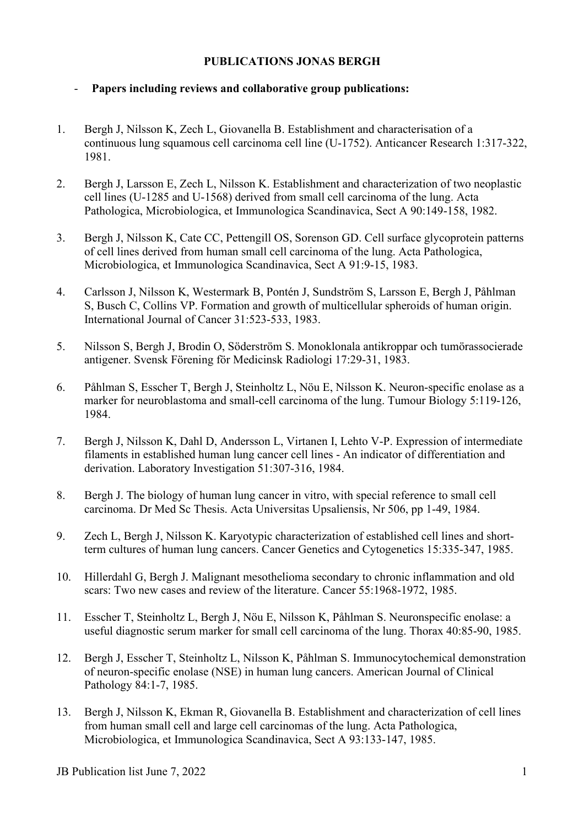## **PUBLICATIONS JONAS BERGH**

## - **Papers including reviews and collaborative group publications:**

- 1. Bergh J, Nilsson K, Zech L, Giovanella B. Establishment and characterisation of a continuous lung squamous cell carcinoma cell line (U-1752). Anticancer Research 1:317-322, 1981.
- 2. Bergh J, Larsson E, Zech L, Nilsson K. Establishment and characterization of two neoplastic cell lines (U-1285 and U-1568) derived from small cell carcinoma of the lung. Acta Pathologica, Microbiologica, et Immunologica Scandinavica, Sect A 90:149-158, 1982.
- 3. Bergh J, Nilsson K, Cate CC, Pettengill OS, Sorenson GD. Cell surface glycoprotein patterns of cell lines derived from human small cell carcinoma of the lung. Acta Pathologica, Microbiologica, et Immunologica Scandinavica, Sect A 91:9-15, 1983.
- 4. Carlsson J, Nilsson K, Westermark B, Pontén J, Sundström S, Larsson E, Bergh J, Påhlman S, Busch C, Collins VP. Formation and growth of multicellular spheroids of human origin. International Journal of Cancer 31:523-533, 1983.
- 5. Nilsson S, Bergh J, Brodin O, Söderström S. Monoklonala antikroppar och tumörassocierade antigener. Svensk Förening för Medicinsk Radiologi 17:29-31, 1983.
- 6. Påhlman S, Esscher T, Bergh J, Steinholtz L, Nöu E, Nilsson K. Neuron-specific enolase as a marker for neuroblastoma and small-cell carcinoma of the lung. Tumour Biology 5:119-126, 1984.
- 7. Bergh J, Nilsson K, Dahl D, Andersson L, Virtanen I, Lehto V-P. Expression of intermediate filaments in established human lung cancer cell lines - An indicator of differentiation and derivation. Laboratory Investigation 51:307-316, 1984.
- 8. Bergh J. The biology of human lung cancer in vitro, with special reference to small cell carcinoma. Dr Med Sc Thesis. Acta Universitas Upsaliensis, Nr 506, pp 1-49, 1984.
- 9. Zech L, Bergh J, Nilsson K. Karyotypic characterization of established cell lines and shortterm cultures of human lung cancers. Cancer Genetics and Cytogenetics 15:335-347, 1985.
- 10. Hillerdahl G, Bergh J. Malignant mesothelioma secondary to chronic inflammation and old scars: Two new cases and review of the literature. Cancer 55:1968-1972, 1985.
- 11. Esscher T, Steinholtz L, Bergh J, Nöu E, Nilsson K, Påhlman S. Neuronspecific enolase: a useful diagnostic serum marker for small cell carcinoma of the lung. Thorax 40:85-90, 1985.
- 12. Bergh J, Esscher T, Steinholtz L, Nilsson K, Påhlman S. Immunocytochemical demonstration of neuron-specific enolase (NSE) in human lung cancers. American Journal of Clinical Pathology 84:1-7, 1985.
- 13. Bergh J, Nilsson K, Ekman R, Giovanella B. Establishment and characterization of cell lines from human small cell and large cell carcinomas of the lung. Acta Pathologica, Microbiologica, et Immunologica Scandinavica, Sect A 93:133-147, 1985.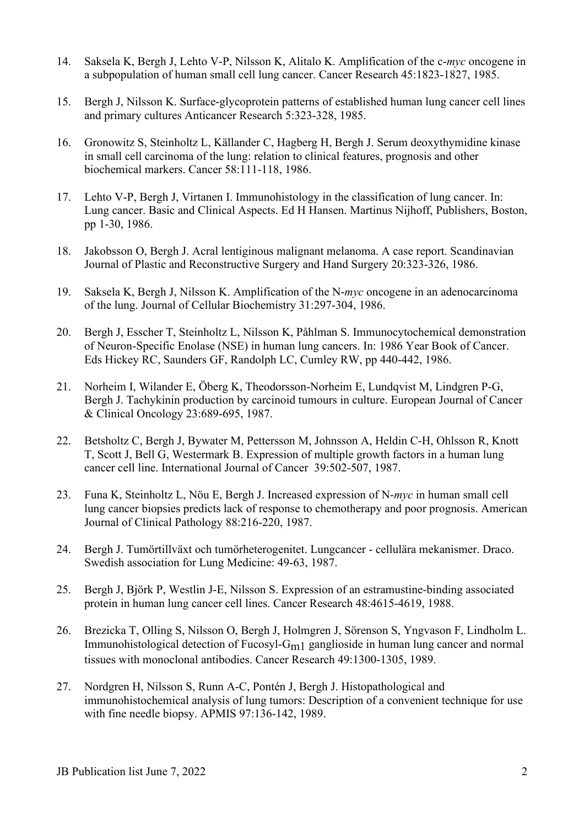- 14. Saksela K, Bergh J, Lehto V-P, Nilsson K, Alitalo K. Amplification of the c-*myc* oncogene in a subpopulation of human small cell lung cancer. Cancer Research 45:1823-1827, 1985.
- 15. Bergh J, Nilsson K. Surface-glycoprotein patterns of established human lung cancer cell lines and primary cultures Anticancer Research 5:323-328, 1985.
- 16. Gronowitz S, Steinholtz L, Källander C, Hagberg H, Bergh J. Serum deoxythymidine kinase in small cell carcinoma of the lung: relation to clinical features, prognosis and other biochemical markers. Cancer 58:111-118, 1986.
- 17. Lehto V-P, Bergh J, Virtanen I. Immunohistology in the classification of lung cancer. In: Lung cancer. Basic and Clinical Aspects. Ed H Hansen. Martinus Nijhoff, Publishers, Boston, pp 1-30, 1986.
- 18. Jakobsson O, Bergh J. Acral lentiginous malignant melanoma. A case report. Scandinavian Journal of Plastic and Reconstructive Surgery and Hand Surgery 20:323-326, 1986.
- 19. Saksela K, Bergh J, Nilsson K. Amplification of the N-*myc* oncogene in an adenocarcinoma of the lung. Journal of Cellular Biochemistry 31:297-304, 1986.
- 20. Bergh J, Esscher T, Steinholtz L, Nilsson K, Påhlman S. Immunocytochemical demonstration of Neuron-Specific Enolase (NSE) in human lung cancers. In: 1986 Year Book of Cancer. Eds Hickey RC, Saunders GF, Randolph LC, Cumley RW, pp 440-442, 1986.
- 21. Norheim I, Wilander E, Öberg K, Theodorsson-Norheim E, Lundqvist M, Lindgren P-G, Bergh J. Tachykinin production by carcinoid tumours in culture. European Journal of Cancer & Clinical Oncology 23:689-695, 1987.
- 22. Betsholtz C, Bergh J, Bywater M, Pettersson M, Johnsson A, Heldin C-H, Ohlsson R, Knott T, Scott J, Bell G, Westermark B. Expression of multiple growth factors in a human lung cancer cell line. International Journal of Cancer 39:502-507, 1987.
- 23. Funa K, Steinholtz L, Nöu E, Bergh J. Increased expression of N-*myc* in human small cell lung cancer biopsies predicts lack of response to chemotherapy and poor prognosis. American Journal of Clinical Pathology 88:216-220, 1987.
- 24. Bergh J. Tumörtillväxt och tumörheterogenitet. Lungcancer cellulära mekanismer. Draco. Swedish association for Lung Medicine: 49-63, 1987.
- 25. Bergh J, Björk P, Westlin J-E, Nilsson S. Expression of an estramustine-binding associated protein in human lung cancer cell lines. Cancer Research 48:4615-4619, 1988.
- 26. Brezicka T, Olling S, Nilsson O, Bergh J, Holmgren J, Sörenson S, Yngvason F, Lindholm L. Immunohistological detection of Fucosyl-Gm1 ganglioside in human lung cancer and normal tissues with monoclonal antibodies. Cancer Research 49:1300-1305, 1989.
- 27. Nordgren H, Nilsson S, Runn A-C, Pontén J, Bergh J. Histopathological and immunohistochemical analysis of lung tumors: Description of a convenient technique for use with fine needle biopsy. APMIS 97:136-142, 1989.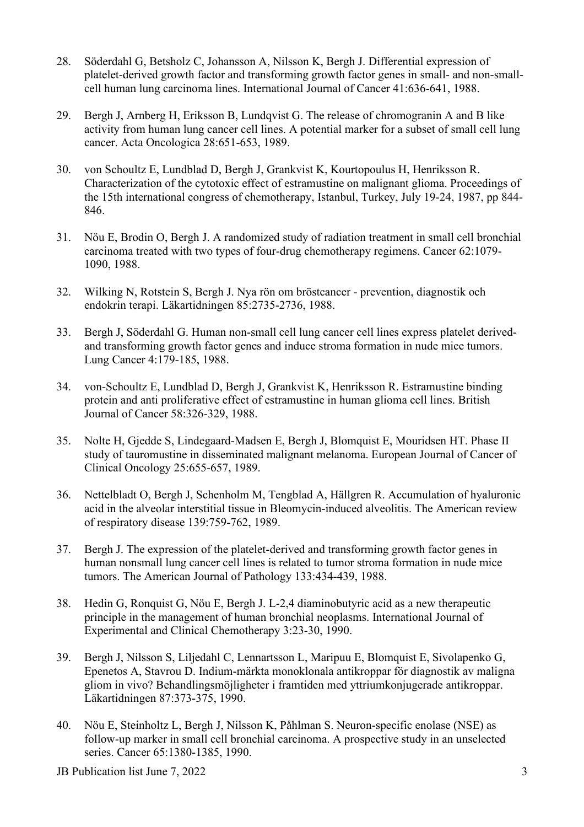- 28. Söderdahl G, Betsholz C, Johansson A, Nilsson K, Bergh J. Differential expression of platelet-derived growth factor and transforming growth factor genes in small- and non-smallcell human lung carcinoma lines. International Journal of Cancer 41:636-641, 1988.
- 29. Bergh J, Arnberg H, Eriksson B, Lundqvist G. The release of chromogranin A and B like activity from human lung cancer cell lines. A potential marker for a subset of small cell lung cancer. Acta Oncologica 28:651-653, 1989.
- 30. von Schoultz E, Lundblad D, Bergh J, Grankvist K, Kourtopoulus H, Henriksson R. Characterization of the cytotoxic effect of estramustine on malignant glioma. Proceedings of the 15th international congress of chemotherapy, Istanbul, Turkey, July 19-24, 1987, pp 844- 846.
- 31. Nöu E, Brodin O, Bergh J. A randomized study of radiation treatment in small cell bronchial carcinoma treated with two types of four-drug chemotherapy regimens. Cancer 62:1079- 1090, 1988.
- 32. Wilking N, Rotstein S, Bergh J. Nya rön om bröstcancer prevention, diagnostik och endokrin terapi. Läkartidningen 85:2735-2736, 1988.
- 33. Bergh J, Söderdahl G. Human non-small cell lung cancer cell lines express platelet derivedand transforming growth factor genes and induce stroma formation in nude mice tumors. Lung Cancer 4:179-185, 1988.
- 34. von-Schoultz E, Lundblad D, Bergh J, Grankvist K, Henriksson R. Estramustine binding protein and anti proliferative effect of estramustine in human glioma cell lines. British Journal of Cancer 58:326-329, 1988.
- 35. Nolte H, Gjedde S, Lindegaard-Madsen E, Bergh J, Blomquist E, Mouridsen HT. Phase II study of tauromustine in disseminated malignant melanoma. European Journal of Cancer of Clinical Oncology 25:655-657, 1989.
- 36. Nettelbladt O, Bergh J, Schenholm M, Tengblad A, Hällgren R. Accumulation of hyaluronic acid in the alveolar interstitial tissue in Bleomycin-induced alveolitis. The American review of respiratory disease 139:759-762, 1989.
- 37. Bergh J. The expression of the platelet-derived and transforming growth factor genes in human nonsmall lung cancer cell lines is related to tumor stroma formation in nude mice tumors. The American Journal of Pathology 133:434-439, 1988.
- 38. Hedin G, Ronquist G, Nöu E, Bergh J. L-2,4 diaminobutyric acid as a new therapeutic principle in the management of human bronchial neoplasms. International Journal of Experimental and Clinical Chemotherapy 3:23-30, 1990.
- 39. Bergh J, Nilsson S, Liljedahl C, Lennartsson L, Maripuu E, Blomquist E, Sivolapenko G, Epenetos A, Stavrou D. Indium-märkta monoklonala antikroppar för diagnostik av maligna gliom in vivo? Behandlingsmöjligheter i framtiden med yttriumkonjugerade antikroppar. Läkartidningen 87:373-375, 1990.
- 40. Nöu E, Steinholtz L, Bergh J, Nilsson K, Påhlman S. Neuron-specific enolase (NSE) as follow-up marker in small cell bronchial carcinoma. A prospective study in an unselected series. Cancer 65:1380-1385, 1990.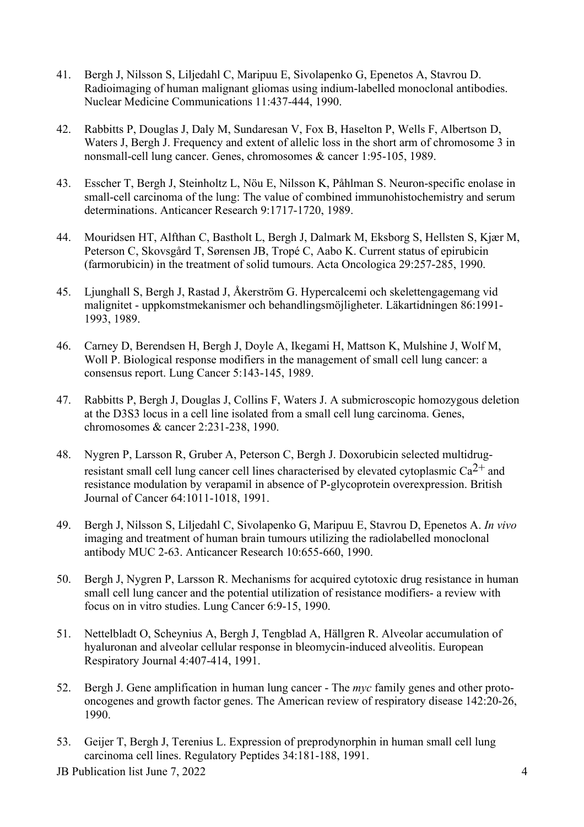- 41. Bergh J, Nilsson S, Liljedahl C, Maripuu E, Sivolapenko G, Epenetos A, Stavrou D. Radioimaging of human malignant gliomas using indium-labelled monoclonal antibodies. Nuclear Medicine Communications 11:437-444, 1990.
- 42. Rabbitts P, Douglas J, Daly M, Sundaresan V, Fox B, Haselton P, Wells F, Albertson D, Waters J, Bergh J. Frequency and extent of allelic loss in the short arm of chromosome 3 in nonsmall-cell lung cancer. Genes, chromosomes & cancer 1:95-105, 1989.
- 43. Esscher T, Bergh J, Steinholtz L, Nöu E, Nilsson K, Påhlman S. Neuron-specific enolase in small-cell carcinoma of the lung: The value of combined immunohistochemistry and serum determinations. Anticancer Research 9:1717-1720, 1989.
- 44. Mouridsen HT, Alfthan C, Bastholt L, Bergh J, Dalmark M, Eksborg S, Hellsten S, Kjær M, Peterson C, Skovsgård T, Sørensen JB, Tropé C, Aabo K. Current status of epirubicin (farmorubicin) in the treatment of solid tumours. Acta Oncologica 29:257-285, 1990.
- 45. Ljunghall S, Bergh J, Rastad J, Åkerström G. Hypercalcemi och skelettengagemang vid malignitet - uppkomstmekanismer och behandlingsmöjligheter. Läkartidningen 86:1991- 1993, 1989.
- 46. Carney D, Berendsen H, Bergh J, Doyle A, Ikegami H, Mattson K, Mulshine J, Wolf M, Woll P. Biological response modifiers in the management of small cell lung cancer: a consensus report. Lung Cancer 5:143-145, 1989.
- 47. Rabbitts P, Bergh J, Douglas J, Collins F, Waters J. A submicroscopic homozygous deletion at the D3S3 locus in a cell line isolated from a small cell lung carcinoma. Genes, chromosomes & cancer 2:231-238, 1990.
- 48. Nygren P, Larsson R, Gruber A, Peterson C, Bergh J. Doxorubicin selected multidrugresistant small cell lung cancer cell lines characterised by elevated cytoplasmic  $Ca^{2+}$  and resistance modulation by verapamil in absence of P-glycoprotein overexpression. British Journal of Cancer 64:1011-1018, 1991.
- 49. Bergh J, Nilsson S, Liljedahl C, Sivolapenko G, Maripuu E, Stavrou D, Epenetos A. *In vivo* imaging and treatment of human brain tumours utilizing the radiolabelled monoclonal antibody MUC 2-63. Anticancer Research 10:655-660, 1990.
- 50. Bergh J, Nygren P, Larsson R. Mechanisms for acquired cytotoxic drug resistance in human small cell lung cancer and the potential utilization of resistance modifiers- a review with focus on in vitro studies. Lung Cancer 6:9-15, 1990.
- 51. Nettelbladt O, Scheynius A, Bergh J, Tengblad A, Hällgren R. Alveolar accumulation of hyaluronan and alveolar cellular response in bleomycin-induced alveolitis. European Respiratory Journal 4:407-414, 1991.
- 52. Bergh J. Gene amplification in human lung cancer The *myc* family genes and other protooncogenes and growth factor genes. The American review of respiratory disease 142:20-26, 1990.
- 53. Geijer T, Bergh J, Terenius L. Expression of preprodynorphin in human small cell lung carcinoma cell lines. Regulatory Peptides 34:181-188, 1991.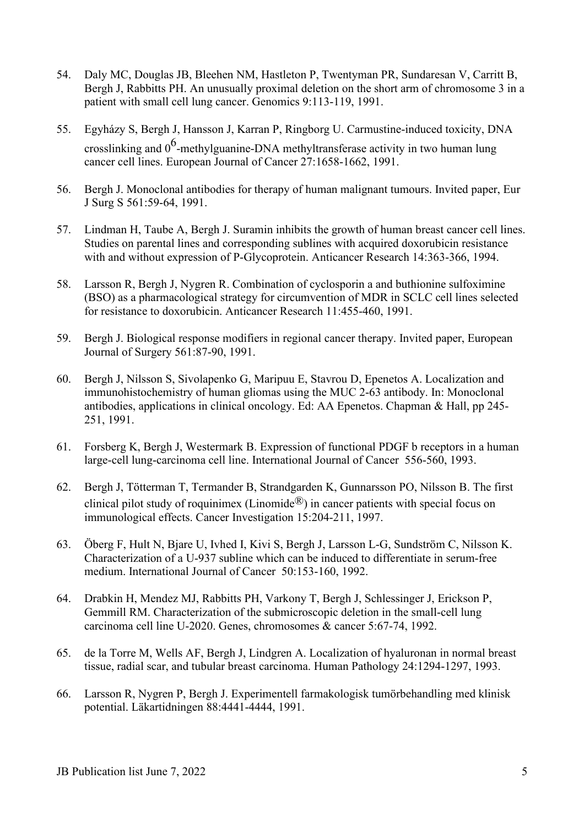- 54. Daly MC, Douglas JB, Bleehen NM, Hastleton P, Twentyman PR, Sundaresan V, Carritt B, Bergh J, Rabbitts PH. An unusually proximal deletion on the short arm of chromosome 3 in a patient with small cell lung cancer. Genomics 9:113-119, 1991.
- 55. Egyházy S, Bergh J, Hansson J, Karran P, Ringborg U. Carmustine-induced toxicity, DNA crosslinking and  $0^6$ -methylguanine-DNA methyltransferase activity in two human lung cancer cell lines. European Journal of Cancer 27:1658-1662, 1991.
- 56. Bergh J. Monoclonal antibodies for therapy of human malignant tumours. Invited paper, Eur J Surg S 561:59-64, 1991.
- 57. Lindman H, Taube A, Bergh J. Suramin inhibits the growth of human breast cancer cell lines. Studies on parental lines and corresponding sublines with acquired doxorubicin resistance with and without expression of P-Glycoprotein. Anticancer Research 14:363-366, 1994.
- 58. Larsson R, Bergh J, Nygren R. Combination of cyclosporin a and buthionine sulfoximine (BSO) as a pharmacological strategy for circumvention of MDR in SCLC cell lines selected for resistance to doxorubicin. Anticancer Research 11:455-460, 1991.
- 59. Bergh J. Biological response modifiers in regional cancer therapy. Invited paper, European Journal of Surgery 561:87-90, 1991.
- 60. Bergh J, Nilsson S, Sivolapenko G, Maripuu E, Stavrou D, Epenetos A. Localization and immunohistochemistry of human gliomas using the MUC 2-63 antibody. In: Monoclonal antibodies, applications in clinical oncology. Ed: AA Epenetos. Chapman & Hall, pp 245- 251, 1991.
- 61. Forsberg K, Bergh J, Westermark B. Expression of functional PDGF b receptors in a human large-cell lung-carcinoma cell line. International Journal of Cancer 556-560, 1993.
- 62. Bergh J, Tötterman T, Termander B, Strandgarden K, Gunnarsson PO, Nilsson B. The first clinical pilot study of roquinimex (Linomide<sup>®</sup>) in cancer patients with special focus on immunological effects. Cancer Investigation 15:204-211, 1997.
- 63. Öberg F, Hult N, Bjare U, Ivhed I, Kivi S, Bergh J, Larsson L-G, Sundström C, Nilsson K. Characterization of a U-937 subline which can be induced to differentiate in serum-free medium. International Journal of Cancer 50:153-160, 1992.
- 64. Drabkin H, Mendez MJ, Rabbitts PH, Varkony T, Bergh J, Schlessinger J, Erickson P, Gemmill RM. Characterization of the submicroscopic deletion in the small-cell lung carcinoma cell line U-2020. Genes, chromosomes & cancer 5:67-74, 1992.
- 65. de la Torre M, Wells AF, Bergh J, Lindgren A. Localization of hyaluronan in normal breast tissue, radial scar, and tubular breast carcinoma. Human Pathology 24:1294-1297, 1993.
- 66. Larsson R, Nygren P, Bergh J. Experimentell farmakologisk tumörbehandling med klinisk potential. Läkartidningen 88:4441-4444, 1991.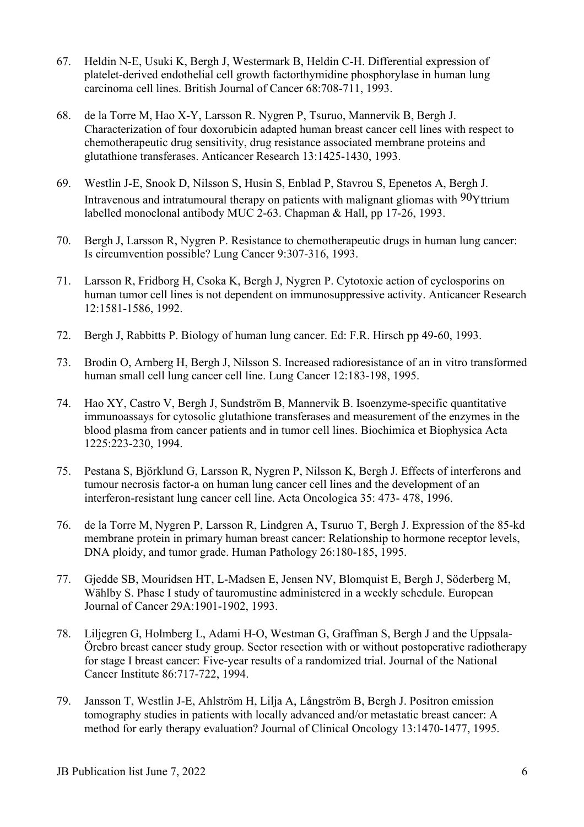- 67. Heldin N-E, Usuki K, Bergh J, Westermark B, Heldin C-H. Differential expression of platelet-derived endothelial cell growth factorthymidine phosphorylase in human lung carcinoma cell lines. British Journal of Cancer 68:708-711, 1993.
- 68. de la Torre M, Hao X-Y, Larsson R. Nygren P, Tsuruo, Mannervik B, Bergh J. Characterization of four doxorubicin adapted human breast cancer cell lines with respect to chemotherapeutic drug sensitivity, drug resistance associated membrane proteins and glutathione transferases. Anticancer Research 13:1425-1430, 1993.
- 69. Westlin J-E, Snook D, Nilsson S, Husin S, Enblad P, Stavrou S, Epenetos A, Bergh J. Intravenous and intratumoural therapy on patients with malignant gliomas with 90Yttrium labelled monoclonal antibody MUC 2-63. Chapman & Hall, pp 17-26, 1993.
- 70. Bergh J, Larsson R, Nygren P. Resistance to chemotherapeutic drugs in human lung cancer: Is circumvention possible? Lung Cancer 9:307-316, 1993.
- 71. Larsson R, Fridborg H, Csoka K, Bergh J, Nygren P. Cytotoxic action of cyclosporins on human tumor cell lines is not dependent on immunosuppressive activity. Anticancer Research 12:1581-1586, 1992.
- 72. Bergh J, Rabbitts P. Biology of human lung cancer. Ed: F.R. Hirsch pp 49-60, 1993.
- 73. Brodin O, Arnberg H, Bergh J, Nilsson S. Increased radioresistance of an in vitro transformed human small cell lung cancer cell line. Lung Cancer 12:183-198, 1995.
- 74. Hao XY, Castro V, Bergh J, Sundström B, Mannervik B. Isoenzyme-specific quantitative immunoassays for cytosolic glutathione transferases and measurement of the enzymes in the blood plasma from cancer patients and in tumor cell lines. Biochimica et Biophysica Acta 1225:223-230, 1994.
- 75. Pestana S, Björklund G, Larsson R, Nygren P, Nilsson K, Bergh J. Effects of interferons and tumour necrosis factor-a on human lung cancer cell lines and the development of an interferon-resistant lung cancer cell line. Acta Oncologica 35: 473- 478, 1996.
- 76. de la Torre M, Nygren P, Larsson R, Lindgren A, Tsuruo T, Bergh J. Expression of the 85-kd membrane protein in primary human breast cancer: Relationship to hormone receptor levels, DNA ploidy, and tumor grade. Human Pathology 26:180-185, 1995.
- 77. Gjedde SB, Mouridsen HT, L-Madsen E, Jensen NV, Blomquist E, Bergh J, Söderberg M, Wählby S. Phase I study of tauromustine administered in a weekly schedule. European Journal of Cancer 29A:1901-1902, 1993.
- 78. Liljegren G, Holmberg L, Adami H-O, Westman G, Graffman S, Bergh J and the Uppsala-Örebro breast cancer study group. Sector resection with or without postoperative radiotherapy for stage I breast cancer: Five-year results of a randomized trial. Journal of the National Cancer Institute 86:717-722, 1994.
- 79. Jansson T, Westlin J-E, Ahlström H, Lilja A, Långström B, Bergh J. Positron emission tomography studies in patients with locally advanced and/or metastatic breast cancer: A method for early therapy evaluation? Journal of Clinical Oncology 13:1470-1477, 1995.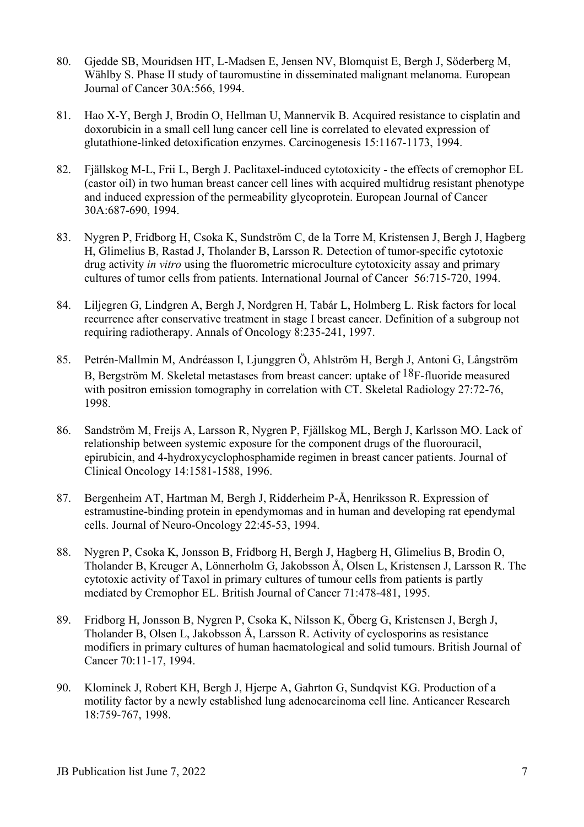- 80. Gjedde SB, Mouridsen HT, L-Madsen E, Jensen NV, Blomquist E, Bergh J, Söderberg M, Wählby S. Phase II study of tauromustine in disseminated malignant melanoma. European Journal of Cancer 30A:566, 1994.
- 81. Hao X-Y, Bergh J, Brodin O, Hellman U, Mannervik B. Acquired resistance to cisplatin and doxorubicin in a small cell lung cancer cell line is correlated to elevated expression of glutathione-linked detoxification enzymes. Carcinogenesis 15:1167-1173, 1994.
- 82. Fjällskog M-L, Frii L, Bergh J. Paclitaxel-induced cytotoxicity the effects of cremophor EL (castor oil) in two human breast cancer cell lines with acquired multidrug resistant phenotype and induced expression of the permeability glycoprotein. European Journal of Cancer 30A:687-690, 1994.
- 83. Nygren P, Fridborg H, Csoka K, Sundström C, de la Torre M, Kristensen J, Bergh J, Hagberg H, Glimelius B, Rastad J, Tholander B, Larsson R. Detection of tumor-specific cytotoxic drug activity *in vitro* using the fluorometric microculture cytotoxicity assay and primary cultures of tumor cells from patients. International Journal of Cancer 56:715-720, 1994.
- 84. Liljegren G, Lindgren A, Bergh J, Nordgren H, Tabár L, Holmberg L. Risk factors for local recurrence after conservative treatment in stage I breast cancer. Definition of a subgroup not requiring radiotherapy. Annals of Oncology 8:235-241, 1997.
- 85. Petrén-Mallmin M, Andréasson I, Ljunggren Ö, Ahlström H, Bergh J, Antoni G, Långström B, Bergström M. Skeletal metastases from breast cancer: uptake of  $18F$ -fluoride measured with positron emission tomography in correlation with CT. Skeletal Radiology 27:72-76, 1998.
- 86. Sandström M, Freijs A, Larsson R, Nygren P, Fjällskog ML, Bergh J, Karlsson MO. Lack of relationship between systemic exposure for the component drugs of the fluorouracil, epirubicin, and 4-hydroxycyclophosphamide regimen in breast cancer patients. Journal of Clinical Oncology 14:1581-1588, 1996.
- 87. Bergenheim AT, Hartman M, Bergh J, Ridderheim P-Å, Henriksson R. Expression of estramustine-binding protein in ependymomas and in human and developing rat ependymal cells. Journal of Neuro-Oncology 22:45-53, 1994.
- 88. Nygren P, Csoka K, Jonsson B, Fridborg H, Bergh J, Hagberg H, Glimelius B, Brodin O, Tholander B, Kreuger A, Lönnerholm G, Jakobsson Å, Olsen L, Kristensen J, Larsson R. The cytotoxic activity of Taxol in primary cultures of tumour cells from patients is partly mediated by Cremophor EL. British Journal of Cancer 71:478-481, 1995.
- 89. Fridborg H, Jonsson B, Nygren P, Csoka K, Nilsson K, Öberg G, Kristensen J, Bergh J, Tholander B, Olsen L, Jakobsson Å, Larsson R. Activity of cyclosporins as resistance modifiers in primary cultures of human haematological and solid tumours. British Journal of Cancer 70:11-17, 1994.
- 90. Klominek J, Robert KH, Bergh J, Hjerpe A, Gahrton G, Sundqvist KG. Production of a motility factor by a newly established lung adenocarcinoma cell line. Anticancer Research 18:759-767, 1998.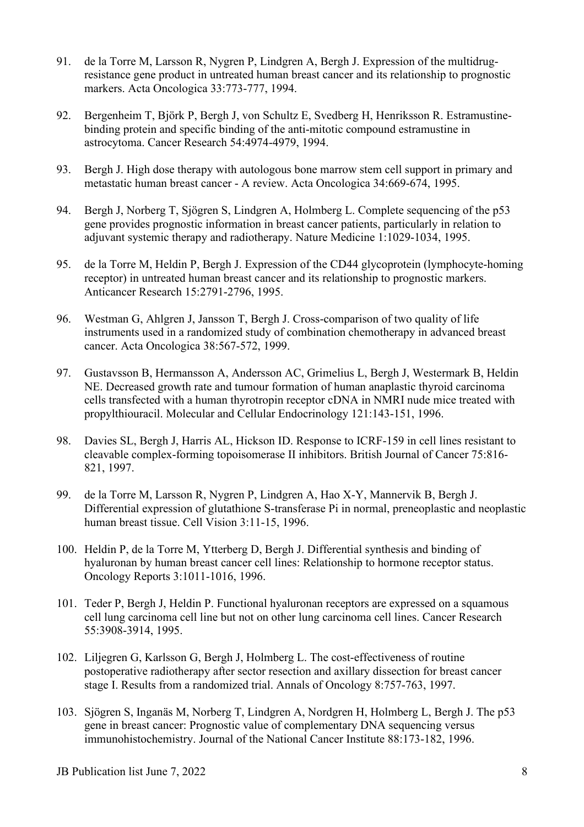- 91. de la Torre M, Larsson R, Nygren P, Lindgren A, Bergh J. Expression of the multidrugresistance gene product in untreated human breast cancer and its relationship to prognostic markers. Acta Oncologica 33:773-777, 1994.
- 92. Bergenheim T, Björk P, Bergh J, von Schultz E, Svedberg H, Henriksson R. Estramustinebinding protein and specific binding of the anti-mitotic compound estramustine in astrocytoma. Cancer Research 54:4974-4979, 1994.
- 93. Bergh J. High dose therapy with autologous bone marrow stem cell support in primary and metastatic human breast cancer - A review. Acta Oncologica 34:669-674, 1995.
- 94. Bergh J, Norberg T, Sjögren S, Lindgren A, Holmberg L. Complete sequencing of the p53 gene provides prognostic information in breast cancer patients, particularly in relation to adjuvant systemic therapy and radiotherapy. Nature Medicine 1:1029-1034, 1995.
- 95. de la Torre M, Heldin P, Bergh J. Expression of the CD44 glycoprotein (lymphocyte-homing receptor) in untreated human breast cancer and its relationship to prognostic markers. Anticancer Research 15:2791-2796, 1995.
- 96. Westman G, Ahlgren J, Jansson T, Bergh J. Cross-comparison of two quality of life instruments used in a randomized study of combination chemotherapy in advanced breast cancer. Acta Oncologica 38:567-572, 1999.
- 97. Gustavsson B, Hermansson A, Andersson AC, Grimelius L, Bergh J, Westermark B, Heldin NE. Decreased growth rate and tumour formation of human anaplastic thyroid carcinoma cells transfected with a human thyrotropin receptor cDNA in NMRI nude mice treated with propylthiouracil. Molecular and Cellular Endocrinology 121:143-151, 1996.
- 98. Davies SL, Bergh J, Harris AL, Hickson ID. Response to ICRF-159 in cell lines resistant to cleavable complex-forming topoisomerase II inhibitors. British Journal of Cancer 75:816- 821, 1997.
- 99. de la Torre M, Larsson R, Nygren P, Lindgren A, Hao X-Y, Mannervik B, Bergh J. Differential expression of glutathione S-transferase Pi in normal, preneoplastic and neoplastic human breast tissue. Cell Vision 3:11-15, 1996.
- 100. Heldin P, de la Torre M, Ytterberg D, Bergh J. Differential synthesis and binding of hyaluronan by human breast cancer cell lines: Relationship to hormone receptor status. Oncology Reports 3:1011-1016, 1996.
- 101. Teder P, Bergh J, Heldin P. Functional hyaluronan receptors are expressed on a squamous cell lung carcinoma cell line but not on other lung carcinoma cell lines. Cancer Research 55:3908-3914, 1995.
- 102. Liljegren G, Karlsson G, Bergh J, Holmberg L. The cost-effectiveness of routine postoperative radiotherapy after sector resection and axillary dissection for breast cancer stage I. Results from a randomized trial. Annals of Oncology 8:757-763, 1997.
- 103. Sjögren S, Inganäs M, Norberg T, Lindgren A, Nordgren H, Holmberg L, Bergh J. The p53 gene in breast cancer: Prognostic value of complementary DNA sequencing versus immunohistochemistry. Journal of the National Cancer Institute 88:173-182, 1996.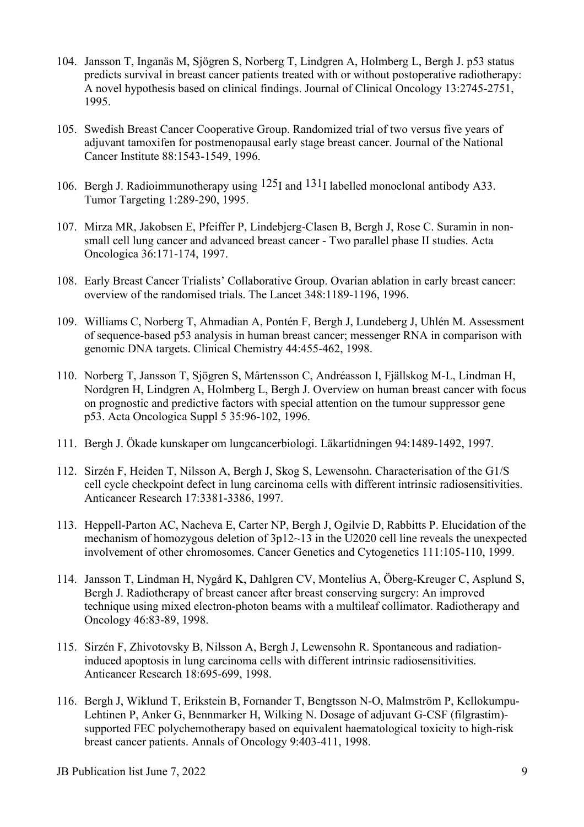- 104. Jansson T, Inganäs M, Sjögren S, Norberg T, Lindgren A, Holmberg L, Bergh J. p53 status predicts survival in breast cancer patients treated with or without postoperative radiotherapy: A novel hypothesis based on clinical findings. Journal of Clinical Oncology 13:2745-2751, 1995.
- 105. Swedish Breast Cancer Cooperative Group. Randomized trial of two versus five years of adjuvant tamoxifen for postmenopausal early stage breast cancer. Journal of the National Cancer Institute 88:1543-1549, 1996.
- 106. Bergh J. Radioimmunotherapy using  $125$ I and  $131$ I labelled monoclonal antibody A33. Tumor Targeting 1:289-290, 1995.
- 107. Mirza MR, Jakobsen E, Pfeiffer P, Lindebjerg-Clasen B, Bergh J, Rose C. Suramin in nonsmall cell lung cancer and advanced breast cancer - Two parallel phase II studies. Acta Oncologica 36:171-174, 1997.
- 108. Early Breast Cancer Trialists' Collaborative Group. Ovarian ablation in early breast cancer: overview of the randomised trials. The Lancet 348:1189-1196, 1996.
- 109. Williams C, Norberg T, Ahmadian A, Pontén F, Bergh J, Lundeberg J, Uhlén M. Assessment of sequence-based p53 analysis in human breast cancer; messenger RNA in comparison with genomic DNA targets. Clinical Chemistry 44:455-462, 1998.
- 110. Norberg T, Jansson T, Sjögren S, Mårtensson C, Andréasson I, Fjällskog M-L, Lindman H, Nordgren H, Lindgren A, Holmberg L, Bergh J. Overview on human breast cancer with focus on prognostic and predictive factors with special attention on the tumour suppressor gene p53. Acta Oncologica Suppl 5 35:96-102, 1996.
- 111. Bergh J. Ökade kunskaper om lungcancerbiologi. Läkartidningen 94:1489-1492, 1997.
- 112. Sirzén F, Heiden T, Nilsson A, Bergh J, Skog S, Lewensohn. Characterisation of the G1/S cell cycle checkpoint defect in lung carcinoma cells with different intrinsic radiosensitivities. Anticancer Research 17:3381-3386, 1997.
- 113. Heppell-Parton AC, Nacheva E, Carter NP, Bergh J, Ogilvie D, Rabbitts P. Elucidation of the mechanism of homozygous deletion of 3p12~13 in the U2020 cell line reveals the unexpected involvement of other chromosomes. Cancer Genetics and Cytogenetics 111:105-110, 1999.
- 114. Jansson T, Lindman H, Nygård K, Dahlgren CV, Montelius A, Öberg-Kreuger C, Asplund S, Bergh J. Radiotherapy of breast cancer after breast conserving surgery: An improved technique using mixed electron-photon beams with a multileaf collimator. Radiotherapy and Oncology 46:83-89, 1998.
- 115. Sirzén F, Zhivotovsky B, Nilsson A, Bergh J, Lewensohn R. Spontaneous and radiationinduced apoptosis in lung carcinoma cells with different intrinsic radiosensitivities. Anticancer Research 18:695-699, 1998.
- 116. Bergh J, Wiklund T, Erikstein B, Fornander T, Bengtsson N-O, Malmström P, Kellokumpu-Lehtinen P, Anker G, Bennmarker H, Wilking N. Dosage of adjuvant G-CSF (filgrastim) supported FEC polychemotherapy based on equivalent haematological toxicity to high-risk breast cancer patients. Annals of Oncology 9:403-411, 1998.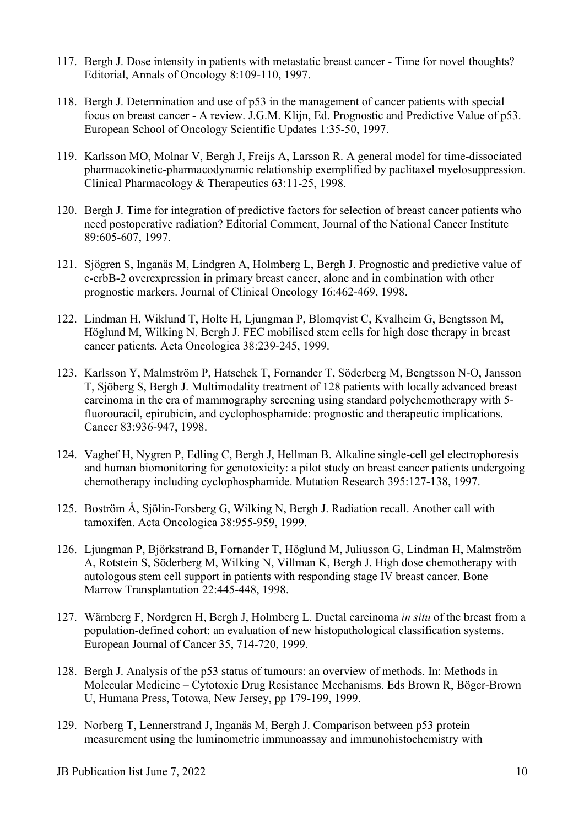- 117. Bergh J. Dose intensity in patients with metastatic breast cancer Time for novel thoughts? Editorial, Annals of Oncology 8:109-110, 1997.
- 118. Bergh J. Determination and use of p53 in the management of cancer patients with special focus on breast cancer - A review. J.G.M. Klijn, Ed. Prognostic and Predictive Value of p53. European School of Oncology Scientific Updates 1:35-50, 1997.
- 119. Karlsson MO, Molnar V, Bergh J, Freijs A, Larsson R. A general model for time-dissociated pharmacokinetic-pharmacodynamic relationship exemplified by paclitaxel myelosuppression. Clinical Pharmacology & Therapeutics 63:11-25, 1998.
- 120. Bergh J. Time for integration of predictive factors for selection of breast cancer patients who need postoperative radiation? Editorial Comment, Journal of the National Cancer Institute 89:605-607, 1997.
- 121. Sjögren S, Inganäs M, Lindgren A, Holmberg L, Bergh J. Prognostic and predictive value of c-erbB-2 overexpression in primary breast cancer, alone and in combination with other prognostic markers. Journal of Clinical Oncology 16:462-469, 1998.
- 122. Lindman H, Wiklund T, Holte H, Ljungman P, Blomqvist C, Kvalheim G, Bengtsson M, Höglund M, Wilking N, Bergh J. FEC mobilised stem cells for high dose therapy in breast cancer patients. Acta Oncologica 38:239-245, 1999.
- 123. Karlsson Y, Malmström P, Hatschek T, Fornander T, Söderberg M, Bengtsson N-O, Jansson T, Sjöberg S, Bergh J. Multimodality treatment of 128 patients with locally advanced breast carcinoma in the era of mammography screening using standard polychemotherapy with 5 fluorouracil, epirubicin, and cyclophosphamide: prognostic and therapeutic implications. Cancer 83:936-947, 1998.
- 124. Vaghef H, Nygren P, Edling C, Bergh J, Hellman B. Alkaline single-cell gel electrophoresis and human biomonitoring for genotoxicity: a pilot study on breast cancer patients undergoing chemotherapy including cyclophosphamide. Mutation Research 395:127-138, 1997.
- 125. Boström Å, Sjölin-Forsberg G, Wilking N, Bergh J. Radiation recall. Another call with tamoxifen. Acta Oncologica 38:955-959, 1999.
- 126. Ljungman P, Björkstrand B, Fornander T, Höglund M, Juliusson G, Lindman H, Malmström A, Rotstein S, Söderberg M, Wilking N, Villman K, Bergh J. High dose chemotherapy with autologous stem cell support in patients with responding stage IV breast cancer. Bone Marrow Transplantation 22:445-448, 1998.
- 127. Wärnberg F, Nordgren H, Bergh J, Holmberg L. Ductal carcinoma *in situ* of the breast from a population-defined cohort: an evaluation of new histopathological classification systems. European Journal of Cancer 35, 714-720, 1999.
- 128. Bergh J. Analysis of the p53 status of tumours: an overview of methods. In: Methods in Molecular Medicine – Cytotoxic Drug Resistance Mechanisms. Eds Brown R, Böger-Brown U, Humana Press, Totowa, New Jersey, pp 179-199, 1999.
- 129. Norberg T, Lennerstrand J, Inganäs M, Bergh J. Comparison between p53 protein measurement using the luminometric immunoassay and immunohistochemistry with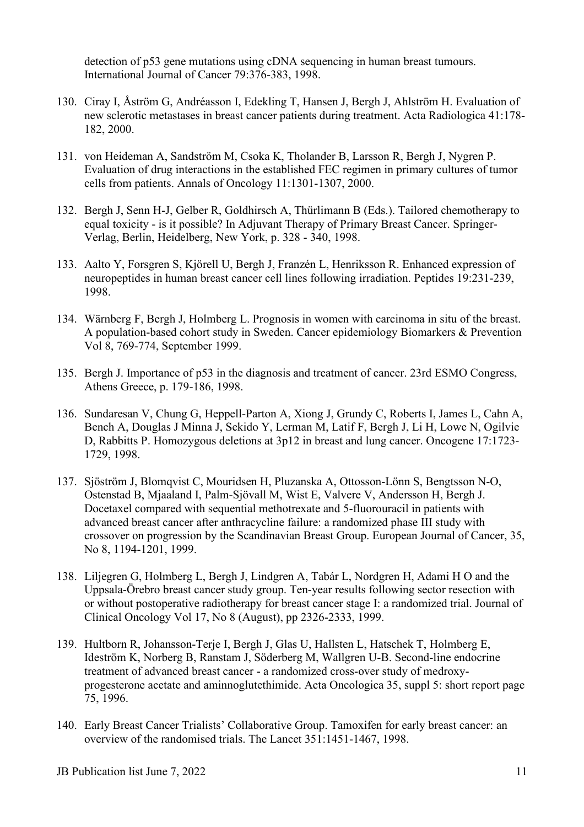detection of p53 gene mutations using cDNA sequencing in human breast tumours. International Journal of Cancer 79:376-383, 1998.

- 130. Ciray I, Åström G, Andréasson I, Edekling T, Hansen J, Bergh J, Ahlström H. Evaluation of new sclerotic metastases in breast cancer patients during treatment. Acta Radiologica 41:178- 182, 2000.
- 131. von Heideman A, Sandström M, Csoka K, Tholander B, Larsson R, Bergh J, Nygren P. Evaluation of drug interactions in the established FEC regimen in primary cultures of tumor cells from patients. Annals of Oncology 11:1301-1307, 2000.
- 132. Bergh J, Senn H-J, Gelber R, Goldhirsch A, Thürlimann B (Eds.). Tailored chemotherapy to equal toxicity - is it possible? In Adjuvant Therapy of Primary Breast Cancer. Springer-Verlag, Berlin, Heidelberg, New York, p. 328 - 340, 1998.
- 133. Aalto Y, Forsgren S, Kjörell U, Bergh J, Franzén L, Henriksson R. Enhanced expression of neuropeptides in human breast cancer cell lines following irradiation. Peptides 19:231-239, 1998.
- 134. Wärnberg F, Bergh J, Holmberg L. Prognosis in women with carcinoma in situ of the breast. A population-based cohort study in Sweden. Cancer epidemiology Biomarkers & Prevention Vol 8, 769-774, September 1999.
- 135. Bergh J. Importance of p53 in the diagnosis and treatment of cancer. 23rd ESMO Congress, Athens Greece, p. 179-186, 1998.
- 136. Sundaresan V, Chung G, Heppell-Parton A, Xiong J, Grundy C, Roberts I, James L, Cahn A, Bench A, Douglas J Minna J, Sekido Y, Lerman M, Latif F, Bergh J, Li H, Lowe N, Ogilvie D, Rabbitts P. Homozygous deletions at 3p12 in breast and lung cancer. Oncogene 17:1723- 1729, 1998.
- 137. Sjöström J, Blomqvist C, Mouridsen H, Pluzanska A, Ottosson-Lönn S, Bengtsson N-O, Ostenstad B, Mjaaland I, Palm-Sjövall M, Wist E, Valvere V, Andersson H, Bergh J. Docetaxel compared with sequential methotrexate and 5-fluorouracil in patients with advanced breast cancer after anthracycline failure: a randomized phase III study with crossover on progression by the Scandinavian Breast Group. European Journal of Cancer, 35, No 8, 1194-1201, 1999.
- 138. Liljegren G, Holmberg L, Bergh J, Lindgren A, Tabár L, Nordgren H, Adami H O and the Uppsala-Örebro breast cancer study group. Ten-year results following sector resection with or without postoperative radiotherapy for breast cancer stage I: a randomized trial. Journal of Clinical Oncology Vol 17, No 8 (August), pp 2326-2333, 1999.
- 139. Hultborn R, Johansson-Terje I, Bergh J, Glas U, Hallsten L, Hatschek T, Holmberg E, Ideström K, Norberg B, Ranstam J, Söderberg M, Wallgren U-B. Second-line endocrine treatment of advanced breast cancer - a randomized cross-over study of medroxyprogesterone acetate and aminnoglutethimide. Acta Oncologica 35, suppl 5: short report page 75, 1996.
- 140. Early Breast Cancer Trialists' Collaborative Group. Tamoxifen for early breast cancer: an overview of the randomised trials. The Lancet 351:1451-1467, 1998.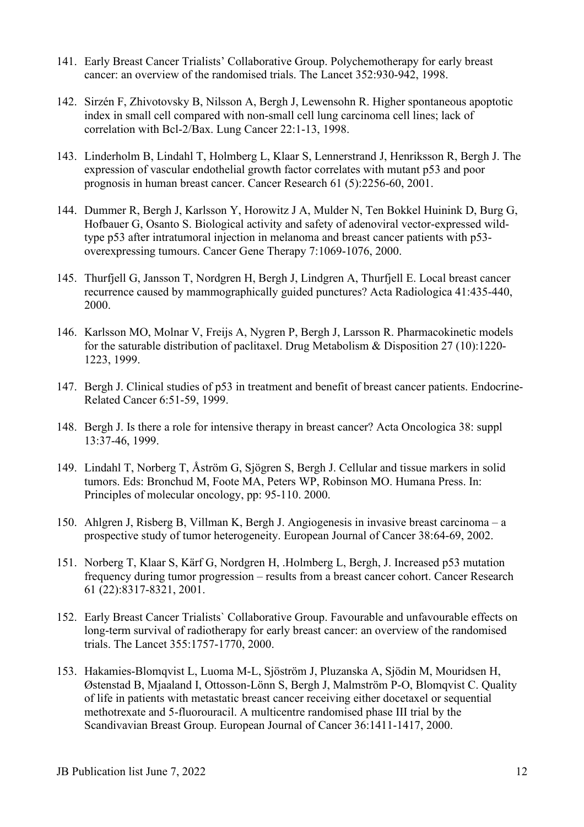- 141. Early Breast Cancer Trialists' Collaborative Group. Polychemotherapy for early breast cancer: an overview of the randomised trials. The Lancet 352:930-942, 1998.
- 142. Sirzén F, Zhivotovsky B, Nilsson A, Bergh J, Lewensohn R. Higher spontaneous apoptotic index in small cell compared with non-small cell lung carcinoma cell lines; lack of correlation with Bcl-2/Bax. Lung Cancer 22:1-13, 1998.
- 143. Linderholm B, Lindahl T, Holmberg L, Klaar S, Lennerstrand J, Henriksson R, Bergh J. The expression of vascular endothelial growth factor correlates with mutant p53 and poor prognosis in human breast cancer. Cancer Research 61 (5):2256-60, 2001.
- 144. Dummer R, Bergh J, Karlsson Y, Horowitz J A, Mulder N, Ten Bokkel Huinink D, Burg G, Hofbauer G, Osanto S. Biological activity and safety of adenoviral vector-expressed wildtype p53 after intratumoral injection in melanoma and breast cancer patients with p53 overexpressing tumours. Cancer Gene Therapy 7:1069-1076, 2000.
- 145. Thurfjell G, Jansson T, Nordgren H, Bergh J, Lindgren A, Thurfjell E. Local breast cancer recurrence caused by mammographically guided punctures? Acta Radiologica 41:435-440, 2000.
- 146. Karlsson MO, Molnar V, Freijs A, Nygren P, Bergh J, Larsson R. Pharmacokinetic models for the saturable distribution of paclitaxel. Drug Metabolism & Disposition 27 (10):1220- 1223, 1999.
- 147. Bergh J. Clinical studies of p53 in treatment and benefit of breast cancer patients. Endocrine-Related Cancer 6:51-59, 1999.
- 148. Bergh J. Is there a role for intensive therapy in breast cancer? Acta Oncologica 38: suppl 13:37-46, 1999.
- 149. Lindahl T, Norberg T, Åström G, Sjögren S, Bergh J. Cellular and tissue markers in solid tumors. Eds: Bronchud M, Foote MA, Peters WP, Robinson MO. Humana Press. In: Principles of molecular oncology, pp: 95-110. 2000.
- 150. Ahlgren J, Risberg B, Villman K, Bergh J. Angiogenesis in invasive breast carcinoma a prospective study of tumor heterogeneity. European Journal of Cancer 38:64-69, 2002.
- 151. Norberg T, Klaar S, Kärf G, Nordgren H, .Holmberg L, Bergh, J. Increased p53 mutation frequency during tumor progression – results from a breast cancer cohort. Cancer Research 61 (22):8317-8321, 2001.
- 152. Early Breast Cancer Trialists` Collaborative Group. Favourable and unfavourable effects on long-term survival of radiotherapy for early breast cancer: an overview of the randomised trials. The Lancet 355:1757-1770, 2000.
- 153. Hakamies-Blomqvist L, Luoma M-L, Sjöström J, Pluzanska A, Sjödin M, Mouridsen H, Østenstad B, Mjaaland I, Ottosson-Lönn S, Bergh J, Malmström P-O, Blomqvist C. Quality of life in patients with metastatic breast cancer receiving either docetaxel or sequential methotrexate and 5-fluorouracil. A multicentre randomised phase III trial by the Scandivavian Breast Group. European Journal of Cancer 36:1411-1417, 2000.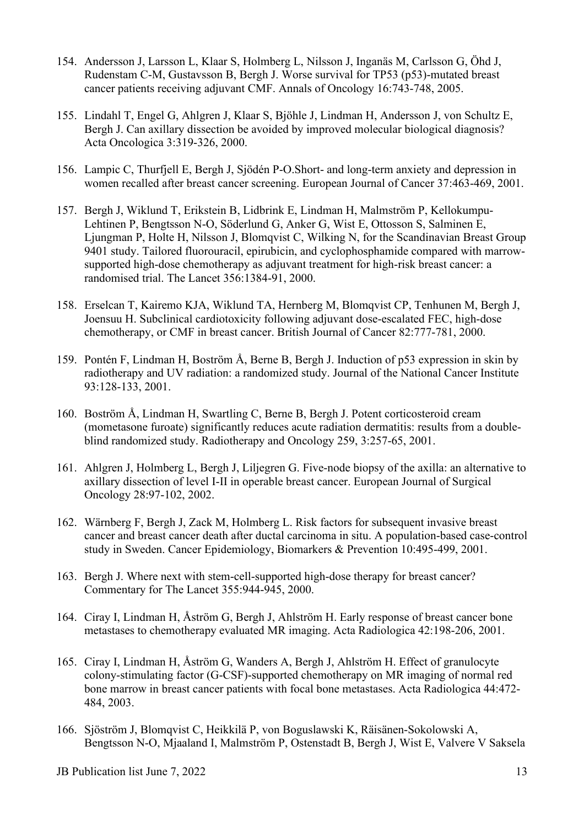- 154. Andersson J, Larsson L, Klaar S, Holmberg L, Nilsson J, Inganäs M, Carlsson G, Öhd J, Rudenstam C-M, Gustavsson B, Bergh J. Worse survival for TP53 (p53)-mutated breast cancer patients receiving adjuvant CMF. Annals of Oncology 16:743-748, 2005.
- 155. Lindahl T, Engel G, Ahlgren J, Klaar S, Bjöhle J, Lindman H, Andersson J, von Schultz E, Bergh J. Can axillary dissection be avoided by improved molecular biological diagnosis? Acta Oncologica 3:319-326, 2000.
- 156. Lampic C, Thurfjell E, Bergh J, Sjödén P-O.Short- and long-term anxiety and depression in women recalled after breast cancer screening. European Journal of Cancer 37:463-469, 2001.
- 157. Bergh J, Wiklund T, Erikstein B, Lidbrink E, Lindman H, Malmström P, Kellokumpu-Lehtinen P, Bengtsson N-O, Söderlund G, Anker G, Wist E, Ottosson S, Salminen E, Ljungman P, Holte H, Nilsson J, Blomqvist C, Wilking N, for the Scandinavian Breast Group 9401 study. Tailored fluorouracil, epirubicin, and cyclophosphamide compared with marrowsupported high-dose chemotherapy as adjuvant treatment for high-risk breast cancer: a randomised trial. The Lancet 356:1384-91, 2000.
- 158. Erselcan T, Kairemo KJA, Wiklund TA, Hernberg M, Blomqvist CP, Tenhunen M, Bergh J, Joensuu H. Subclinical cardiotoxicity following adjuvant dose-escalated FEC, high-dose chemotherapy, or CMF in breast cancer. British Journal of Cancer 82:777-781, 2000.
- 159. Pontén F, Lindman H, Boström Å, Berne B, Bergh J. Induction of p53 expression in skin by radiotherapy and UV radiation: a randomized study. Journal of the National Cancer Institute 93:128-133, 2001.
- 160. Boström Å, Lindman H, Swartling C, Berne B, Bergh J. Potent corticosteroid cream (mometasone furoate) significantly reduces acute radiation dermatitis: results from a doubleblind randomized study. Radiotherapy and Oncology 259, 3:257-65, 2001.
- 161. Ahlgren J, Holmberg L, Bergh J, Liljegren G. Five-node biopsy of the axilla: an alternative to axillary dissection of level I-II in operable breast cancer. European Journal of Surgical Oncology 28:97-102, 2002.
- 162. Wärnberg F, Bergh J, Zack M, Holmberg L. Risk factors for subsequent invasive breast cancer and breast cancer death after ductal carcinoma in situ. A population-based case-control study in Sweden. Cancer Epidemiology, Biomarkers & Prevention 10:495-499, 2001.
- 163. Bergh J. Where next with stem-cell-supported high-dose therapy for breast cancer? Commentary for The Lancet 355:944-945, 2000.
- 164. Ciray I, Lindman H, Åström G, Bergh J, Ahlström H. Early response of breast cancer bone metastases to chemotherapy evaluated MR imaging. Acta Radiologica 42:198-206, 2001.
- 165. Ciray I, Lindman H, Åström G, Wanders A, Bergh J, Ahlström H. Effect of granulocyte colony-stimulating factor (G-CSF)-supported chemotherapy on MR imaging of normal red bone marrow in breast cancer patients with focal bone metastases. Acta Radiologica 44:472- 484, 2003.
- 166. Sjöström J, Blomqvist C, Heikkilä P, von Boguslawski K, Räisänen-Sokolowski A, Bengtsson N-O, Mjaaland I, Malmström P, Ostenstadt B, Bergh J, Wist E, Valvere V Saksela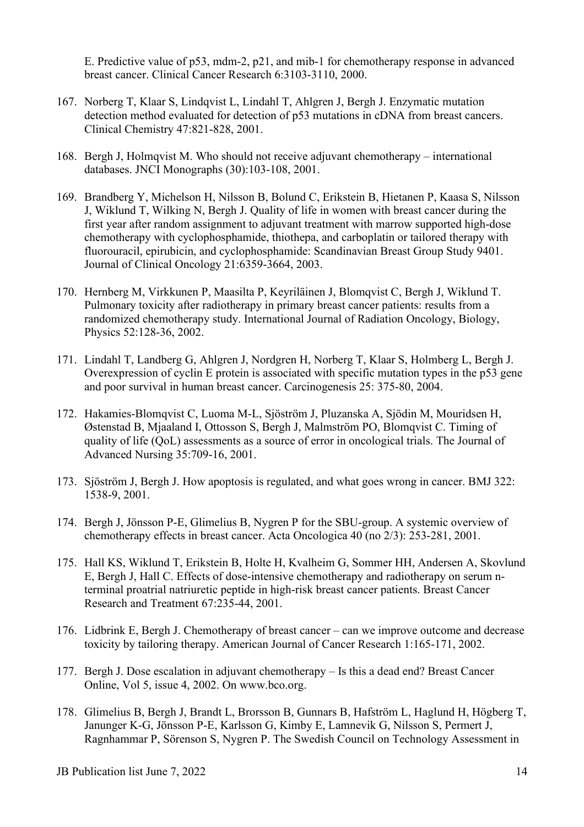E. Predictive value of p53, mdm-2, p21, and mib-1 for chemotherapy response in advanced breast cancer. Clinical Cancer Research 6:3103-3110, 2000.

- 167. Norberg T, Klaar S, Lindqvist L, Lindahl T, Ahlgren J, Bergh J. Enzymatic mutation detection method evaluated for detection of p53 mutations in cDNA from breast cancers. Clinical Chemistry 47:821-828, 2001.
- 168. Bergh J, Holmqvist M. Who should not receive adjuvant chemotherapy international databases. JNCI Monographs (30):103-108, 2001.
- 169. Brandberg Y, Michelson H, Nilsson B, Bolund C, Erikstein B, Hietanen P, Kaasa S, Nilsson J, Wiklund T, Wilking N, Bergh J. Quality of life in women with breast cancer during the first year after random assignment to adjuvant treatment with marrow supported high-dose chemotherapy with cyclophosphamide, thiothepa, and carboplatin or tailored therapy with fluorouracil, epirubicin, and cyclophosphamide: Scandinavian Breast Group Study 9401. Journal of Clinical Oncology 21:6359-3664, 2003.
- 170. Hernberg M, Virkkunen P, Maasilta P, Keyriläinen J, Blomqvist C, Bergh J, Wiklund T. Pulmonary toxicity after radiotherapy in primary breast cancer patients: results from a randomized chemotherapy study. International Journal of Radiation Oncology, Biology, Physics 52:128-36, 2002.
- 171. Lindahl T, Landberg G, Ahlgren J, Nordgren H, Norberg T, Klaar S, Holmberg L, Bergh J. Overexpression of cyclin E protein is associated with specific mutation types in the p53 gene and poor survival in human breast cancer. Carcinogenesis 25: 375-80, 2004.
- 172. Hakamies-Blomqvist C, Luoma M-L, Sjöström J, Pluzanska A, Sjödin M, Mouridsen H, Østenstad B, Mjaaland I, Ottosson S, Bergh J, Malmström PO, Blomqvist C. Timing of quality of life (QoL) assessments as a source of error in oncological trials. The Journal of Advanced Nursing 35:709-16, 2001.
- 173. Sjöström J, Bergh J. How apoptosis is regulated, and what goes wrong in cancer. BMJ 322: 1538-9, 2001.
- 174. Bergh J, Jönsson P-E, Glimelius B, Nygren P for the SBU-group. A systemic overview of chemotherapy effects in breast cancer. Acta Oncologica 40 (no 2/3): 253-281, 2001.
- 175. Hall KS, Wiklund T, Erikstein B, Holte H, Kvalheim G, Sommer HH, Andersen A, Skovlund E, Bergh J, Hall C. Effects of dose-intensive chemotherapy and radiotherapy on serum nterminal proatrial natriuretic peptide in high-risk breast cancer patients. Breast Cancer Research and Treatment 67:235-44, 2001.
- 176. Lidbrink E, Bergh J. Chemotherapy of breast cancer can we improve outcome and decrease toxicity by tailoring therapy. American Journal of Cancer Research 1:165-171, 2002.
- 177. Bergh J. Dose escalation in adjuvant chemotherapy Is this a dead end? Breast Cancer Online, Vol 5, issue 4, 2002. On www.bco.org.
- 178. Glimelius B, Bergh J, Brandt L, Brorsson B, Gunnars B, Hafström L, Haglund H, Högberg T, Janunger K-G, Jönsson P-E, Karlsson G, Kimby E, Lamnevik G, Nilsson S, Permert J, Ragnhammar P, Sörenson S, Nygren P. The Swedish Council on Technology Assessment in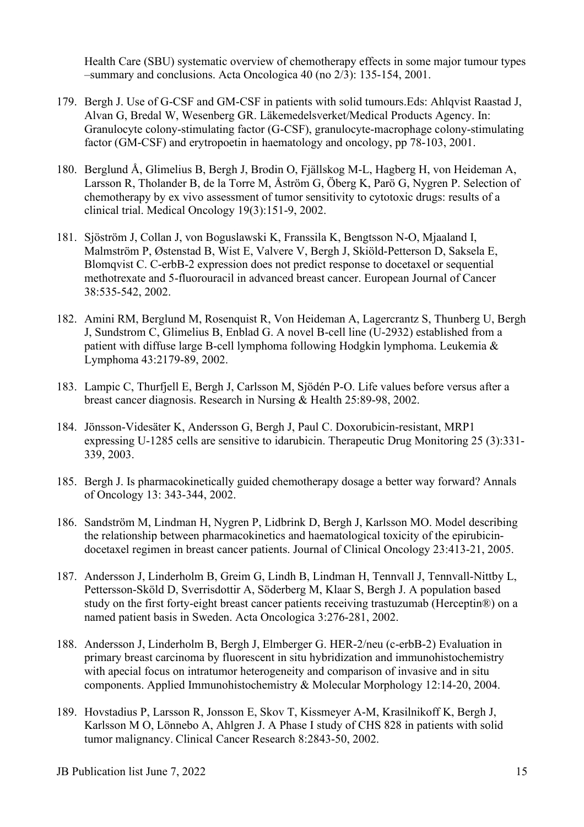Health Care (SBU) systematic overview of chemotherapy effects in some major tumour types –summary and conclusions. Acta Oncologica 40 (no 2/3): 135-154, 2001.

- 179. Bergh J. Use of G-CSF and GM-CSF in patients with solid tumours.Eds: Ahlqvist Raastad J, Alvan G, Bredal W, Wesenberg GR. Läkemedelsverket/Medical Products Agency. In: Granulocyte colony-stimulating factor (G-CSF), granulocyte-macrophage colony-stimulating factor (GM-CSF) and erytropoetin in haematology and oncology, pp 78-103, 2001.
- 180. Berglund Å, Glimelius B, Bergh J, Brodin O, Fjällskog M-L, Hagberg H, von Heideman A, Larsson R, Tholander B, de la Torre M, Åström G, Öberg K, Parö G, Nygren P. Selection of chemotherapy by ex vivo assessment of tumor sensitivity to cytotoxic drugs: results of a clinical trial. Medical Oncology 19(3):151-9, 2002.
- 181. Sjöström J, Collan J, von Boguslawski K, Franssila K, Bengtsson N-O, Mjaaland I, Malmström P, Østenstad B, Wist E, Valvere V, Bergh J, Skiöld-Petterson D, Saksela E, Blomqvist C. C-erbB-2 expression does not predict response to docetaxel or sequential methotrexate and 5-fluorouracil in advanced breast cancer. European Journal of Cancer 38:535-542, 2002.
- 182. [Amini RM, Berglund M, Rosenquist R, Von Heideman A, Lagercrantz S, Thunberg U, Bergh](http://www.ncbi.nlm.nih.gov/entrez/query.fcgi?cmd=Retrieve&db=PubMed&list_uids=12533045&dopt=Abstract)  [J, Sundstrom C, Glimelius B, Enblad G.](http://www.ncbi.nlm.nih.gov/entrez/query.fcgi?cmd=Retrieve&db=PubMed&list_uids=12533045&dopt=Abstract) A novel B-cell line (U-2932) established from a patient with diffuse large B-cell lymphoma following Hodgkin lymphoma. Leukemia & Lymphoma 43:2179-89, 2002.
- 183. Lampic C, Thurfjell E, Bergh J, Carlsson M, Sjödén P-O. Life values before versus after a breast cancer diagnosis. Research in Nursing & Health 25:89-98, 2002.
- 184. Jönsson-Videsäter K, Andersson G, Bergh J, Paul C. Doxorubicin-resistant, MRP1 expressing U-1285 cells are sensitive to idarubicin. Therapeutic Drug Monitoring 25 (3):331- 339, 2003.
- 185. Bergh J. Is pharmacokinetically guided chemotherapy dosage a better way forward? Annals of Oncology 13: 343-344, 2002.
- 186. Sandström M, Lindman H, Nygren P, Lidbrink D, Bergh J, Karlsson MO. Model describing the relationship between pharmacokinetics and haematological toxicity of the epirubicindocetaxel regimen in breast cancer patients. Journal of Clinical Oncology 23:413-21, 2005.
- 187. Andersson J, Linderholm B, Greim G, Lindh B, Lindman H, Tennvall J, Tennvall-Nittby L, Pettersson-Sköld D, Sverrisdottir A, Söderberg M, Klaar S, Bergh J. A population based study on the first forty-eight breast cancer patients receiving trastuzumab (Herceptin®) on a named patient basis in Sweden. Acta Oncologica 3:276-281, 2002.
- 188. Andersson J, Linderholm B, Bergh J, Elmberger G. HER-2/neu (c-erbB-2) Evaluation in primary breast carcinoma by fluorescent in situ hybridization and immunohistochemistry with apecial focus on intratumor heterogeneity and comparison of invasive and in situ components. Applied Immunohistochemistry & Molecular Morphology 12:14-20, 2004.
- 189. Hovstadius P, Larsson R, Jonsson E, Skov T, Kissmeyer A-M, Krasilnikoff K, Bergh J, Karlsson M O, Lönnebo A, Ahlgren J. A Phase I study of CHS 828 in patients with solid tumor malignancy. Clinical Cancer Research 8:2843-50, 2002.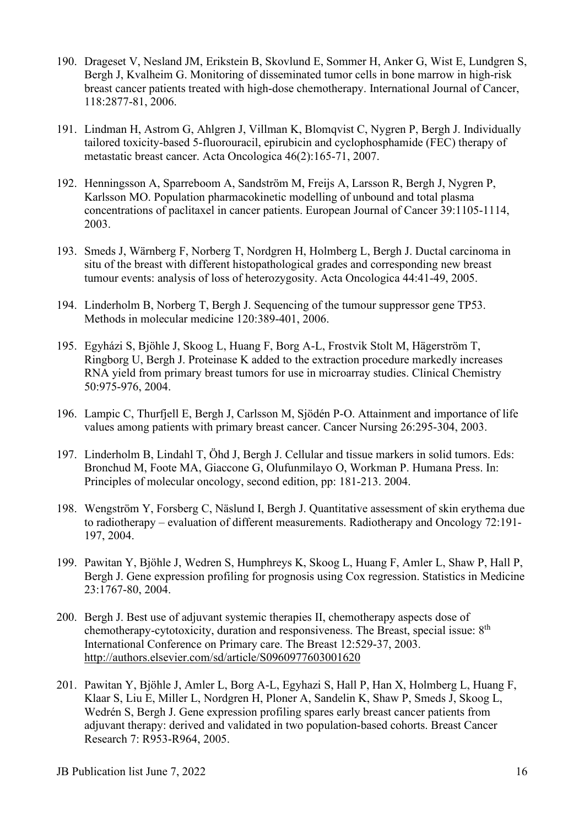- 190. Drageset V, Nesland JM, Erikstein B, Skovlund E, Sommer H, Anker G, Wist E, Lundgren S, Bergh J, Kvalheim G. Monitoring of disseminated tumor cells in bone marrow in high-risk breast cancer patients treated with high-dose chemotherapy. International Journal of Cancer, 118:2877-81, 2006.
- 191. Lindman H, Astrom G, Ahlgren J, Villman K, Blomqvist C, Nygren P, Bergh J. Individually tailored toxicity-based 5-fluorouracil, epirubicin and cyclophosphamide (FEC) therapy of metastatic breast cancer. Acta Oncologica 46(2):165-71, 2007.
- 192. Henningsson A, Sparreboom A, Sandström M, Freijs A, Larsson R, Bergh J, Nygren P, Karlsson MO. Population pharmacokinetic modelling of unbound and total plasma concentrations of paclitaxel in cancer patients. European Journal of Cancer 39:1105-1114, 2003.
- 193. Smeds J, Wärnberg F, Norberg T, Nordgren H, Holmberg L, Bergh J. Ductal carcinoma in situ of the breast with different histopathological grades and corresponding new breast tumour events: analysis of loss of heterozygosity. Acta Oncologica 44:41-49, 2005.
- 194. Linderholm B, Norberg T, Bergh J. Sequencing of the tumour suppressor gene TP53. Methods in molecular medicine 120:389-401, 2006.
- 195. Egyházi S, Bjöhle J, Skoog L, Huang F, Borg A-L, Frostvik Stolt M, Hägerström T, Ringborg U, Bergh J. Proteinase K added to the extraction procedure markedly increases RNA yield from primary breast tumors for use in microarray studies. Clinical Chemistry 50:975-976, 2004.
- 196. Lampic C, Thurfjell E, Bergh J, Carlsson M, Sjödén P-O. Attainment and importance of life values among patients with primary breast cancer. Cancer Nursing 26:295-304, 2003.
- 197. Linderholm B, Lindahl T, Öhd J, Bergh J. Cellular and tissue markers in solid tumors. Eds: Bronchud M, Foote MA, Giaccone G, Olufunmilayo O, Workman P. Humana Press. In: Principles of molecular oncology, second edition, pp: 181-213. 2004.
- 198. Wengström Y, Forsberg C, Näslund I, Bergh J. Quantitative assessment of skin erythema due to radiotherapy – evaluation of different measurements. Radiotherapy and Oncology 72:191- 197, 2004.
- 199. Pawitan Y, Bjöhle J, Wedren S, Humphreys K, Skoog L, Huang F, Amler L, Shaw P, Hall P, Bergh J. Gene expression profiling for prognosis using Cox regression. Statistics in Medicine 23:1767-80, 2004.
- 200. Bergh J. Best use of adjuvant systemic therapies II, chemotherapy aspects dose of chemotherapy-cytotoxicity, duration and responsiveness. The Breast, special issue: 8<sup>th</sup> International Conference on Primary care. The Breast 12:529-37, 2003. <http://authors.elsevier.com/sd/article/S0960977603001620>
- 201. Pawitan Y, Bjöhle J, Amler L, Borg A-L, Egyhazi S, Hall P, Han X, Holmberg L, Huang F, Klaar S, Liu E, Miller L, Nordgren H, Ploner A, Sandelin K, Shaw P, Smeds J, Skoog L, Wedrén S, Bergh J. Gene expression profiling spares early breast cancer patients from adjuvant therapy: derived and validated in two population-based cohorts. Breast Cancer Research 7: R953-R964, 2005.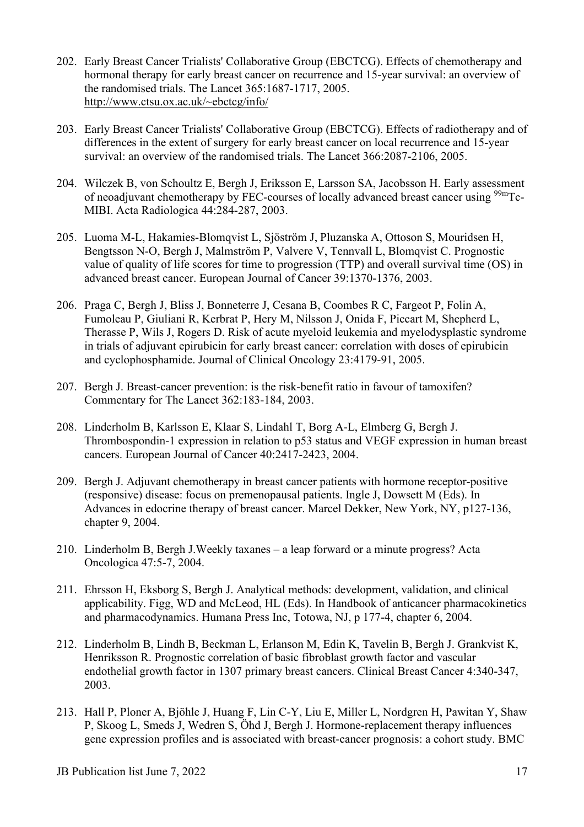- 202. Early Breast Cancer Trialists' Collaborative Group (EBCTCG). Effects of chemotherapy and hormonal therapy for early breast cancer on recurrence and 15-year survival: an overview of the randomised trials. The Lancet 365:1687-1717, 2005. [http://www.ctsu.ox.ac.uk/~ebctcg/info/](http://www.ctsu.ox.ac.uk/%7Eebctcg/info/)
- 203. Early Breast Cancer Trialists' Collaborative Group (EBCTCG). Effects of radiotherapy and of differences in the extent of surgery for early breast cancer on local recurrence and 15-year survival: an overview of the randomised trials. The Lancet 366:2087-2106, 2005.
- 204. Wilczek B, von Schoultz E, Bergh J, Eriksson E, Larsson SA, Jacobsson H. Early assessment of neoadjuvant chemotherapy by FEC-courses of locally advanced breast cancer using <sup>99m</sup>Tc-MIBI. Acta Radiologica 44:284-287, 2003.
- 205. Luoma M-L, Hakamies-Blomqvist L, Sjöström J, Pluzanska A, Ottoson S, Mouridsen H, Bengtsson N-O, Bergh J, Malmström P, Valvere V, Tennvall L, Blomqvist C. Prognostic value of quality of life scores for time to progression (TTP) and overall survival time (OS) in advanced breast cancer. European Journal of Cancer 39:1370-1376, 2003.
- 206. Praga C, Bergh J, Bliss J, Bonneterre J, Cesana B, Coombes R C, Fargeot P, Folin A, Fumoleau P, Giuliani R, Kerbrat P, Hery M, Nilsson J, Onida F, Piccart M, Shepherd L, Therasse P, Wils J, Rogers D. Risk of acute myeloid leukemia and myelodysplastic syndrome in trials of adjuvant epirubicin for early breast cancer: correlation with doses of epirubicin and cyclophosphamide. Journal of Clinical Oncology 23:4179-91, 2005.
- 207. Bergh J. Breast-cancer prevention: is the risk-benefit ratio in favour of tamoxifen? Commentary for The Lancet 362:183-184, 2003.
- 208. Linderholm B, Karlsson E, Klaar S, Lindahl T, Borg A-L, Elmberg G, Bergh J. Thrombospondin-1 expression in relation to p53 status and VEGF expression in human breast cancers. European Journal of Cancer 40:2417-2423, 2004.
- 209. Bergh J. Adjuvant chemotherapy in breast cancer patients with hormone receptor-positive (responsive) disease: focus on premenopausal patients. Ingle J, Dowsett M (Eds). In Advances in edocrine therapy of breast cancer. Marcel Dekker, New York, NY, p127-136, chapter 9, 2004.
- 210. Linderholm B, Bergh J.Weekly taxanes a leap forward or a minute progress? Acta Oncologica 47:5-7, 2004.
- 211. Ehrsson H, Eksborg S, Bergh J. Analytical methods: development, validation, and clinical applicability. Figg, WD and McLeod, HL (Eds). In Handbook of anticancer pharmacokinetics and pharmacodynamics. Humana Press Inc, Totowa, NJ, p 177-4, chapter 6, 2004.
- 212. Linderholm B, Lindh B, Beckman L, Erlanson M, Edin K, Tavelin B, Bergh J. Grankvist K, Henriksson R. Prognostic correlation of basic fibroblast growth factor and vascular endothelial growth factor in 1307 primary breast cancers. Clinical Breast Cancer 4:340-347, 2003.
- 213. Hall P, Ploner A, Bjöhle J, Huang F, Lin C-Y, Liu E, Miller L, Nordgren H, Pawitan Y, Shaw P, Skoog L, Smeds J, Wedren S, Öhd J, Bergh J. Hormone-replacement therapy influences gene expression profiles and is associated with breast-cancer prognosis: a cohort study. BMC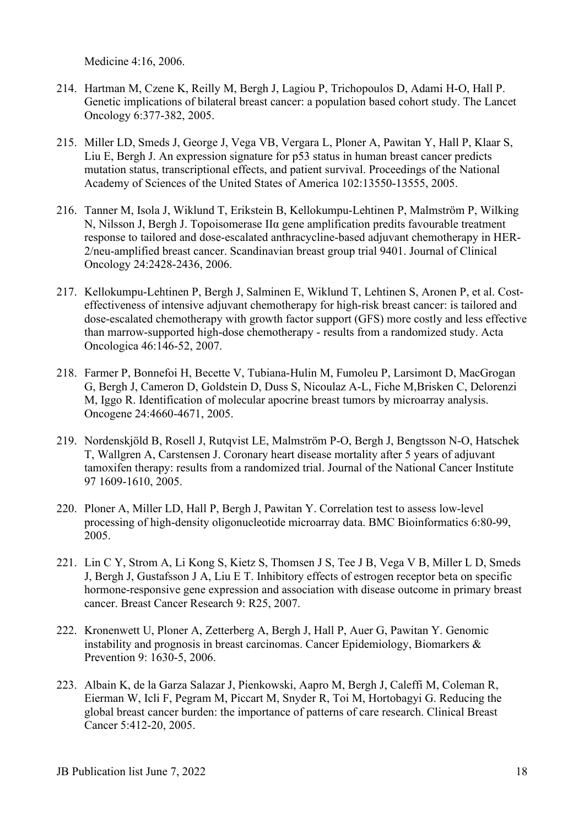Medicine 4:16, 2006.

- 214. Hartman M, Czene K, Reilly M, Bergh J, Lagiou P, Trichopoulos D, Adami H-O, Hall P. Genetic implications of bilateral breast cancer: a population based cohort study. The Lancet Oncology 6:377-382, 2005.
- 215. Miller LD, Smeds J, George J, Vega VB, Vergara L, Ploner A, Pawitan Y, Hall P, Klaar S, Liu E, Bergh J. An expression signature for p53 status in human breast cancer predicts mutation status, transcriptional effects, and patient survival. Proceedings of the National Academy of Sciences of the United States of America 102:13550-13555, 2005.
- 216. Tanner M, Isola J, Wiklund T, Erikstein B, Kellokumpu-Lehtinen P, Malmström P, Wilking N, Nilsson J, Bergh J. Topoisomerase IIα gene amplification predits favourable treatment response to tailored and dose-escalated anthracycline-based adjuvant chemotherapy in HER-2/neu-amplified breast cancer. Scandinavian breast group trial 9401. Journal of Clinical Oncology 24:2428-2436, 2006.
- 217. Kellokumpu-Lehtinen P, Bergh J, Salminen E, Wiklund T, Lehtinen S, Aronen P, et al. Costeffectiveness of intensive adjuvant chemotherapy for high-risk breast cancer: is tailored and dose-escalated chemotherapy with growth factor support (GFS) more costly and less effective than marrow-supported high-dose chemotherapy - results from a randomized study. Acta Oncologica 46:146-52, 2007.
- 218. Farmer P, Bonnefoi H, Becette V, Tubiana-Hulin M, Fumoleu P, Larsimont D, MacGrogan G, Bergh J, Cameron D, Goldstein D, Duss S, Nicoulaz A-L, Fiche M,Brisken C, Delorenzi M, Iggo R. Identification of molecular apocrine breast tumors by microarray analysis. Oncogene 24:4660-4671, 2005.
- 219. Nordenskjöld B, Rosell J, Rutqvist LE, Malmström P-O, Bergh J, Bengtsson N-O, Hatschek T, Wallgren A, Carstensen J. Coronary heart disease mortality after 5 years of adjuvant tamoxifen therapy: results from a randomized trial. Journal of the National Cancer Institute 97 1609-1610, 2005.
- 220. Ploner A, Miller LD, Hall P, Bergh J, Pawitan Y. Correlation test to assess low-level processing of high-density oligonucleotide microarray data. BMC Bioinformatics 6:80-99, 2005.
- 221. Lin C Y, Strom A, Li Kong S, Kietz S, Thomsen J S, Tee J B, Vega V B, Miller L D, Smeds J, Bergh J, Gustafsson J A, Liu E T. Inhibitory effects of estrogen receptor beta on specific hormone-responsive gene expression and association with disease outcome in primary breast cancer. Breast Cancer Research 9: R25, 2007.
- 222. Kronenwett U, Ploner A, Zetterberg A, Bergh J, Hall P, Auer G, Pawitan Y. Genomic instability and prognosis in breast carcinomas. Cancer Epidemiology, Biomarkers & Prevention 9: 1630-5, 2006.
- 223. Albain K, de la Garza Salazar J, Pienkowski, Aapro M, Bergh J, Caleffi M, Coleman R, Eierman W, Icli F, Pegram M, Piccart M, Snyder R, Toi M, Hortobagyi G. Reducing the global breast cancer burden: the importance of patterns of care research. Clinical Breast Cancer 5:412-20, 2005.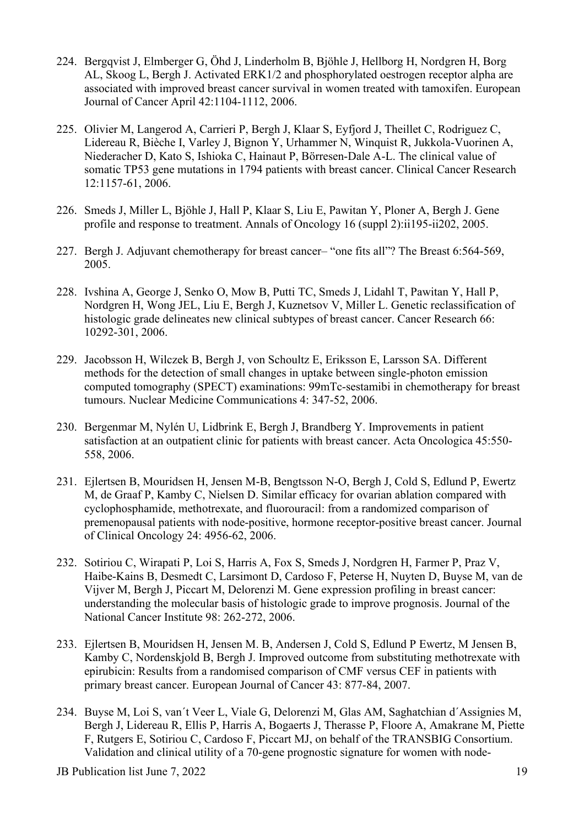- 224. Bergqvist J, Elmberger G, Öhd J, Linderholm B, Bjöhle J, Hellborg H, Nordgren H, Borg AL, Skoog L, Bergh J. Activated ERK1/2 and phosphorylated oestrogen receptor alpha are associated with improved breast cancer survival in women treated with tamoxifen. European Journal of Cancer April 42:1104-1112, 2006.
- 225. Olivier M, Langerod A, Carrieri P, Bergh J, Klaar S, Eyfjord J, Theillet C, Rodriguez C, Lidereau R, Bièche I, Varley J, Bignon Y, Urhammer N, Winquist R, Jukkola-Vuorinen A, Niederacher D, Kato S, Ishioka C, Hainaut P, Börresen-Dale A-L. The clinical value of somatic TP53 gene mutations in 1794 patients with breast cancer. Clinical Cancer Research 12:1157-61, 2006.
- 226. Smeds J, Miller L, Bjöhle J, Hall P, Klaar S, Liu E, Pawitan Y, Ploner A, Bergh J. Gene profile and response to treatment. Annals of Oncology 16 (suppl 2):ii195-ii202, 2005.
- 227. Bergh J. Adjuvant chemotherapy for breast cancer– "one fits all"? The Breast 6:564-569, 2005.
- 228. Ivshina A, George J, Senko O, Mow B, Putti TC, Smeds J, Lidahl T, Pawitan Y, Hall P, Nordgren H, Wong JEL, Liu E, Bergh J, Kuznetsov V, Miller L. Genetic reclassification of histologic grade delineates new clinical subtypes of breast cancer. Cancer Research 66: 10292-301, 2006.
- 229. Jacobsson H, Wilczek B, Bergh J, von Schoultz E, Eriksson E, Larsson SA. Different methods for the detection of small changes in uptake between single-photon emission computed tomography (SPECT) examinations: 99mTc-sestamibi in chemotherapy for breast tumours. Nuclear Medicine Communications 4: 347-52, 2006.
- 230. Bergenmar M, Nylén U, Lidbrink E, Bergh J, Brandberg Y. Improvements in patient satisfaction at an outpatient clinic for patients with breast cancer. Acta Oncologica 45:550- 558, 2006.
- 231. Ejlertsen B, Mouridsen H, Jensen M-B, Bengtsson N-O, Bergh J, Cold S, Edlund P, Ewertz M, de Graaf P, Kamby C, Nielsen D. Similar efficacy for ovarian ablation compared with cyclophosphamide, methotrexate, and fluorouracil: from a randomized comparison of premenopausal patients with node-positive, hormone receptor-positive breast cancer. Journal of Clinical Oncology 24: 4956-62, 2006.
- 232. Sotiriou C, Wirapati P, Loi S, Harris A, Fox S, Smeds J, Nordgren H, Farmer P, Praz V, Haibe-Kains B, Desmedt C, Larsimont D, Cardoso F, Peterse H, Nuyten D, Buyse M, van de Vijver M, Bergh J, Piccart M, Delorenzi M. Gene expression profiling in breast cancer: understanding the molecular basis of histologic grade to improve prognosis. Journal of the National Cancer Institute 98: 262-272, 2006.
- 233. Ejlertsen B, Mouridsen H, Jensen M. B, Andersen J, Cold S, Edlund P Ewertz, M Jensen B, Kamby C, Nordenskjold B, Bergh J. Improved outcome from substituting methotrexate with epirubicin: Results from a randomised comparison of CMF versus CEF in patients with primary breast cancer. European Journal of Cancer 43: 877-84, 2007.
- 234. Buyse M, Loi S, van´t Veer L, Viale G, Delorenzi M, Glas AM, Saghatchian d´Assignies M, Bergh J, Lidereau R, Ellis P, Harris A, Bogaerts J, Therasse P, Floore A, Amakrane M, Piette F, Rutgers E, Sotiriou C, Cardoso F, Piccart MJ, on behalf of the TRANSBIG Consortium. Validation and clinical utility of a 70-gene prognostic signature for women with node-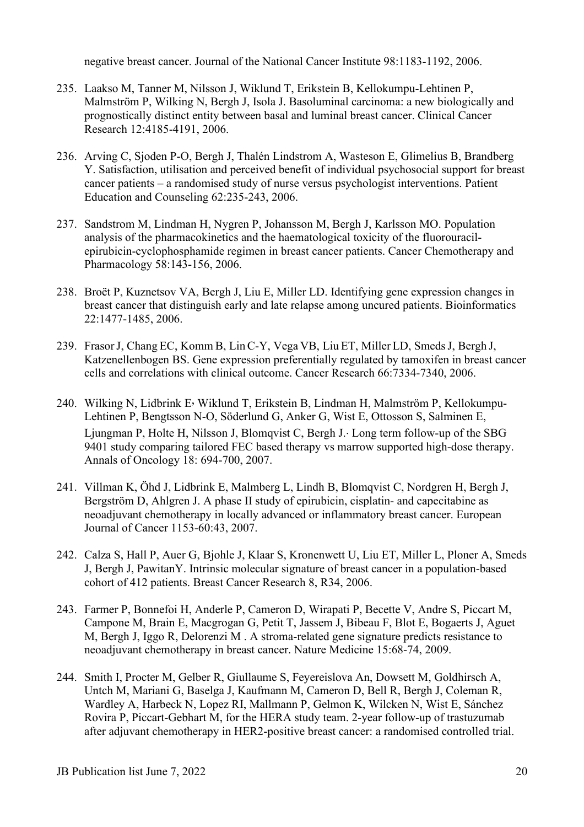negative breast cancer. Journal of the National Cancer Institute 98:1183-1192, 2006.

- 235. Laakso M, Tanner M, Nilsson J, Wiklund T, Erikstein B, Kellokumpu-Lehtinen P, Malmström P, Wilking N, Bergh J, Isola J. Basoluminal carcinoma: a new biologically and prognostically distinct entity between basal and luminal breast cancer. Clinical Cancer Research 12:4185-4191, 2006.
- 236. Arving C, Sjoden P-O, Bergh J, Thalén Lindstrom A, Wasteson E, Glimelius B, Brandberg Y. Satisfaction, utilisation and perceived benefit of individual psychosocial support for breast cancer patients – a randomised study of nurse versus psychologist interventions. Patient Education and Counseling 62:235-243, 2006.
- 237. Sandstrom M, Lindman H, Nygren P, Johansson M, Bergh J, Karlsson MO. Population analysis of the pharmacokinetics and the haematological toxicity of the fluorouracilepirubicin-cyclophosphamide regimen in breast cancer patients. Cancer Chemotherapy and Pharmacology 58:143-156, 2006.
- 238. Broët P, Kuznetsov VA, Bergh J, Liu E, Miller LD. Identifying gene expression changes in breast cancer that distinguish early and late relapse among uncured patients. Bioinformatics 22:1477-1485, 2006.
- 239. FrasorJ, Chang EC, Komm B, LinC-Y, Vega VB, Liu ET, Miller LD, SmedsJ, Bergh J, Katzenellenbogen BS. Gene expression preferentially regulated by tamoxifen in breast cancer cells and correlations with clinical outcome. Cancer Research 66:7334-7340, 2006.
- 240. Wilking N, Lidbrink E, Wiklund T, Erikstein B, Lindman H, Malmström P, Kellokumpu-Lehtinen P, Bengtsson N-O, Söderlund G, Anker G, Wist E, Ottosson S, Salminen E, Ljungman P, Holte H, Nilsson J, Blomqvist C, Bergh J.. Long term follow-up of the SBG 9401 study comparing tailored FEC based therapy vs marrow supported high-dose therapy. Annals of Oncology 18: 694-700, 2007.
- 241. Villman K, Öhd J, Lidbrink E, Malmberg L, Lindh B, Blomqvist C, Nordgren H, Bergh J, Bergström D, Ahlgren J. A phase II study of epirubicin, cisplatin- and capecitabine as neoadjuvant chemotherapy in locally advanced or inflammatory breast cancer. European Journal of Cancer 1153-60:43, 2007.
- 242. Calza S, Hall P, Auer G, Bjohle J, Klaar S, Kronenwett U, Liu ET, Miller L, Ploner A, Smeds J, Bergh J, PawitanY. Intrinsic molecular signature of breast cancer in a population-based cohort of 412 patients. Breast Cancer Research 8, R34, 2006.
- 243. Farmer P, Bonnefoi H, Anderle P, Cameron D, Wirapati P, Becette V, Andre S, Piccart M, Campone M, Brain E, Macgrogan G, Petit T, Jassem J, Bibeau F, Blot E, Bogaerts J, Aguet M, Bergh J, Iggo R, Delorenzi M . A stroma-related gene signature predicts resistance to neoadjuvant chemotherapy in breast cancer. Nature Medicine 15:68-74, 2009.
- 244. Smith I, Procter M, Gelber R, Giullaume S, Feyereislova An, Dowsett M, Goldhirsch A, Untch M, Mariani G, Baselga J, Kaufmann M, Cameron D, Bell R, Bergh J, Coleman R, Wardley A, Harbeck N, Lopez RI, Mallmann P, Gelmon K, Wilcken N, Wist E, Sánchez Rovira P, Piccart-Gebhart M, for the HERA study team. 2-year follow-up of trastuzumab after adjuvant chemotherapy in HER2-positive breast cancer: a randomised controlled trial.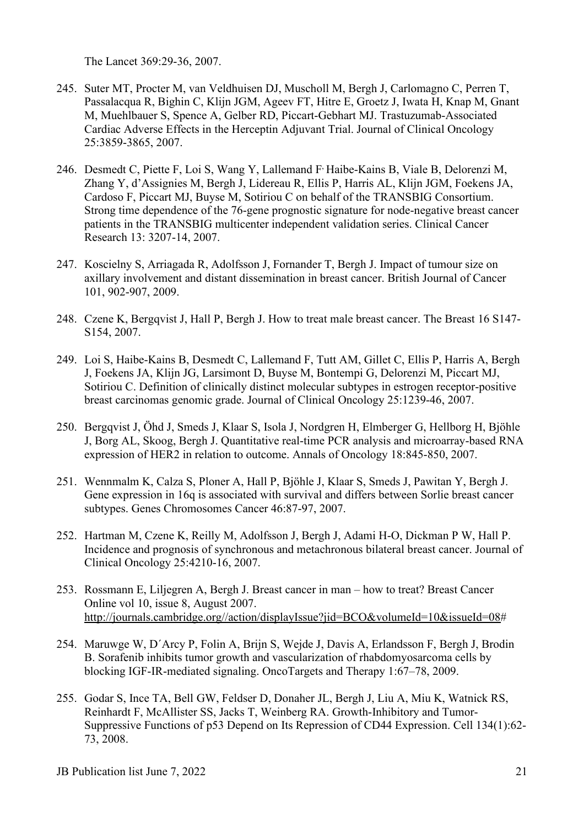The Lancet 369:29-36, 2007.

- 245. Suter MT, Procter M, van Veldhuisen DJ, Muscholl M, Bergh J, Carlomagno C, Perren T, Passalacqua R, Bighin C, Klijn JGM, Ageev FT, Hitre E, Groetz J, Iwata H, Knap M, Gnant M, Muehlbauer S, Spence A, Gelber RD, Piccart-Gebhart MJ. Trastuzumab-Associated Cardiac Adverse Effects in the Herceptin Adjuvant Trial. Journal of Clinical Oncology 25:3859-3865, 2007.
- 246. Desmedt C, Piette F, Loi S, Wang Y, Lallemand F Haibe-Kains B, Viale B, Delorenzi M, Zhang Y, d'Assignies M, Bergh J, Lidereau R, Ellis P, Harris AL, Klijn JGM, Foekens JA, Cardoso F, Piccart MJ, Buyse M, Sotiriou C on behalf of the TRANSBIG Consortium. Strong time dependence of the 76-gene prognostic signature for node-negative breast cancer patients in the TRANSBIG multicenter independent validation series. Clinical Cancer Research 13: 3207-14, 2007.
- 247. Koscielny S, Arriagada R, Adolfsson J, Fornander T, Bergh J. Impact of tumour size on axillary involvement and distant dissemination in breast cancer. British Journal of Cancer 101, 902-907, 2009.
- 248. Czene K, Bergqvist J, Hall P, Bergh J. How to treat male breast cancer. The Breast 16 S147- S154, 2007.
- 249. Loi S, Haibe-Kains B, Desmedt C, Lallemand F, Tutt AM, Gillet C, Ellis P, Harris A, Bergh J, Foekens JA, Klijn JG, Larsimont D, Buyse M, Bontempi G, Delorenzi M, Piccart MJ, Sotiriou C. Definition of clinically distinct molecular subtypes in estrogen receptor-positive breast carcinomas genomic grade. Journal of Clinical Oncology 25:1239-46, 2007.
- 250. Bergqvist J, Öhd J, Smeds J, Klaar S, Isola J, Nordgren H, Elmberger G, Hellborg H, Bjöhle J, Borg AL, Skoog, Bergh J. Quantitative real-time PCR analysis and microarray-based RNA expression of HER2 in relation to outcome. Annals of Oncology 18:845-850, 2007.
- 251. Wennmalm K, Calza S, Ploner A, Hall P, Bjöhle J, Klaar S, Smeds J, Pawitan Y, Bergh J. Gene expression in 16q is associated with survival and differs between Sorlie breast cancer subtypes. Genes Chromosomes Cancer 46:87-97, 2007.
- 252. Hartman M, Czene K, Reilly M, Adolfsson J, Bergh J, Adami H-O, Dickman P W, Hall P. Incidence and prognosis of synchronous and metachronous bilateral breast cancer. Journal of Clinical Oncology 25:4210-16, 2007.
- 253. Rossmann E, Liljegren A, Bergh J. Breast cancer in man how to treat? Breast Cancer Online vol 10, issue 8, August 2007. [http://journals.cambridge.org//action/displayIssue?jid=BCO&volumeId=10&issueId=08#](http://journals.cambridge.org/action/displayIssue?jid=BCO&volumeId=10&issueId=08_)
- 254. Maruwge W, D´Arcy P, Folin A, Brijn S, Wejde J, Davis A, Erlandsson F, Bergh J, Brodin B. Sorafenib inhibits tumor growth and vascularization of rhabdomyosarcoma cells by blocking IGF-IR-mediated signaling. OncoTargets and Therapy 1:67–78, 2009.
- 255. [Godar S, Ince TA, Bell GW, Feldser D, Donaher JL, Bergh J, Liu A, Miu K, Watnick RS,](http://www.ncbi.nlm.nih.gov/sites/pubmed/18614011?ordinalpos=1&itool=EntrezSystem2.PEntrez.Pubmed.Pubmed_ResultsPanel.Pubmed_RVDocSum_)  [Reinhardt F, McAllister SS, Jacks T, Weinberg RA.](http://www.ncbi.nlm.nih.gov/sites/pubmed/18614011?ordinalpos=1&itool=EntrezSystem2.PEntrez.Pubmed.Pubmed_ResultsPanel.Pubmed_RVDocSum_) Growth-Inhibitory and Tumor-Suppressive Functions of p53 Depend on Its Repression of CD44 Expression. Cell 134(1):62- 73, 2008.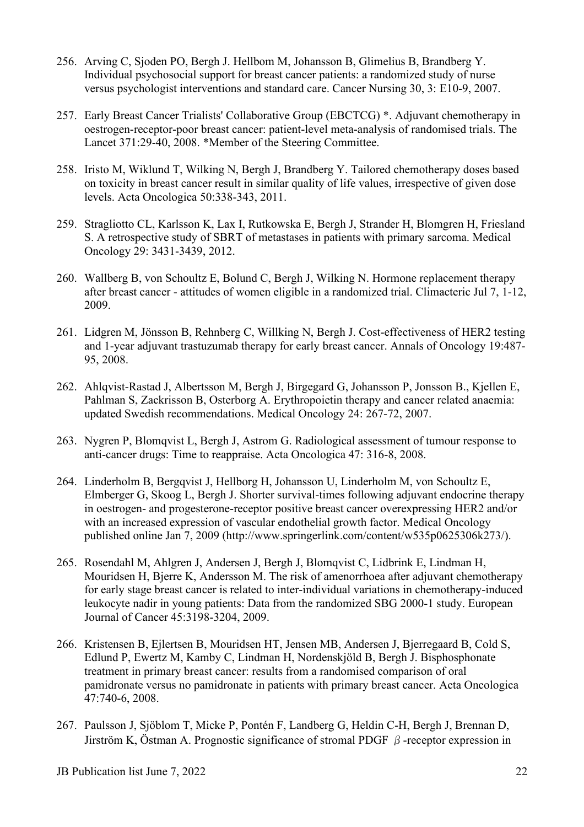- 256. Arving C, Sjoden PO, Bergh J. Hellbom M, Johansson B, Glimelius B, Brandberg Y. Individual psychosocial support for breast cancer patients: a randomized study of nurse versus psychologist interventions and standard care. Cancer Nursing 30, 3: E10-9, 2007.
- 257. Early Breast Cancer Trialists' Collaborative Group (EBCTCG) \*. Adjuvant chemotherapy in oestrogen-receptor-poor breast cancer: patient-level meta-analysis of randomised trials. The Lancet 371:29-40, 2008. \*Member of the Steering Committee.
- 258. Iristo M, Wiklund T, Wilking N, Bergh J, Brandberg Y. Tailored chemotherapy doses based on toxicity in breast cancer result in similar quality of life values, irrespective of given dose levels. Acta Oncologica 50:338-343, 2011.
- 259. Stragliotto CL, Karlsson K, Lax I, Rutkowska E, Bergh J, Strander H, Blomgren H, Friesland S. A retrospective study of SBRT of metastases in patients with primary sarcoma. Medical Oncology 29: 3431-3439, 2012.
- 260. Wallberg B, von Schoultz E, Bolund C, Bergh J, Wilking N. Hormone replacement therapy after breast cancer - attitudes of women eligible in a randomized trial. Climacteric Jul 7, 1-12, 2009.
- 261. Lidgren M, Jönsson B, Rehnberg C, Willking N, Bergh J. Cost-effectiveness of HER2 testing and 1-year adjuvant trastuzumab therapy for early breast cancer. Annals of Oncology 19:487- 95, 2008.
- 262. Ahlqvist-Rastad J, Albertsson M, Bergh J, Birgegard G, Johansson P, Jonsson B., Kjellen E, Pahlman S, Zackrisson B, Osterborg A. Erythropoietin therapy and cancer related anaemia: updated Swedish recommendations. Medical Oncology 24: 267-72, 2007.
- 263. Nygren P, Blomqvist L, Bergh J, Astrom G. Radiological assessment of tumour response to anti-cancer drugs: Time to reappraise. Acta Oncologica 47: 316-8, 2008.
- 264. Linderholm B, Bergqvist J, Hellborg H, Johansson U, Linderholm M, von Schoultz E, Elmberger G, Skoog L, Bergh J. Shorter survival-times following adjuvant endocrine therapy in oestrogen- and progesterone-receptor positive breast cancer overexpressing HER2 and/or with an increased expression of vascular endothelial growth factor. Medical Oncology published online Jan 7, 2009 (http://www.springerlink.com/content/w535p0625306k273/).
- 265. Rosendahl M, Ahlgren J, Andersen J, Bergh J, Blomqvist C, Lidbrink E, Lindman H, Mouridsen H, Bjerre K, Andersson M. The risk of amenorrhoea after adjuvant chemotherapy for early stage breast cancer is related to inter-individual variations in chemotherapy-induced leukocyte nadir in young patients: Data from the randomized SBG 2000-1 study. European Journal of Cancer 45:3198-3204, 2009.
- 266. Kristensen B, Ejlertsen B, Mouridsen HT, Jensen MB, Andersen J, Bjerregaard B, Cold S, Edlund P, Ewertz M, Kamby C, Lindman H, Nordenskjöld B, Bergh J. Bisphosphonate treatment in primary breast cancer: results from a randomised comparison of oral pamidronate versus no pamidronate in patients with primary breast cancer. Acta Oncologica 47:740-6, 2008.
- 267. Paulsson J, Sjöblom T, Micke P, Pontén F, Landberg G, Heldin C-H, Bergh J, Brennan D, Jirström K, Östman A. Prognostic significance of stromal PDGF  $\beta$ -receptor expression in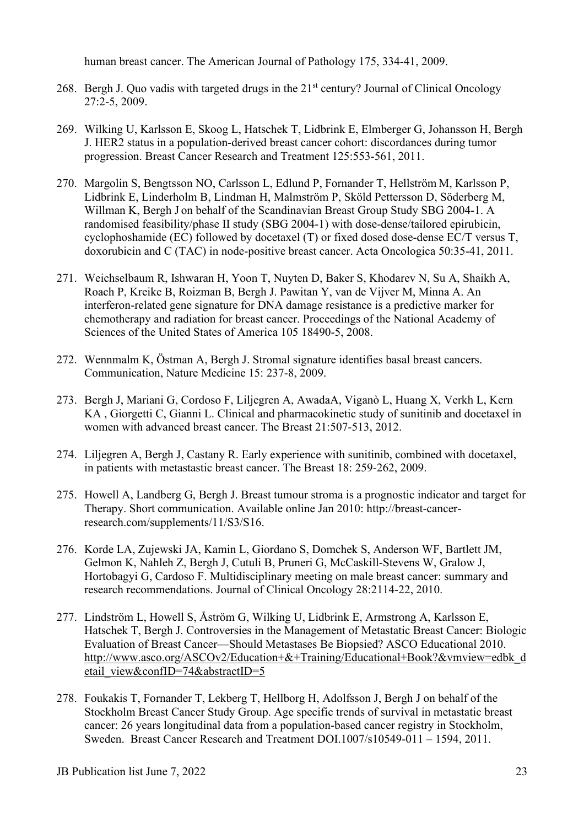human breast cancer. The American Journal of Pathology 175, 334-41, 2009.

- 268. Bergh J. Quo vadis with targeted drugs in the  $21<sup>st</sup>$  century? Journal of Clinical Oncology 27:2-5, 2009.
- 269. Wilking U, Karlsson E, Skoog L, Hatschek T, Lidbrink E, Elmberger G, Johansson H, Bergh J. HER2 status in a population-derived breast cancer cohort: discordances during tumor progression. Breast Cancer Research and Treatment 125:553-561, 2011.
- 270. Margolin S, Bengtsson NO, Carlsson L, Edlund P, Fornander T, Hellström M, Karlsson P, Lidbrink E, Linderholm B, Lindman H, Malmström P, Sköld Pettersson D, Söderberg M, Willman K, Bergh J on behalf of the Scandinavian Breast Group Study SBG 2004-1. A randomised feasibility/phase II study (SBG 2004-1) with dose-dense/tailored epirubicin, cyclophoshamide (EC) followed by docetaxel (T) or fixed dosed dose-dense EC/T versus T, doxorubicin and C (TAC) in node-positive breast cancer. Acta Oncologica 50:35-41, 2011.
- 271. Weichselbaum R, Ishwaran H, Yoon T, Nuyten D, Baker S, Khodarev N, Su A, Shaikh A, Roach P, Kreike B, Roizman B, Bergh J. Pawitan Y, van de Vijver M, Minna A. An interferon-related gene signature for DNA damage resistance is a predictive marker for chemotherapy and radiation for breast cancer. Proceedings of the National Academy of Sciences of the United States of America 105 18490-5, 2008.
- 272. Wennmalm K, Östman A, Bergh J. Stromal signature identifies basal breast cancers. Communication, Nature Medicine 15: 237-8, 2009.
- 273. Bergh J, Mariani G, Cordoso F, Liljegren A, AwadaA, Viganò L, Huang X, Verkh L, Kern KA , Giorgetti C, Gianni L. Clinical and pharmacokinetic study of sunitinib and docetaxel in women with advanced breast cancer. The Breast 21:507-513, 2012.
- 274. Liljegren A, Bergh J, Castany R. Early experience with sunitinib, combined with docetaxel, in patients with metastastic breast cancer. The Breast 18: 259-262, 2009.
- 275. Howell A, Landberg G, Bergh J. Breast tumour stroma is a prognostic indicator and target for Therapy. Short communication. Available online Jan 2010: http://breast-cancerresearch.com/supplements/11/S3/S16.
- 276. Korde LA, Zujewski JA, Kamin L, Giordano S, Domchek S, Anderson WF, Bartlett JM, Gelmon K, Nahleh Z, Bergh J, Cutuli B, Pruneri G, McCaskill-Stevens W, Gralow J, Hortobagyi G, Cardoso F. Multidisciplinary meeting on male breast cancer: summary and research recommendations. Journal of Clinical Oncology 28:2114-22, 2010.
- 277. Lindström L, Howell S, Åström G, Wilking U, Lidbrink E, Armstrong A, Karlsson E, Hatschek T, Bergh J. Controversies in the Management of Metastatic Breast Cancer: Biologic Evaluation of Breast Cancer—Should Metastases Be Biopsied? ASCO Educational 2010. [http://www.asco.org/ASCOv2/Education+&+Training/Educational+Book?&vmview=edbk\\_d](http://www.asco.org/ASCOv2/Education+&+Training/Educational+Book?&vmview=edbk_detail_view&confID=74&abstractID=5) [etail\\_view&confID=74&abstractID=5](http://www.asco.org/ASCOv2/Education+&+Training/Educational+Book?&vmview=edbk_detail_view&confID=74&abstractID=5)
- 278. Foukakis T, Fornander T, Lekberg T, Hellborg H, Adolfsson J, Bergh J on behalf of the Stockholm Breast Cancer Study Group. Age specific trends of survival in metastatic breast cancer: 26 years longitudinal data from a population-based cancer registry in Stockholm, Sweden. Breast Cancer Research and Treatment DOI.1007/s10549-011 – 1594, 2011.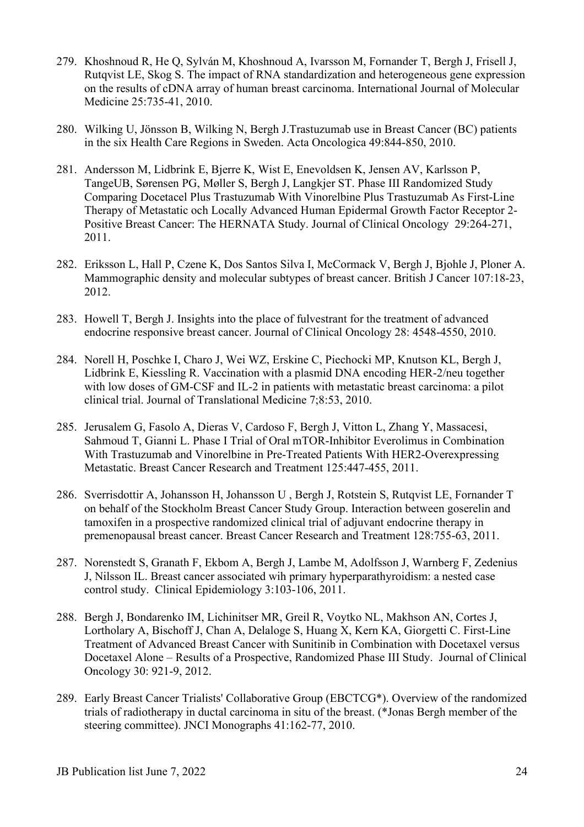- 279. Khoshnoud R, He Q, Sylván M, Khoshnoud A, Ivarsson M, Fornander T, Bergh J, Frisell J, Rutqvist LE, Skog S. The impact of RNA standardization and heterogeneous gene expression on the results of cDNA array of human breast carcinoma. International Journal of Molecular Medicine 25:735-41, 2010.
- 280. Wilking U, Jönsson B, Wilking N, Bergh J.Trastuzumab use in Breast Cancer (BC) patients in the six Health Care Regions in Sweden. Acta Oncologica 49:844-850, 2010.
- 281. Andersson M, Lidbrink E, Bjerre K, Wist E, Enevoldsen K, Jensen AV, Karlsson P, TangeUB, Sørensen PG, Møller S, Bergh J, Langkjer ST. Phase III Randomized Study Comparing Docetacel Plus Trastuzumab With Vinorelbine Plus Trastuzumab As First-Line Therapy of Metastatic och Locally Advanced Human Epidermal Growth Factor Receptor 2- Positive Breast Cancer: The HERNATA Study. Journal of Clinical Oncology [29:264-271,](javascript:AL_get(this,%20)  [2011.](javascript:AL_get(this,%20)
- 282. Eriksson L, Hall P, Czene K, Dos Santos Silva I, McCormack V, Bergh J, Bjohle J, Ploner A. Mammographic density and molecular subtypes of breast cancer. British J Cancer 107:18-23, 2012.
- 283. Howell T, Bergh J. Insights into the place of fulvestrant for the treatment of advanced endocrine responsive breast cancer. Journal of Clinical Oncology 28: 4548-4550, 2010.
- 284. Norell H, Poschke I, Charo J, Wei WZ, Erskine C, Piechocki MP, Knutson KL, Bergh J, Lidbrink E, Kiessling R. Vaccination with a plasmid DNA encoding HER-2/neu together with low doses of GM-CSF and IL-2 in patients with metastatic breast carcinoma: a pilot clinical trial. Journal of Translational Medicine 7;8:53, 2010.
- 285. Jerusalem G, Fasolo A, Dieras V, Cardoso F, Bergh J, Vitton L, Zhang Y, Massacesi, Sahmoud T, Gianni L. Phase I Trial of Oral mTOR-Inhibitor Everolimus in Combination With Trastuzumab and Vinorelbine in Pre-Treated Patients With HER2-Overexpressing Metastatic. Breast Cancer Research and Treatment 125:447-455, 2011.
- 286. Sverrisdottir A, Johansson H, Johansson U , Bergh J, Rotstein S, Rutqvist LE, Fornander T on behalf of the Stockholm Breast Cancer Study Group. Interaction between goserelin and tamoxifen in a prospective randomized clinical trial of adjuvant endocrine therapy in premenopausal breast cancer. Breast Cancer Research and Treatment 128:755-63, 2011.
- 287. Norenstedt S, Granath F, Ekbom A, Bergh J, Lambe M, Adolfsson J, Warnberg F, Zedenius J, Nilsson IL. Breast cancer associated wih primary hyperparathyroidism: a nested case control study. Clinical Epidemiology 3:103-106, 2011.
- 288. Bergh J, Bondarenko IM, Lichinitser MR, Greil R, Voytko NL, Makhson AN, Cortes J, Lortholary A, Bischoff J, Chan A, Delaloge S, Huang X, Kern KA, Giorgetti C. First-Line Treatment of Advanced Breast Cancer with Sunitinib in Combination with Docetaxel versus Docetaxel Alone – Results of a Prospective, Randomized Phase III Study. Journal of Clinical Oncology 30: 921-9, 2012.
- 289. Early Breast Cancer Trialists' Collaborative Group (EBCTCG\*). Overview of the randomized trials of radiotherapy in ductal carcinoma in situ of the breast. (\*Jonas Bergh member of the steering committee). JNCI Monographs 41:162-77, 2010.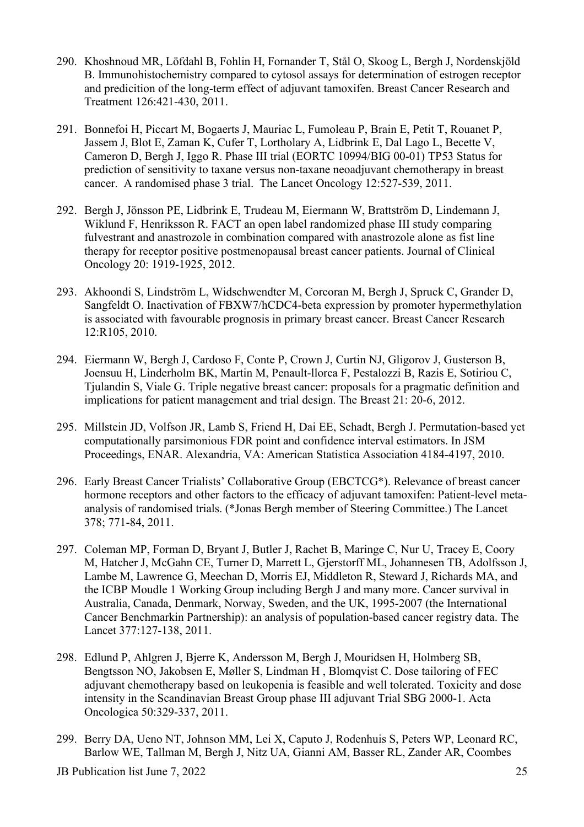- 290. Khoshnoud MR, Löfdahl B, Fohlin H, Fornander T, Stål O, Skoog L, Bergh J, Nordenskjöld B. Immunohistochemistry compared to cytosol assays for determination of estrogen receptor and predicition of the long-term effect of adjuvant tamoxifen. Breast Cancer Research and Treatment 126:421-430, 2011.
- 291. Bonnefoi H, Piccart M, Bogaerts J, Mauriac L, Fumoleau P, Brain E, Petit T, Rouanet P, Jassem J, Blot E, Zaman K, Cufer T, Lortholary A, Lidbrink E, Dal Lago L, Becette V, Cameron D, Bergh J, Iggo R. Phase III trial (EORTC 10994/BIG 00-01) TP53 Status for prediction of sensitivity to taxane versus non-taxane neoadjuvant chemotherapy in breast cancer. A randomised phase 3 trial. The Lancet Oncology 12:527-539, 2011.
- 292. Bergh J, Jönsson PE, Lidbrink E, Trudeau M, Eiermann W, Brattström D, Lindemann J, Wiklund F, Henriksson R. FACT an open label randomized phase III study comparing fulvestrant and anastrozole in combination compared with anastrozole alone as fist line therapy for receptor positive postmenopausal breast cancer patients. Journal of Clinical Oncology 20: 1919-1925, 2012.
- 293. Akhoondi S, Lindström L, Widschwendter M, Corcoran M, Bergh J, Spruck C, Grander D, Sangfeldt O. Inactivation of FBXW7/hCDC4-beta expression by promoter hypermethylation is associated with favourable prognosis in primary breast cancer. Breast Cancer Research 12:R105, 2010.
- 294. Eiermann W, Bergh J, Cardoso F, Conte P, Crown J, Curtin NJ, Gligorov J, Gusterson B, Joensuu H, Linderholm BK, Martin M, Penault-llorca F, Pestalozzi B, Razis E, Sotiriou C, Tjulandin S, Viale G. Triple negative breast cancer: proposals for a pragmatic definition and implications for patient management and trial design. The Breast 21: 20-6, 2012.
- 295. Millstein JD, Volfson JR, Lamb S, Friend H, Dai EE, Schadt, Bergh J. Permutation-based yet computationally parsimonious FDR point and confidence interval estimators. In JSM Proceedings, ENAR. Alexandria, VA: American Statistica Association 4184-4197, 2010.
- 296. Early Breast Cancer Trialists' Collaborative Group (EBCTCG\*). Relevance of breast cancer hormone receptors and other factors to the efficacy of adjuvant tamoxifen: Patient-level metaanalysis of randomised trials. (\*Jonas Bergh member of Steering Committee.) The Lancet 378; 771-84, 2011.
- 297. Coleman MP, Forman D, Bryant J, Butler J, Rachet B, Maringe C, Nur U, Tracey E, Coory M, Hatcher J, McGahn CE, Turner D, Marrett L, Gjerstorff ML, Johannesen TB, Adolfsson J, Lambe M, Lawrence G, Meechan D, Morris EJ, Middleton R, Steward J, Richards MA, and the ICBP Moudle 1 Working Group including Bergh J and many more. Cancer survival in Australia, Canada, Denmark, Norway, Sweden, and the UK, 1995-2007 (the International Cancer Benchmarkin Partnership): an analysis of population-based cancer registry data. The Lancet 377:127-138, 2011.
- 298. Edlund P, Ahlgren J, Bjerre K, Andersson M, Bergh J, Mouridsen H, Holmberg SB, Bengtsson NO, Jakobsen E, Møller S, Lindman H , Blomqvist C. Dose tailoring of FEC adjuvant chemotherapy based on leukopenia is feasible and well tolerated. Toxicity and dose intensity in the Scandinavian Breast Group phase III adjuvant Trial SBG 2000-1. Acta Oncologica 50:329-337, 2011.
- 299. Berry DA, Ueno NT, Johnson MM, Lei X, Caputo J, Rodenhuis S, Peters WP, Leonard RC, Barlow WE, Tallman M, Bergh J, Nitz UA, Gianni AM, Basser RL, Zander AR, Coombes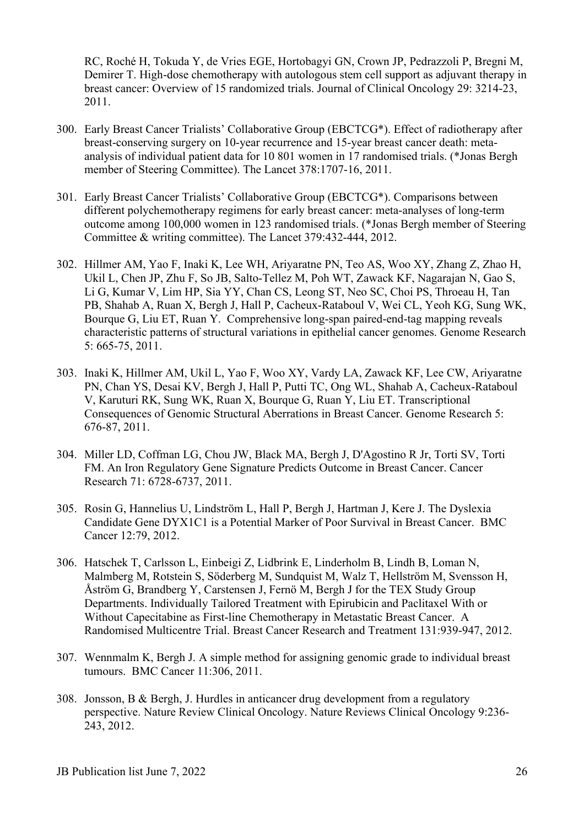RC, Roché H, Tokuda Y, de Vries EGE, Hortobagyi GN, Crown JP, Pedrazzoli P, Bregni M, Demirer T. High-dose chemotherapy with autologous stem cell support as adjuvant therapy in breast cancer: Overview of 15 randomized trials. Journal of Clinical Oncology 29: 3214-23, 2011.

- 300. Early Breast Cancer Trialists' Collaborative Group (EBCTCG\*). Effect of radiotherapy after breast-conserving surgery on 10-year recurrence and 15-year breast cancer death: metaanalysis of individual patient data for 10 801 women in 17 randomised trials. (\*Jonas Bergh member of Steering Committee). The Lancet 378:1707-16, 2011.
- 301. Early Breast Cancer Trialists' Collaborative Group (EBCTCG\*). Comparisons between different polychemotherapy regimens for early breast cancer: meta-analyses of long-term outcome among 100,000 women in 123 randomised trials. (\*Jonas Bergh member of Steering Committee & writing committee). The Lancet 379:432-444, 2012.
- 302. Hillmer AM, Yao F, Inaki K, Lee WH, Ariyaratne PN, Teo AS, Woo XY, Zhang Z, Zhao H, Ukil L, Chen JP, Zhu F, So JB, Salto-Tellez M, Poh WT, Zawack KF, Nagarajan N, Gao S, Li G, Kumar V, Lim HP, Sia YY, Chan CS, Leong ST, Neo SC, Choi PS, Throeau H, Tan PB, Shahab A, Ruan X, Bergh J, Hall P, Cacheux-Rataboul V, Wei CL, Yeoh KG, Sung WK, Bourque G, Liu ET, Ruan Y. Comprehensive long-span paired-end-tag mapping reveals characteristic patterns of structural variations in epithelial cancer genomes. Genome Research 5: 665-75, 2011.
- 303. Inaki K, Hillmer AM, Ukil L, Yao F, Woo XY, Vardy LA, Zawack KF, Lee CW, Ariyaratne PN, Chan YS, Desai KV, Bergh J, Hall P, Putti TC, Ong WL, Shahab A, Cacheux-Rataboul V, Karuturi RK, Sung WK, Ruan X, Bourque G, Ruan Y, Liu ET. Transcriptional Consequences of Genomic Structural Aberrations in Breast Cancer. Genome Research 5: 676-87, 2011.
- 304. Miller LD, Coffman LG, Chou JW, Black MA, Bergh J, D'Agostino R Jr, Torti SV, Torti FM. An Iron Regulatory Gene Signature Predicts Outcome in Breast Cancer. Cancer Research 71: 6728-6737, 2011.
- 305. Rosin G, Hannelius U, Lindström L, Hall P, Bergh J, Hartman J, Kere J. The Dyslexia Candidate Gene DYX1C1 is a Potential Marker of Poor Survival in Breast Cancer. BMC Cancer 12:79, 2012.
- 306. Hatschek T, Carlsson L, Einbeigi Z, Lidbrink E, Linderholm B, Lindh B, Loman N, Malmberg M, Rotstein S, Söderberg M, Sundquist M, Walz T, Hellström M, Svensson H, Åström G, Brandberg Y, Carstensen J, Fernö M, Bergh J for the TEX Study Group Departments. Individually Tailored Treatment with Epirubicin and Paclitaxel With or Without Capecitabine as First-line Chemotherapy in Metastatic Breast Cancer. A Randomised Multicentre Trial. Breast Cancer Research and Treatment 131:939-947, 2012.
- 307. Wennmalm K, Bergh J. A simple method for assigning genomic grade to individual breast tumours. BMC Cancer 11:306, 2011.
- 308. Jonsson, B & Bergh, J. Hurdles in anticancer drug development from a regulatory perspective. Nature Review Clinical Oncology. Nature Reviews Clinical Oncology 9:236- 243, 2012.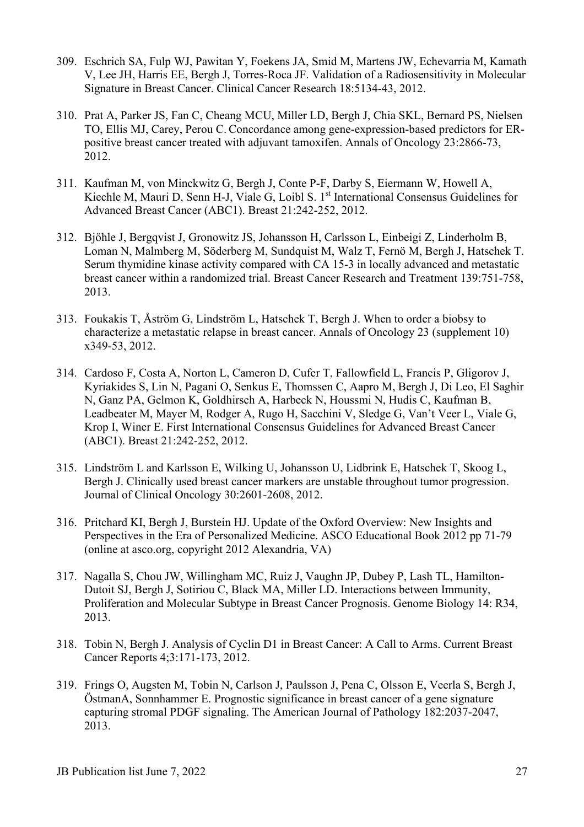- 309. Eschrich SA, Fulp WJ, Pawitan Y, Foekens JA, Smid M, Martens JW, Echevarria M, Kamath V, Lee JH, Harris EE, Bergh J, Torres-Roca JF. Validation of a Radiosensitivity in Molecular Signature in Breast Cancer. Clinical Cancer Research 18:5134-43, 2012.
- 310. Prat A, Parker JS, Fan C, Cheang MCU, Miller LD, Bergh J, Chia SKL, Bernard PS, Nielsen TO, Ellis MJ, Carey, Perou C. Concordance among gene-expression-based predictors for ERpositive breast cancer treated with adjuvant tamoxifen. Annals of Oncology 23:2866-73, 2012.
- 311. Kaufman M, von Minckwitz G, Bergh J, Conte P-F, Darby S, Eiermann W, Howell A, Kiechle M, Mauri D, Senn H-J, Viale G, Loibl S. 1<sup>st</sup> International Consensus Guidelines for Advanced Breast Cancer (ABC1). Breast 21:242-252, 2012.
- 312. Bjöhle J, Bergqvist J, Gronowitz JS, Johansson H, Carlsson L, Einbeigi Z, Linderholm B, Loman N, Malmberg M, Söderberg M, Sundquist M, Walz T, Fernö M, Bergh J, Hatschek T. Serum thymidine kinase activity compared with CA 15-3 in locally advanced and metastatic breast cancer within a randomized trial. Breast Cancer Research and Treatment 139:751-758, 2013.
- 313. Foukakis T, Åström G, Lindström L, Hatschek T, Bergh J. When to order a biobsy to characterize a metastatic relapse in breast cancer. Annals of Oncology 23 (supplement 10) x349-53, 2012.
- 314. Cardoso F, Costa A, Norton L, Cameron D, Cufer T, Fallowfield L, Francis P, Gligorov J, Kyriakides S, Lin N, Pagani O, Senkus E, Thomssen C, Aapro M, Bergh J, Di Leo, El Saghir N, Ganz PA, Gelmon K, Goldhirsch A, Harbeck N, Houssmi N, Hudis C, Kaufman B, Leadbeater M, Mayer M, Rodger A, Rugo H, Sacchini V, Sledge G, Van't Veer L, Viale G, Krop I, Winer E. First International Consensus Guidelines for Advanced Breast Cancer (ABC1). Breast 21:242-252, 2012.
- 315. Lindström L and Karlsson E, Wilking U, Johansson U, Lidbrink E, Hatschek T, Skoog L, Bergh J. Clinically used breast cancer markers are unstable throughout tumor progression. Journal of Clinical Oncology 30:2601-2608, 2012.
- 316. Pritchard KI, Bergh J, Burstein HJ. Update of the Oxford Overview: New Insights and Perspectives in the Era of Personalized Medicine. ASCO Educational Book 2012 pp 71-79 (online at asco.org, copyright 2012 Alexandria, VA)
- 317. Nagalla S, Chou JW, Willingham MC, Ruiz J, Vaughn JP, Dubey P, Lash TL, Hamilton-Dutoit SJ, Bergh J, Sotiriou C, Black MA, Miller LD. Interactions between Immunity, Proliferation and Molecular Subtype in Breast Cancer Prognosis. Genome Biology 14: R34, 2013.
- 318. Tobin N, Bergh J. Analysis of Cyclin D1 in Breast Cancer: A Call to Arms. Current Breast Cancer Reports 4;3:171-173, 2012.
- 319. Frings O, Augsten M, Tobin N, Carlson J, Paulsson J, Pena C, Olsson E, Veerla S, Bergh J, ÖstmanA, Sonnhammer E. Prognostic significance in breast cancer of a gene signature capturing stromal PDGF signaling. The American Journal of Pathology 182:2037-2047, 2013.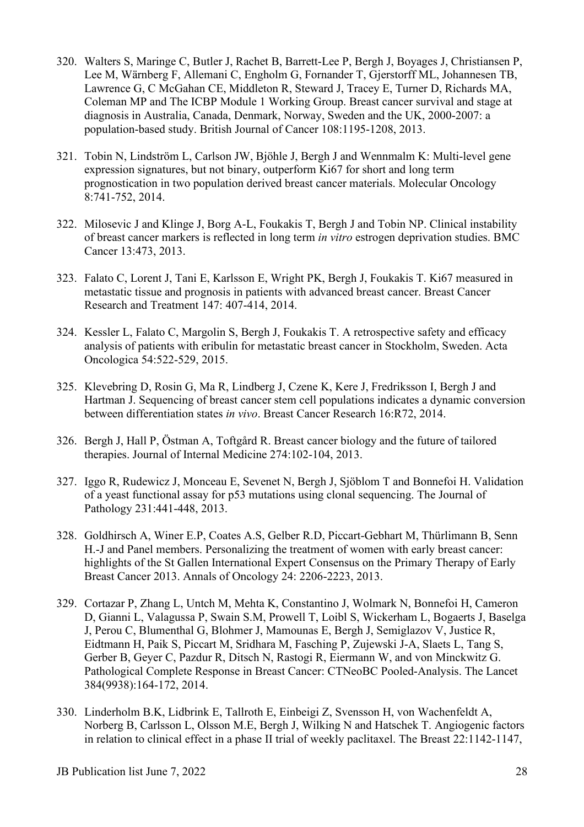- 320. Walters S, Maringe C, Butler J, Rachet B, Barrett-Lee P, Bergh J, Boyages J, Christiansen P, Lee M, Wärnberg F, Allemani C, Engholm G, Fornander T, Gjerstorff ML, Johannesen TB, Lawrence G, C McGahan CE, Middleton R, Steward J, Tracey E, Turner D, Richards MA, Coleman MP and The ICBP Module 1 Working Group. Breast cancer survival and stage at diagnosis in Australia, Canada, Denmark, Norway, Sweden and the UK, 2000-2007: a population-based study. British Journal of Cancer 108:1195-1208, 2013.
- 321. Tobin N, Lindström L, Carlson JW, Bjöhle J, Bergh J and Wennmalm K: Multi-level gene expression signatures, but not binary, outperform Ki67 for short and long term prognostication in two population derived breast cancer materials. Molecular Oncology 8:741-752, 2014.
- 322. Milosevic J and Klinge J, Borg A-L, Foukakis T, Bergh J and Tobin NP. Clinical instability of breast cancer markers is reflected in long term *in vitro* estrogen deprivation studies. BMC Cancer 13:473, 2013.
- 323. Falato C, Lorent J, Tani E, Karlsson E, Wright PK, Bergh J, Foukakis T. Ki67 measured in metastatic tissue and prognosis in patients with advanced breast cancer. Breast Cancer Research and Treatment 147: 407-414, 2014.
- 324. Kessler L, Falato C, Margolin S, Bergh J, Foukakis T. A retrospective safety and efficacy analysis of patients with eribulin for metastatic breast cancer in Stockholm, Sweden. Acta Oncologica 54:522-529, 2015.
- 325. Klevebring D, Rosin G, Ma R, Lindberg J, Czene K, Kere J, Fredriksson I, Bergh J and Hartman J. Sequencing of breast cancer stem cell populations indicates a dynamic conversion between differentiation states *in vivo*. Breast Cancer Research 16:R72, 2014.
- 326. Bergh J, Hall P, Östman A, Toftgård R. Breast cancer biology and the future of tailored therapies. Journal of Internal Medicine 274:102-104, 2013.
- 327. Iggo R, Rudewicz J, Monceau E, Sevenet N, Bergh J, Sjöblom T and Bonnefoi H. Validation of a yeast functional assay for p53 mutations using clonal sequencing. The Journal of Pathology 231:441-448, 2013.
- 328. Goldhirsch A, Winer E.P, Coates A.S, Gelber R.D, Piccart-Gebhart M, Thürlimann B, Senn H.-J and Panel members. Personalizing the treatment of women with early breast cancer: highlights of the St Gallen International Expert Consensus on the Primary Therapy of Early Breast Cancer 2013. Annals of Oncology 24: 2206-2223, 2013.
- 329. Cortazar P, Zhang L, Untch M, Mehta K, Constantino J, Wolmark N, Bonnefoi H, Cameron D, Gianni L, Valagussa P, Swain S.M, Prowell T, Loibl S, Wickerham L, Bogaerts J, Baselga J, Perou C, Blumenthal G, Blohmer J, Mamounas E, Bergh J, Semiglazov V, Justice R, Eidtmann H, Paik S, Piccart M, Sridhara M, Fasching P, Zujewski J-A, Slaets L, Tang S, Gerber B, Geyer C, Pazdur R, Ditsch N, Rastogi R, Eiermann W, and von Minckwitz G. Pathological Complete Response in Breast Cancer: CTNeoBC Pooled-Analysis. The Lancet 384(9938):164-172, 2014.
- 330. Linderholm B.K, Lidbrink E, Tallroth E, Einbeigi Z, Svensson H, von Wachenfeldt A, Norberg B, Carlsson L, Olsson M.E, Bergh J, Wilking N and Hatschek T. Angiogenic factors in relation to clinical effect in a phase II trial of weekly paclitaxel. The Breast 22:1142-1147,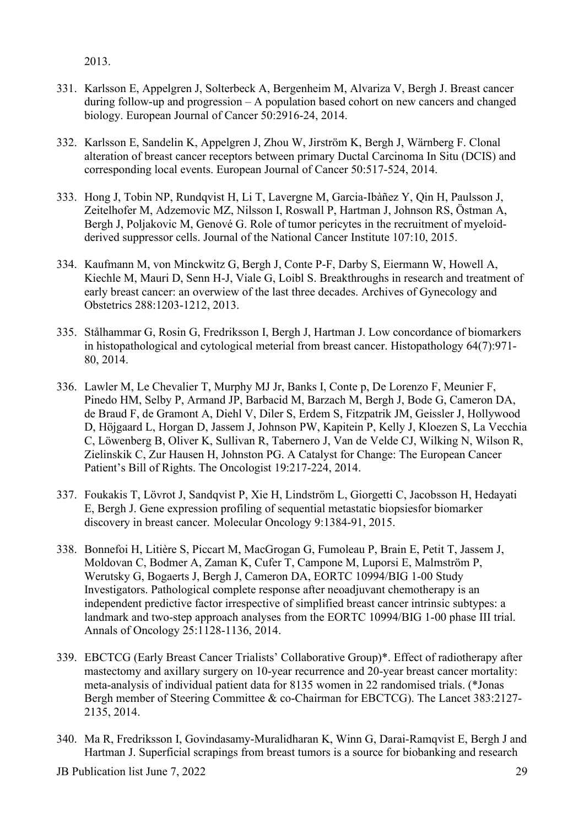2013.

- 331. Karlsson E, Appelgren J, Solterbeck A, Bergenheim M, Alvariza V, Bergh J. Breast cancer during follow-up and progression – A population based cohort on new cancers and changed biology. European Journal of Cancer 50:2916-24, 2014.
- 332. Karlsson E, Sandelin K, Appelgren J, Zhou W, Jirström K, Bergh J, Wärnberg F. Clonal alteration of breast cancer receptors between primary Ductal Carcinoma In Situ (DCIS) and corresponding local events. European Journal of Cancer 50:517-524, 2014.
- 333. Hong J, Tobin NP, Rundqvist H, Li T, Lavergne M, Garcia-Ibàñez Y, Qin H, Paulsson J, Zeitelhofer M, Adzemovic MZ, Nilsson I, Roswall P, Hartman J, Johnson RS, Östman A, Bergh J, Poljakovic M, Genové G. Role of tumor pericytes in the recruitment of myeloidderived suppressor cells. Journal of the National Cancer Institute 107:10, 2015.
- 334. Kaufmann M, von Minckwitz G, Bergh J, Conte P-F, Darby S, Eiermann W, Howell A, Kiechle M, Mauri D, Senn H-J, Viale G, Loibl S. Breakthroughs in research and treatment of early breast cancer: an overwiew of the last three decades. Archives of Gynecology and Obstetrics 288:1203-1212, 2013.
- 335. Stålhammar G, Rosin G, Fredriksson I, Bergh J, Hartman J. Low concordance of biomarkers in histopathological and cytological meterial from breast cancer. Histopathology 64(7):971- 80, 2014.
- 336. Lawler M, Le Chevalier T, Murphy MJ Jr, Banks I, Conte p, De Lorenzo F, Meunier F, Pinedo HM, Selby P, Armand JP, Barbacid M, Barzach M, Bergh J, Bode G, Cameron DA, de Braud F, de Gramont A, Diehl V, Diler S, Erdem S, Fitzpatrik JM, Geissler J, Hollywood D, Höjgaard L, Horgan D, Jassem J, Johnson PW, Kapitein P, Kelly J, Kloezen S, La Vecchia C, Löwenberg B, Oliver K, Sullivan R, Tabernero J, Van de Velde CJ, Wilking N, Wilson R, Zielinskik C, Zur Hausen H, Johnston PG. A Catalyst for Change: The European Cancer Patient's Bill of Rights. The Oncologist 19:217-224, 2014.
- 337. Foukakis T, Lövrot J, Sandqvist P, Xie H, Lindström L, Giorgetti C, Jacobsson H, Hedayati E, Bergh J. Gene expression profiling of sequential metastatic biopsiesfor biomarker discovery in breast cancer. Molecular Oncology 9:1384-91, 2015.
- 338. Bonnefoi H, Litière S, Piccart M, MacGrogan G, Fumoleau P, Brain E, Petit T, Jassem J, Moldovan C, Bodmer A, Zaman K, Cufer T, Campone M, Luporsi E, Malmström P, Werutsky G, Bogaerts J, Bergh J, Cameron DA, EORTC 10994/BIG 1-00 Study Investigators. Pathological complete response after neoadjuvant chemotherapy is an independent predictive factor irrespective of simplified breast cancer intrinsic subtypes: a landmark and two-step approach analyses from the EORTC 10994/BIG 1-00 phase III trial. Annals of Oncology 25:1128-1136, 2014.
- 339. EBCTCG (Early Breast Cancer Trialists' Collaborative Group)\*. Effect of radiotherapy after mastectomy and axillary surgery on 10-year recurrence and 20-year breast cancer mortality: meta-analysis of individual patient data for 8135 women in 22 randomised trials. (\*Jonas Bergh member of Steering Committee & co-Chairman for EBCTCG). The Lancet 383:2127- 2135, 2014.
- 340. Ma R, Fredriksson I, Govindasamy-Muralidharan K, Winn G, Darai-Ramqvist E, Bergh J and Hartman J. Superficial scrapings from breast tumors is a source for biobanking and research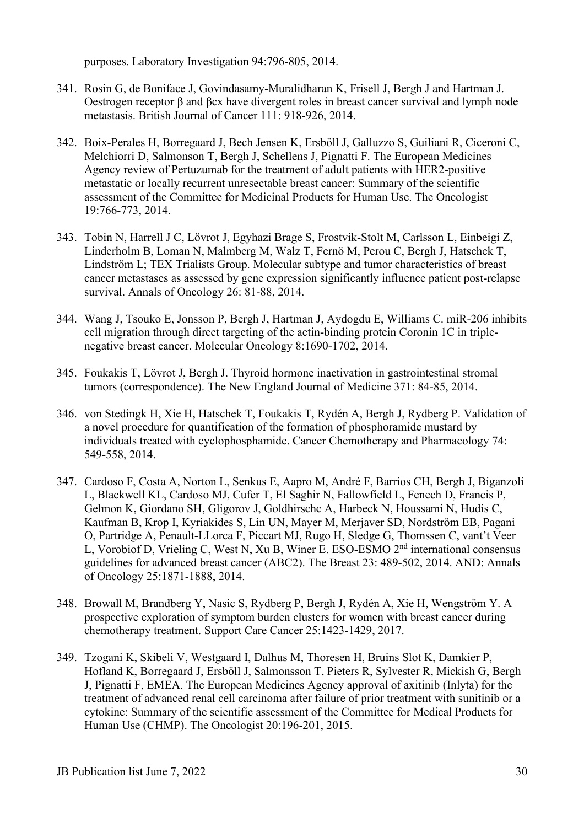purposes. Laboratory Investigation 94:796-805, 2014.

- 341. Rosin G, de Boniface J, Govindasamy-Muralidharan K, Frisell J, Bergh J and Hartman J. Oestrogen receptor β and βcx have divergent roles in breast cancer survival and lymph node metastasis. British Journal of Cancer 111: 918-926, 2014.
- 342. Boix-Perales H, Borregaard J, Bech Jensen K, Ersböll J, Galluzzo S, Guiliani R, Ciceroni C, Melchiorri D, Salmonson T, Bergh J, Schellens J, Pignatti F. The European Medicines Agency review of Pertuzumab for the treatment of adult patients with HER2-positive metastatic or locally recurrent unresectable breast cancer: Summary of the scientific assessment of the Committee for Medicinal Products for Human Use. The Oncologist 19:766-773, 2014.
- 343. Tobin N, Harrell J C, Lövrot J, Egyhazi Brage S, Frostvik-Stolt M, Carlsson L, Einbeigi Z, Linderholm B, Loman N, Malmberg M, Walz T, Fernö M, Perou C, Bergh J, Hatschek T, Lindström L; TEX Trialists Group. Molecular subtype and tumor characteristics of breast cancer metastases as assessed by gene expression significantly influence patient post-relapse survival. Annals of Oncology 26: 81-88, 2014.
- 344. Wang J, Tsouko E, Jonsson P, Bergh J, Hartman J, Aydogdu E, Williams C. miR-206 inhibits cell migration through direct targeting of the actin-binding protein Coronin 1C in triplenegative breast cancer. Molecular Oncology 8:1690-1702, 2014.
- 345. Foukakis T, Lövrot J, Bergh J. Thyroid hormone inactivation in gastrointestinal stromal tumors (correspondence). The New England Journal of Medicine 371: 84-85, 2014.
- 346. von Stedingk H, Xie H, Hatschek T, Foukakis T, Rydén A, Bergh J, Rydberg P. Validation of a novel procedure for quantification of the formation of phosphoramide mustard by individuals treated with cyclophosphamide. Cancer Chemotherapy and Pharmacology 74: 549-558, 2014.
- 347. Cardoso F, Costa A, Norton L, Senkus E, Aapro M, André F, Barrios CH, Bergh J, Biganzoli L, Blackwell KL, Cardoso MJ, Cufer T, El Saghir N, Fallowfield L, Fenech D, Francis P, Gelmon K, Giordano SH, Gligorov J, Goldhirschc A, Harbeck N, Houssami N, Hudis C, Kaufman B, Krop I, Kyriakides S, Lin UN, Mayer M, Merjaver SD, Nordström EB, Pagani O, Partridge A, Penault-LLorca F, Piccart MJ, Rugo H, Sledge G, Thomssen C, vant't Veer L, Vorobiof D, Vrieling C, West N, Xu B, Winer E. ESO-ESMO 2<sup>nd</sup> international consensus guidelines for advanced breast cancer (ABC2). The Breast 23: 489-502, 2014. AND: Annals of Oncology 25:1871-1888, 2014.
- 348. Browall M, Brandberg Y, Nasic S, Rydberg P, Bergh J, Rydén A, Xie H, Wengström Y. A prospective exploration of symptom burden clusters for women with breast cancer during chemotherapy treatment. Support Care Cancer 25:1423-1429, 2017.
- 349. Tzogani K, Skibeli V, Westgaard I, Dalhus M, Thoresen H, Bruins Slot K, Damkier P, Hofland K, Borregaard J, Ersböll J, Salmonsson T, Pieters R, Sylvester R, Mickish G, Bergh J, Pignatti F, EMEA. The European Medicines Agency approval of axitinib (Inlyta) for the treatment of advanced renal cell carcinoma after failure of prior treatment with sunitinib or a cytokine: Summary of the scientific assessment of the Committee for Medical Products for Human Use (CHMP). The Oncologist 20:196-201, 2015.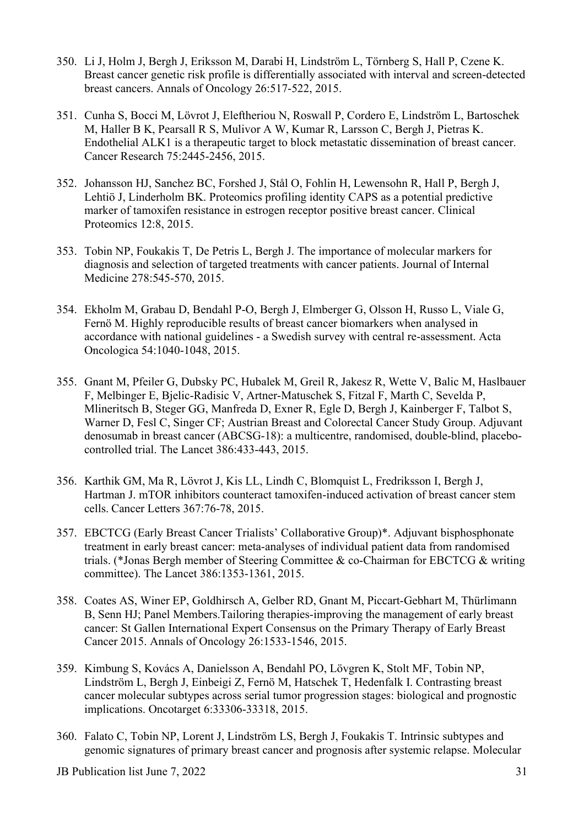- 350. Li J, Holm J, Bergh J, Eriksson M, Darabi H, Lindström L, Törnberg S, Hall P, Czene K. Breast cancer genetic risk profile is differentially associated with interval and screen-detected breast cancers. Annals of Oncology 26:517-522, 2015.
- 351. Cunha S, Bocci M, Lövrot J, Eleftheriou N, Roswall P, Cordero E, Lindström L, Bartoschek M, Haller B K, Pearsall R S, Mulivor A W, Kumar R, Larsson C, Bergh J, Pietras K. Endothelial ALK1 is a therapeutic target to block metastatic dissemination of breast cancer. Cancer Research 75:2445-2456, 2015.
- 352. Johansson HJ, Sanchez BC, Forshed J, Stål O, Fohlin H, Lewensohn R, Hall P, Bergh J, Lehtiö J, Linderholm BK. Proteomics profiling identity CAPS as a potential predictive marker of tamoxifen resistance in estrogen receptor positive breast cancer. Clinical Proteomics 12:8, 2015.
- 353. Tobin NP, Foukakis T, De Petris L, Bergh J. The importance of molecular markers for diagnosis and selection of targeted treatments with cancer patients. Journal of Internal Medicine 278:545-570, 2015.
- 354. Ekholm M, Grabau D, Bendahl P-O, Bergh J, Elmberger G, Olsson H, Russo L, Viale G, Fernö M. Highly reproducible results of breast cancer biomarkers when analysed in accordance with national guidelines - a Swedish survey with central re-assessment. Acta Oncologica 54:1040-1048, 2015.
- 355. Gnant M, Pfeiler G, Dubsky PC, Hubalek M, Greil R, Jakesz R, Wette V, Balic M, Haslbauer F, Melbinger E, Bjelic-Radisic V, Artner-Matuschek S, Fitzal F, Marth C, Sevelda P, Mlineritsch B, Steger GG, Manfreda D, Exner R, Egle D, Bergh J, Kainberger F, Talbot S, Warner D, Fesl C, Singer CF; Austrian Breast and Colorectal Cancer Study Group. [Adjuvant](http://www-ncbi-nlm-nih-gov.proxy.kib.ki.se/pubmed/26040499)  [denosumab in breast cancer \(ABCSG-18\): a multicentre, randomised, double-blind, placebo](http://www-ncbi-nlm-nih-gov.proxy.kib.ki.se/pubmed/26040499)[controlled trial.](http://www-ncbi-nlm-nih-gov.proxy.kib.ki.se/pubmed/26040499) The Lancet 386:433-443, 2015.
- 356. Karthik GM, Ma R, Lövrot J, Kis LL, Lindh C, Blomquist L, Fredriksson I, Bergh J, Hartman J. [mTOR inhibitors counteract tamoxifen-induced activation of breast cancer stem](http://www.ncbi.nlm.nih.gov/pubmed/26208432)  [cells.](http://www.ncbi.nlm.nih.gov/pubmed/26208432) Cancer Letters 367:76-78, 2015.
- 357. EBCTCG (Early Breast Cancer Trialists' Collaborative Group)\*. Adjuvant bisphosphonate treatment in early breast cancer: meta-analyses of individual patient data from randomised trials. (\*Jonas Bergh member of Steering Committee & co-Chairman for EBCTCG & writing committee). The Lancet 386:1353-1361, 2015.
- 358. Coates AS, Winer EP, Goldhirsch A, Gelber RD, Gnant M, Piccart-Gebhart M, Thürlimann B, Senn HJ; Panel Members[.Tailoring therapies-improving the management of early breast](http://www-ncbi-nlm-nih-gov.proxy.kib.ki.se/pubmed/25939896)  [cancer: St Gallen International Expert Consensus on the Primary Therapy of Early Breast](http://www-ncbi-nlm-nih-gov.proxy.kib.ki.se/pubmed/25939896)  [Cancer 2015.](http://www-ncbi-nlm-nih-gov.proxy.kib.ki.se/pubmed/25939896) Annals of Oncology 26:1533-1546, 2015.
- 359. Kimbung S, Kovács A, Danielsson A, Bendahl PO, Lövgren K, Stolt MF, Tobin NP, Lindström L, Bergh J, Einbeigi Z, Fernö M, Hatschek T, Hedenfalk I. Contrasting breast cancer molecular subtypes across serial tumor progression stages: biological and prognostic implications. Oncotarget 6:33306-33318, 2015.
- 360. Falato C, Tobin NP, Lorent J, Lindström LS, Bergh J, Foukakis T. [Intrinsic subtypes and](http://www-ncbi-nlm-nih-gov.proxy.kib.ki.se/pubmed/26651914)  [genomic signatures of primary breast cancer and prognosis after systemic relapse.](http://www-ncbi-nlm-nih-gov.proxy.kib.ki.se/pubmed/26651914) Molecular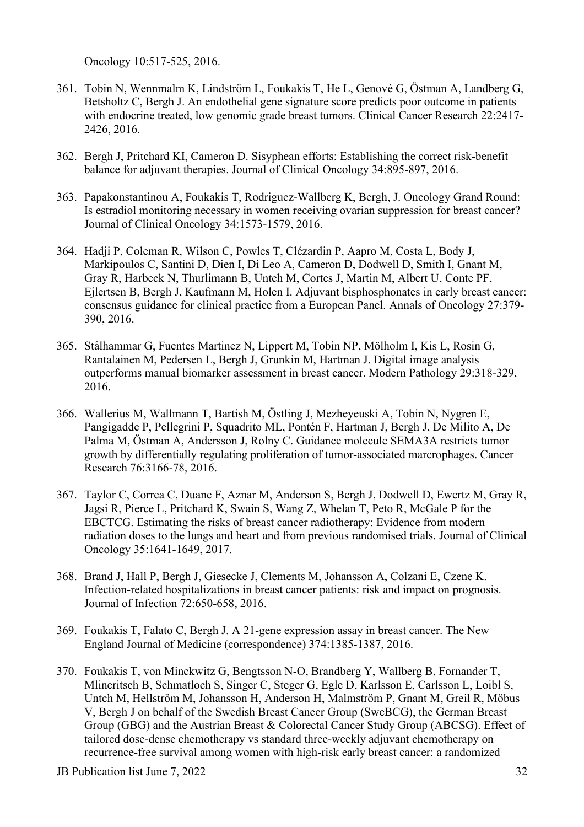Oncology 10:517-525, 2016.

- 361. Tobin N, Wennmalm K, Lindström L, Foukakis T, He L, Genové G, Östman A, Landberg G, Betsholtz C, Bergh J. An endothelial gene signature score predicts poor outcome in patients with endocrine treated, low genomic grade breast tumors. Clinical Cancer Research 22:2417-2426, 2016.
- 362. Bergh J, Pritchard KI, Cameron D. Sisyphean efforts: Establishing the correct risk-benefit balance for adjuvant therapies. Journal of Clinical Oncology 34:895-897, 2016.
- 363. Papakonstantinou A, Foukakis T, Rodriguez-Wallberg K, Bergh, J. Oncology Grand Round: Is estradiol monitoring necessary in women receiving ovarian suppression for breast cancer? Journal of Clinical Oncology 34:1573-1579, 2016.
- 364. Hadji P, Coleman R, Wilson C, Powles T, Clézardin P, Aapro M, Costa L, Body J, Markipoulos C, Santini D, Dien I, Di Leo A, Cameron D, Dodwell D, Smith I, Gnant M, Gray R, Harbeck N, Thurlimann B, Untch M, Cortes J, Martin M, Albert U, Conte PF, Ejlertsen B, Bergh J, Kaufmann M, Holen I. Adjuvant bisphosphonates in early breast cancer: consensus guidance for clinical practice from a European Panel. Annals of Oncology 27:379- 390, 2016.
- 365. Stålhammar G, Fuentes Martinez N, Lippert M, Tobin NP, Mölholm I, Kis L, Rosin G, Rantalainen M, Pedersen L, Bergh J, Grunkin M, Hartman J. Digital image analysis outperforms manual biomarker assessment in breast cancer. Modern Pathology 29:318-329, 2016.
- 366. Wallerius M, Wallmann T, Bartish M, Östling J, Mezheyeuski A, Tobin N, Nygren E, Pangigadde P, Pellegrini P, Squadrito ML, Pontén F, Hartman J, Bergh J, De Milito A, De Palma M, Östman A, Andersson J, Rolny C. Guidance molecule SEMA3A restricts tumor growth by differentially regulating proliferation of tumor-associated marcrophages. Cancer Research 76:3166-78, 2016.
- 367. Taylor C, Correa C, Duane F, Aznar M, Anderson S, Bergh J, Dodwell D, Ewertz M, Gray R, Jagsi R, Pierce L, Pritchard K, Swain S, Wang Z, Whelan T, Peto R, McGale P for the EBCTCG. Estimating the risks of breast cancer radiotherapy: Evidence from modern radiation doses to the lungs and heart and from previous randomised trials. Journal of Clinical Oncology 35:1641-1649, 2017.
- 368. Brand J, Hall P, Bergh J, Giesecke J, Clements M, Johansson A, Colzani E, Czene K. Infection-related hospitalizations in breast cancer patients: risk and impact on prognosis. Journal of Infection 72:650-658, 2016.
- 369. Foukakis T, Falato C, Bergh J. A 21-gene expression assay in breast cancer. The New England Journal of Medicine (correspondence) 374:1385-1387, 2016.
- 370. Foukakis T, von Minckwitz G, Bengtsson N-O, Brandberg Y, Wallberg B, Fornander T, Mlineritsch B, Schmatloch S, Singer C, Steger G, Egle D, Karlsson E, Carlsson L, Loibl S, Untch M, Hellström M, Johansson H, Anderson H, Malmström P, Gnant M, Greil R, Möbus V, Bergh J on behalf of the Swedish Breast Cancer Group (SweBCG), the German Breast Group (GBG) and the Austrian Breast & Colorectal Cancer Study Group (ABCSG). Effect of tailored dose-dense chemotherapy vs standard three-weekly adjuvant chemotherapy on recurrence-free survival among women with high-risk early breast cancer: a randomized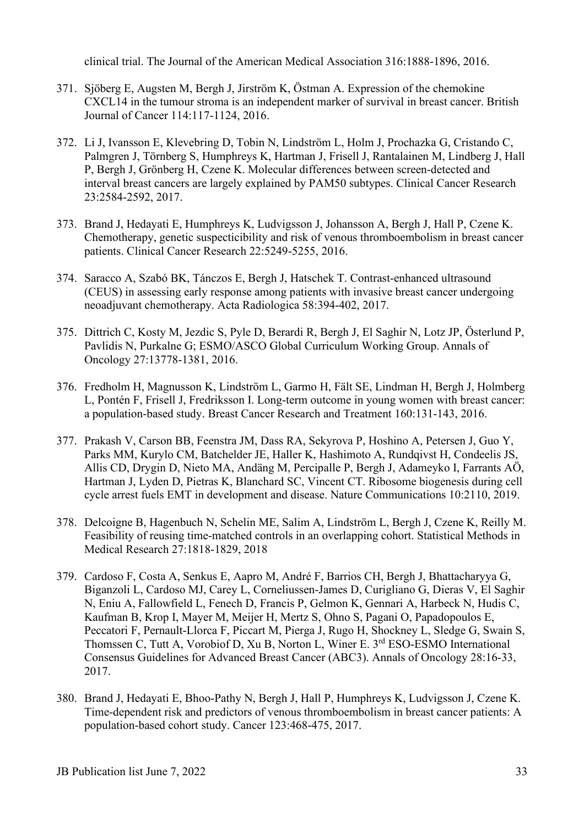clinical trial. The Journal of the American Medical Association 316:1888-1896, 2016.

- 371. Sjöberg E, Augsten M, Bergh J, Jirström K, Östman A. Expression of the chemokine CXCL14 in the tumour stroma is an independent marker of survival in breast cancer. British Journal of Cancer 114:117-1124, 2016.
- 372. Li J, Ivansson E, Klevebring D, Tobin N, Lindström L, Holm J, Prochazka G, Cristando C, Palmgren J, Törnberg S, Humphreys K, Hartman J, Frisell J, Rantalainen M, Lindberg J, Hall P, Bergh J, Grönberg H, Czene K. Molecular differences between screen-detected and interval breast cancers are largely explained by PAM50 subtypes. Clinical Cancer Research 23:2584-2592, 2017.
- 373. Brand J, Hedayati E, Humphreys K, Ludvigsson J, Johansson A, Bergh J, Hall P, Czene K. Chemotherapy, genetic suspecticibility and risk of venous thromboembolism in breast cancer patients. Clinical Cancer Research 22:5249-5255, 2016.
- 374. Saracco A, Szabó BK, Tánczos E, Bergh J, Hatschek T. Contrast-enhanced ultrasound (CEUS) in assessing early response among patients with invasive breast cancer undergoing neoadjuvant chemotherapy. Acta Radiologica 58:394-402, 2017.
- 375. Dittrich C, Kosty M, Jezdic S, Pyle D, Berardi R, Bergh J, El Saghir N, Lotz JP, Österlund P, Pavlidis N, Purkalne G; ESMO/ASCO Global Curriculum Working Group. Annals of Oncology 27:13778-1381, 2016.
- 376. Fredholm H, Magnusson K, Lindström L, Garmo H, Fält SE, Lindman H, Bergh J, Holmberg L, Pontén F, Frisell J, Fredriksson I. Long-term outcome in young women with breast cancer: a population-based study. Breast Cancer Research and Treatment 160:131-143, 2016.
- 377. Prakash V, Carson BB, Feenstra JM, Dass RA, Sekyrova P, Hoshino A, Petersen J, Guo Y, Parks MM, Kurylo CM, Batchelder JE, Haller K, Hashimoto A, Rundqivst H, Condeelis JS, Allis CD, Drygin D, Nieto MA, Andäng M, Percipalle P, Bergh J, Adameyko I, Farrants AÖ, Hartman J, Lyden D, Pietras K, Blanchard SC, Vincent CT. Ribosome biogenesis during cell cycle arrest fuels EMT in development and disease. Nature Communications 10:2110, 2019.
- 378. Delcoigne B, Hagenbuch N, Schelin ME, Salim A, Lindström L, Bergh J, Czene K, Reilly M. Feasibility of reusing time-matched controls in an overlapping cohort. Statistical Methods in Medical Research 27:1818-1829, 2018
- 379. Cardoso F, Costa A, Senkus E, Aapro M, André F, Barrios CH, Bergh J, Bhattacharyya G, Biganzoli L, Cardoso MJ, Carey L, Corneliussen-James D, Curigliano G, Dieras V, El Saghir N, Eniu A, Fallowfield L, Fenech D, Francis P, Gelmon K, Gennari A, Harbeck N, Hudis C, Kaufman B, Krop I, Mayer M, Meijer H, Mertz S, Ohno S, Pagani O, Papadopoulos E, Peccatori F, Pernault-Llorca F, Piccart M, Pierga J, Rugo H, Shockney L, Sledge G, Swain S, Thomssen C, Tutt A, Vorobiof D, Xu B, Norton L, Winer E. 3<sup>rd</sup> ESO-ESMO International Consensus Guidelines for Advanced Breast Cancer (ABC3). Annals of Oncology 28:16-33, 2017.
- 380. Brand J, Hedayati E, Bhoo-Pathy N, Bergh J, Hall P, Humphreys K, Ludvigsson J, Czene K. Time-dependent risk and predictors of venous thromboembolism in breast cancer patients: A population-based cohort study. Cancer 123:468-475, 2017.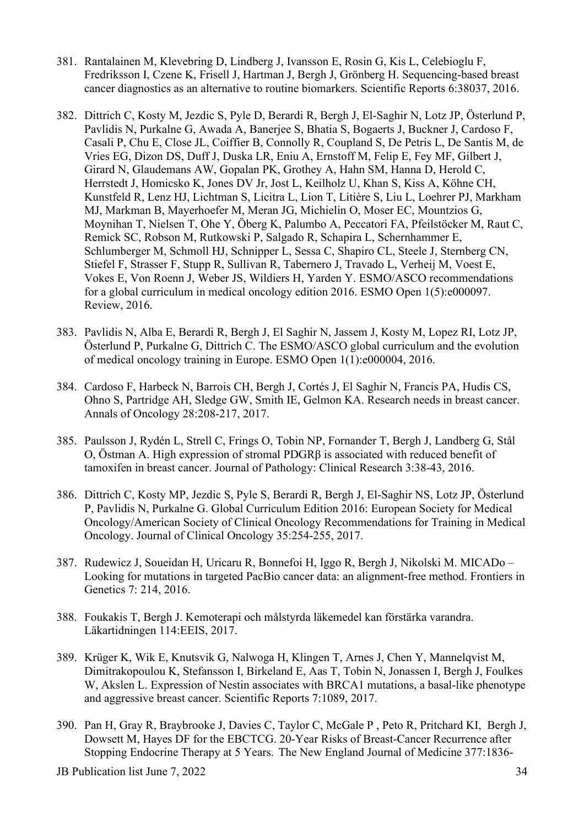- 381. Rantalainen M, Klevebring D, Lindberg J, Ivansson E, Rosin G, Kis L, Celebioglu F, Fredriksson I, Czene K, Frisell J, Hartman J, Bergh J, Grönberg H. Sequencing-based breast cancer diagnostics as an alternative to routine biomarkers. Scientific Reports 6:38037, 2016.
- 382. Dittrich C, Kosty M, Jezdic S, Pyle D, Berardi R, Bergh J, El-Saghir N, Lotz JP, Österlund P, Pavlidis N, Purkalne G, Awada A, Banerjee S, Bhatia S, Bogaerts J, Buckner J, Cardoso F, Casali P, Chu E, Close JL, Coiffier B, Connolly R, Coupland S, De Petris L, De Santis M, de Vries EG, Dizon DS, Duff J, Duska LR, Eniu A, Ernstoff M, Felip E, Fey MF, Gilbert J, Girard N, Glaudemans AW, Gopalan PK, Grothey A, Hahn SM, Hanna D, Herold C, Herrstedt J, Homicsko K, Jones DV Jr, Jost L, Keilholz U, Khan S, Kiss A, Köhne CH, Kunstfeld R, Lenz HJ, Lichtman S, Licitra L, Lion T, Litière S, Liu L, Loehrer PJ, Markham MJ, Markman B, Mayerhoefer M, Meran JG, Michielin O, Moser EC, Mountzios G, Moynihan T, Nielsen T, Ohe Y, Öberg K, Palumbo A, Peccatori FA, Pfeilstöcker M, Raut C, Remick SC, Robson M, Rutkowski P, Salgado R, Schapira L, Schernhammer E, Schlumberger M, Schmoll HJ, Schnipper L, Sessa C, Shapiro CL, Steele J, Sternberg CN, Stiefel F, Strasser F, Stupp R, Sullivan R, Tabernero J, Travado L, Verheij M, Voest E, Vokes E, Von Roenn J, Weber JS, Wildiers H, Yarden Y. ESMO/ASCO recommendations for a global curriculum in medical oncology edition 2016. ESMO Open 1(5):e000097. Review, 2016.
- 383. Pavlidis N, Alba E, Berardi R, Bergh J, El Saghir N, Jassem J, Kosty M, Lopez RI, Lotz JP, Österlund P, Purkalne G, Dittrich C. The ESMO/ASCO global curriculum and the evolution of medical oncology training in Europe. ESMO Open 1(1):e000004, 2016.
- 384. Cardoso F, Harbeck N, Barrois CH, Bergh J, Cortés J, El Saghir N, Francis PA, Hudis CS, Ohno S, Partridge AH, Sledge GW, Smith IE, Gelmon KA. Research needs in breast cancer. Annals of Oncology 28:208-217, 2017.
- 385. Paulsson J, Rydén L, Strell C, Frings O, Tobin NP, Fornander T, Bergh J, Landberg G, Stål O, Östman A. High expression of stromal PDGRβ is associated with reduced benefit of tamoxifen in breast cancer. Journal of Pathology: Clinical Research 3:38-43, 2016.
- 386. Dittrich C, Kosty MP, Jezdic S, Pyle S, Berardi R, Bergh J, El-Saghir NS, Lotz JP, Österlund P, Pavlidis N, Purkalne G. [Global Curriculum Edition 2016: European Society for Medical](https://www-ncbi-nlm-nih-gov.proxy.kib.ki.se/pubmed/28056204)  [Oncology/American Society of Clinical Oncology Recommendations for Training in Medical](https://www-ncbi-nlm-nih-gov.proxy.kib.ki.se/pubmed/28056204)  [Oncology.](https://www-ncbi-nlm-nih-gov.proxy.kib.ki.se/pubmed/28056204) Journal of Clinical Oncology 35:254-255, 2017.
- 387. Rudewicz J, Soueidan H, Uricaru R, Bonnefoi H, Iggo R, Bergh J, Nikolski M. MICADo Looking for mutations in targeted PacBio cancer data: an alignment-free method. Frontiers in Genetics 7: 214, 2016.
- 388. Foukakis T, Bergh J. Kemoterapi och målstyrda läkemedel kan förstärka varandra. Läkartidningen 114:EEIS, 2017.
- 389. Krüger K, Wik E, Knutsvik G, Nalwoga H, Klingen T, Arnes J, Chen Y, Mannelqvist M, Dimitrakopoulou K, Stefansson I, Birkeland E, Aas T, Tobin N, Jonassen I, Bergh J, Foulkes W, Akslen L. Expression of Nestin associates with BRCA1 mutations, a basal-like phenotype and aggressive breast cancer. Scientific Reports 7:1089, 2017.
- 390. Pan H, Gray R, Braybrooke J, Davies C, Taylor C, McGale P , Peto R, Pritchard KI, Bergh J, Dowsett M, Hayes DF for the EBCTCG. 20-Year Risks of Breast-Cancer Recurrence after Stopping Endocrine Therapy at 5 Years. The New England Journal of Medicine 377:1836-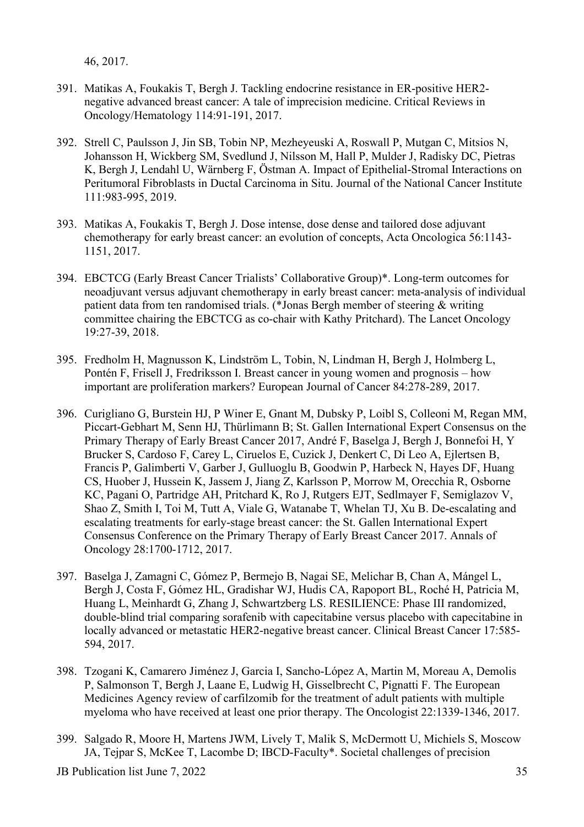46, 2017.

- 391. Matikas A, Foukakis T, Bergh J. Tackling endocrine resistance in ER-positive HER2 negative advanced breast cancer: A tale of imprecision medicine. Critical Reviews in Oncology/Hematology 114:91-191, 2017.
- 392. Strell C, Paulsson J, Jin SB, Tobin NP, Mezheyeuski A, Roswall P, Mutgan C, Mitsios N, Johansson H, Wickberg SM, Svedlund J, Nilsson M, Hall P, Mulder J, Radisky DC, Pietras K, Bergh J, Lendahl U, Wärnberg F, Östman A. Impact of Epithelial-Stromal Interactions on Peritumoral Fibroblasts in Ductal Carcinoma in Situ. Journal of the National Cancer Institute 111:983-995, 2019.
- 393. Matikas A, Foukakis T, Bergh J. Dose intense, dose dense and tailored dose adjuvant chemotherapy for early breast cancer: an evolution of concepts, Acta Oncologica 56:1143- 1151, 2017.
- 394. EBCTCG (Early Breast Cancer Trialists' Collaborative Group)\*. Long-term outcomes for neoadjuvant versus adjuvant chemotherapy in early breast cancer: meta-analysis of individual patient data from ten randomised trials. (\*Jonas Bergh member of steering & writing committee chairing the EBCTCG as co-chair with Kathy Pritchard). The Lancet Oncology 19:27-39, 2018.
- 395. Fredholm H, Magnusson K, Lindström L, Tobin, N, Lindman H, Bergh J, Holmberg L, Pontén F, Frisell J, Fredriksson I. Breast cancer in young women and prognosis – how important are proliferation markers? European Journal of Cancer 84:278-289, 2017.
- 396. Curigliano G, Burstein HJ, P Winer E, Gnant M, Dubsky P, Loibl S, Colleoni M, Regan MM, Piccart-Gebhart M, Senn HJ, Thürlimann B; St. Gallen International Expert Consensus on the Primary Therapy of Early Breast Cancer 2017, André F, Baselga J, Bergh J, Bonnefoi H, Y Brucker S, Cardoso F, Carey L, Ciruelos E, Cuzick J, Denkert C, Di Leo A, Ejlertsen B, Francis P, Galimberti V, Garber J, Gulluoglu B, Goodwin P, Harbeck N, Hayes DF, Huang CS, Huober J, Hussein K, Jassem J, Jiang Z, Karlsson P, Morrow M, Orecchia R, Osborne KC, Pagani O, Partridge AH, Pritchard K, Ro J, Rutgers EJT, Sedlmayer F, Semiglazov V, Shao Z, Smith I, Toi M, Tutt A, Viale G, Watanabe T, Whelan TJ, Xu B. De-escalating and escalating treatments for early-stage breast cancer: the St. Gallen International Expert Consensus Conference on the Primary Therapy of Early Breast Cancer 2017. Annals of Oncology 28:1700-1712, 2017.
- 397. Baselga J, Zamagni C, Gómez P, Bermejo B, Nagai SE, Melichar B, Chan A, Mángel L, Bergh J, Costa F, Gómez HL, Gradishar WJ, Hudis CA, Rapoport BL, Roché H, Patricia M, Huang L, Meinhardt G, Zhang J, Schwartzberg LS. RESILIENCE: Phase III randomized, double-blind trial comparing sorafenib with capecitabine versus placebo with capecitabine in locally advanced or metastatic HER2-negative breast cancer. Clinical Breast Cancer 17:585- 594, 2017.
- 398. Tzogani K, Camarero Jiménez J, Garcia I, Sancho-López A, Martin M, Moreau A, Demolis P, Salmonson T, Bergh J, Laane E, Ludwig H, Gisselbrecht C, Pignatti F. The European Medicines Agency review of carfilzomib for the treatment of adult patients with multiple myeloma who have received at least one prior therapy. The Oncologist 22:1339-1346, 2017.
- 399. Salgado R, Moore H, Martens JWM, Lively T, Malik S, McDermott U, Michiels S, Moscow JA, Tejpar S, McKee T, Lacombe D; IBCD-Faculty\*. Societal challenges of precision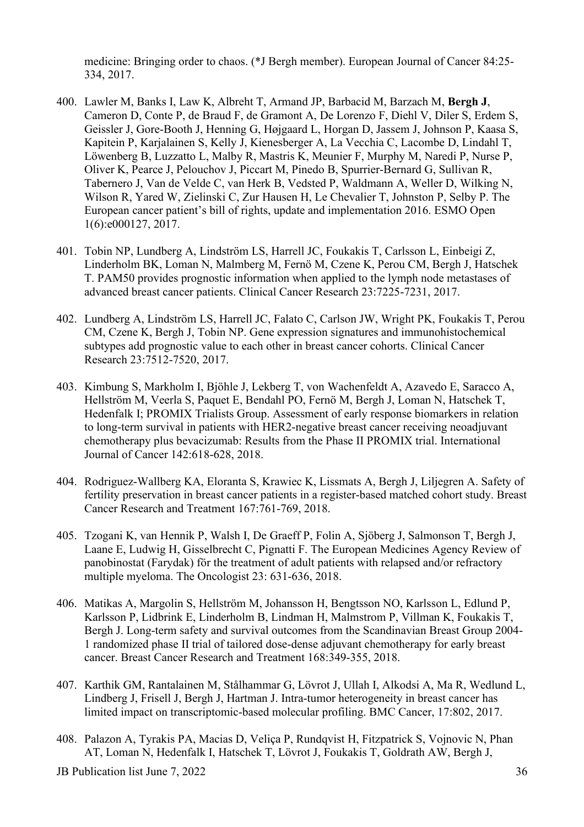medicine: Bringing order to chaos. (\*J Bergh member). European Journal of Cancer 84:25- 334, 2017.

- 400. Lawler M, Banks I, Law K, Albreht T, Armand JP, Barbacid M, Barzach M, **Bergh J**, Cameron D, Conte P, de Braud F, de Gramont A, De Lorenzo F, Diehl V, Diler S, Erdem S, Geissler J, Gore-Booth J, Henning G, Højgaard L, Horgan D, Jassem J, Johnson P, Kaasa S, Kapitein P, Karjalainen S, Kelly J, Kienesberger A, La Vecchia C, Lacombe D, Lindahl T, Löwenberg B, Luzzatto L, Malby R, Mastris K, Meunier F, Murphy M, Naredi P, Nurse P, Oliver K, Pearce J, Pelouchov J, Piccart M, Pinedo B, Spurrier-Bernard G, Sullivan R, Tabernero J, Van de Velde C, van Herk B, Vedsted P, Waldmann A, Weller D, Wilking N, Wilson R, Yared W, Zielinski C, Zur Hausen H, Le Chevalier T, Johnston P, Selby P. The European cancer patient's bill of rights, update and implementation 2016. ESMO Open 1(6):e000127, 2017.
- 401. Tobin NP, Lundberg A, Lindström LS, Harrell JC, Foukakis T, Carlsson L, Einbeigi Z, Linderholm BK, Loman N, Malmberg M, Fernö M, Czene K, Perou CM, Bergh J, Hatschek T. PAM50 provides prognostic information when applied to the lymph node metastases of advanced breast cancer patients. Clinical Cancer Research 23:7225-7231, 2017.
- 402. Lundberg A, Lindström LS, Harrell JC, Falato C, Carlson JW, Wright PK, Foukakis T, Perou CM, Czene K, Bergh J, Tobin NP. Gene expression signatures and immunohistochemical subtypes add prognostic value to each other in breast cancer cohorts. Clinical Cancer Research 23:7512-7520, 2017.
- 403. Kimbung S, Markholm I, Bjöhle J, Lekberg T, von Wachenfeldt A, Azavedo E, Saracco A, Hellström M, Veerla S, Paquet E, Bendahl PO, Fernö M, Bergh J, Loman N, Hatschek T, Hedenfalk I; PROMIX Trialists Group. Assessment of early response biomarkers in relation to long-term survival in patients with HER2-negative breast cancer receiving neoadjuvant chemotherapy plus bevacizumab: Results from the Phase II PROMIX trial. International Journal of Cancer 142:618-628, 2018.
- 404. Rodriguez-Wallberg KA, Eloranta S, Krawiec K, Lissmats A, Bergh J, Liljegren A. Safety of fertility preservation in breast cancer patients in a register-based matched cohort study. Breast Cancer Research and Treatment 167:761-769, 2018.
- 405. Tzogani K, van Hennik P, Walsh I, De Graeff P, Folin A, Sjöberg J, Salmonson T, Bergh J, Laane E, Ludwig H, Gisselbrecht C, Pignatti F. The European Medicines Agency Review of panobinostat (Farydak) för the treatment of adult patients with relapsed and/or refractory multiple myeloma. The Oncologist 23: 631-636, 2018.
- 406. Matikas A, Margolin S, Hellström M, Johansson H, Bengtsson NO, Karlsson L, Edlund P, Karlsson P, Lidbrink E, Linderholm B, Lindman H, Malmstrom P, Villman K, Foukakis T, Bergh J. Long-term safety and survival outcomes from the Scandinavian Breast Group 2004- 1 randomized phase II trial of tailored dose-dense adjuvant chemotherapy for early breast cancer. Breast Cancer Research and Treatment 168:349-355, 2018.
- 407. Karthik GM, Rantalainen M, Stålhammar G, Lövrot J, Ullah I, Alkodsi A, Ma R, Wedlund L, Lindberg J, Frisell J, Bergh J, Hartman J. Intra-tumor heterogeneity in breast cancer has limited impact on transcriptomic-based molecular profiling. BMC Cancer, 17:802, 2017.
- 408. Palazon A, Tyrakis PA, Macias D, Veliça P, Rundqvist H, Fitzpatrick S, Vojnovic N, Phan AT, Loman N, Hedenfalk I, Hatschek T, Lövrot J, Foukakis T, Goldrath AW, Bergh J,

JB Publication list June 7, 2022 36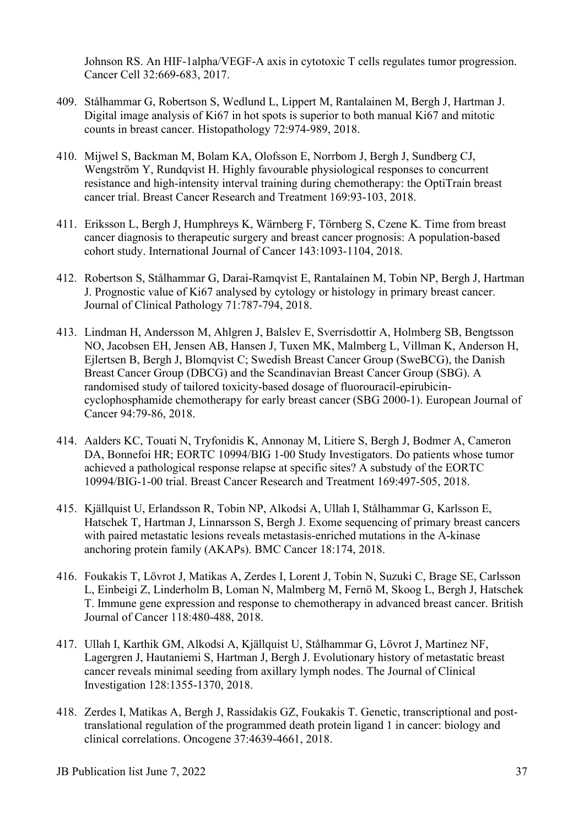Johnson RS. An HIF-1alpha/VEGF-A axis in cytotoxic T cells regulates tumor progression. Cancer Cell 32:669-683, 2017.

- 409. Stålhammar G, Robertson S, Wedlund L, Lippert M, Rantalainen M, Bergh J, Hartman J. Digital image analysis of Ki67 in hot spots is superior to both manual Ki67 and mitotic counts in breast cancer. Histopathology 72:974-989, 2018.
- 410. Mijwel S, Backman M, Bolam KA, Olofsson E, Norrbom J, Bergh J, Sundberg CJ, Wengström Y, Rundqvist H. Highly favourable physiological responses to concurrent resistance and high-intensity interval training during chemotherapy: the OptiTrain breast cancer trial. Breast Cancer Research and Treatment 169:93-103, 2018.
- 411. Eriksson L, Bergh J, Humphreys K, Wärnberg F, Törnberg S, Czene K. Time from breast cancer diagnosis to therapeutic surgery and breast cancer prognosis: A population-based cohort study. International Journal of Cancer 143:1093-1104, 2018.
- 412. Robertson S, Stålhammar G, Darai-Ramqvist E, Rantalainen M, Tobin NP, Bergh J, Hartman J. Prognostic value of Ki67 analysed by cytology or histology in primary breast cancer. Journal of Clinical Pathology 71:787-794, 2018.
- 413. Lindman H, Andersson M, Ahlgren J, Balslev E, Sverrisdottir A, Holmberg SB, Bengtsson NO, Jacobsen EH, Jensen AB, Hansen J, Tuxen MK, Malmberg L, Villman K, Anderson H, Ejlertsen B, Bergh J, Blomqvist C; Swedish Breast Cancer Group (SweBCG), the Danish Breast Cancer Group (DBCG) and the Scandinavian Breast Cancer Group (SBG). A randomised study of tailored toxicity-based dosage of fluorouracil-epirubicincyclophosphamide chemotherapy for early breast cancer (SBG 2000-1). European Journal of Cancer 94:79-86, 2018.
- 414. Aalders KC, Touati N, Tryfonidis K, Annonay M, Litiere S, Bergh J, Bodmer A, Cameron DA, Bonnefoi HR; EORTC 10994/BIG 1-00 Study Investigators. Do patients whose tumor achieved a pathological response relapse at specific sites? A substudy of the EORTC 10994/BIG-1-00 trial. Breast Cancer Research and Treatment 169:497-505, 2018.
- 415. Kjällquist U, Erlandsson R, Tobin NP, Alkodsi A, Ullah I, Stålhammar G, Karlsson E, Hatschek T, Hartman J, Linnarsson S, Bergh J. Exome sequencing of primary breast cancers with paired metastatic lesions reveals metastasis-enriched mutations in the A-kinase anchoring protein family (AKAPs). BMC Cancer 18:174, 2018.
- 416. Foukakis T, Lövrot J, Matikas A, Zerdes I, Lorent J, Tobin N, Suzuki C, Brage SE, Carlsson L, Einbeigi Z, Linderholm B, Loman N, Malmberg M, Fernö M, Skoog L, Bergh J, Hatschek T. Immune gene expression and response to chemotherapy in advanced breast cancer. British Journal of Cancer 118:480-488, 2018.
- 417. Ullah I, Karthik GM, Alkodsi A, Kjällquist U, Stålhammar G, Lövrot J, Martinez NF, Lagergren J, Hautaniemi S, Hartman J, Bergh J. Evolutionary history of metastatic breast cancer reveals minimal seeding from axillary lymph nodes. The Journal of Clinical Investigation 128:1355-1370, 2018.
- 418. Zerdes I, Matikas A, Bergh J, Rassidakis GZ, Foukakis T. Genetic, transcriptional and posttranslational regulation of the programmed death protein ligand 1 in cancer: biology and clinical correlations. Oncogene 37:4639-4661, 2018.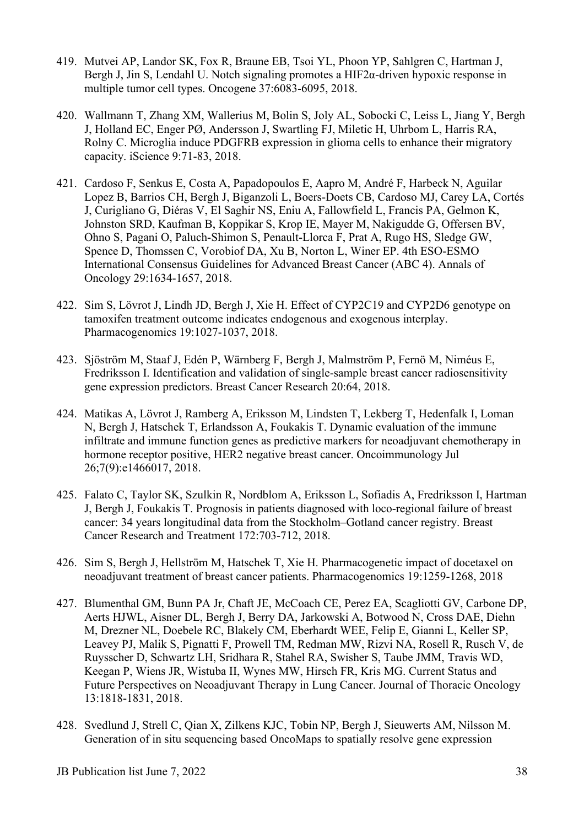- 419. Mutvei AP, Landor SK, Fox R, Braune EB, Tsoi YL, Phoon YP, Sahlgren C, Hartman J, Bergh J, Jin S, Lendahl U. Notch signaling promotes a  $HIF2\alpha$ -driven hypoxic response in multiple tumor cell types. Oncogene 37:6083-6095, 2018.
- 420. Wallmann T, Zhang XM, Wallerius M, Bolin S, Joly AL, Sobocki C, Leiss L, Jiang Y, Bergh J, Holland EC, Enger PØ, Andersson J, Swartling FJ, Miletic H, Uhrbom L, Harris RA, Rolny C. Microglia induce PDGFRB expression in glioma cells to enhance their migratory capacity. iScience 9:71-83, 2018.
- 421. Cardoso F, Senkus E, Costa A, Papadopoulos E, Aapro M, André F, Harbeck N, Aguilar Lopez B, Barrios CH, Bergh J, Biganzoli L, Boers-Doets CB, Cardoso MJ, Carey LA, Cortés J, Curigliano G, Diéras V, El Saghir NS, Eniu A, Fallowfield L, Francis PA, Gelmon K, Johnston SRD, Kaufman B, Koppikar S, Krop IE, Mayer M, Nakigudde G, Offersen BV, Ohno S, Pagani O, Paluch-Shimon S, Penault-Llorca F, Prat A, Rugo HS, Sledge GW, Spence D, Thomssen C, Vorobiof DA, Xu B, Norton L, Winer EP. 4th ESO-ESMO International Consensus Guidelines for Advanced Breast Cancer (ABC 4). Annals of Oncology 29:1634-1657, 2018.
- 422. Sim S, Lövrot J, Lindh JD, Bergh J, Xie H. Effect of CYP2C19 and CYP2D6 genotype on tamoxifen treatment outcome indicates endogenous and exogenous interplay. Pharmacogenomics 19:1027-1037, 2018.
- 423. Sjöström M, Staaf J, Edén P, Wärnberg F, Bergh J, Malmström P, Fernö M, Niméus E, Fredriksson I. Identification and validation of single-sample breast cancer radiosensitivity gene expression predictors. Breast Cancer Research 20:64, 2018.
- 424. Matikas A, Lövrot J, Ramberg A, Eriksson M, Lindsten T, Lekberg T, Hedenfalk I, Loman N, Bergh J, Hatschek T, Erlandsson A, Foukakis T. Dynamic evaluation of the immune infiltrate and immune function genes as predictive markers for neoadjuvant chemotherapy in hormone receptor positive, HER2 negative breast cancer. Oncoimmunology Jul 26;7(9):e1466017, 2018.
- 425. Falato C, Taylor SK, Szulkin R, Nordblom A, Eriksson L, Sofiadis A, Fredriksson I, Hartman J, Bergh J, Foukakis T. Prognosis in patients diagnosed with loco-regional failure of breast cancer: 34 years longitudinal data from the Stockholm–Gotland cancer registry. Breast Cancer Research and Treatment 172:703-712, 2018.
- 426. Sim S, Bergh J, Hellström M, Hatschek T, Xie H. Pharmacogenetic impact of docetaxel on neoadjuvant treatment of breast cancer patients. Pharmacogenomics 19:1259-1268, 2018
- 427. Blumenthal GM, Bunn PA Jr, Chaft JE, McCoach CE, Perez EA, Scagliotti GV, Carbone DP, Aerts HJWL, Aisner DL, Bergh J, Berry DA, Jarkowski A, Botwood N, Cross DAE, Diehn M, Drezner NL, Doebele RC, Blakely CM, Eberhardt WEE, Felip E, Gianni L, Keller SP, Leavey PJ, Malik S, Pignatti F, Prowell TM, Redman MW, Rizvi NA, Rosell R, Rusch V, de Ruysscher D, Schwartz LH, Sridhara R, Stahel RA, Swisher S, Taube JMM, Travis WD, Keegan P, Wiens JR, Wistuba II, Wynes MW, Hirsch FR, Kris MG. Current Status and Future Perspectives on Neoadjuvant Therapy in Lung Cancer. Journal of Thoracic Oncology 13:1818-1831, 2018.
- 428. Svedlund J, Strell C, Qian X, Zilkens KJC, Tobin NP, Bergh J, Sieuwerts AM, Nilsson M. Generation of in situ sequencing based OncoMaps to spatially resolve gene expression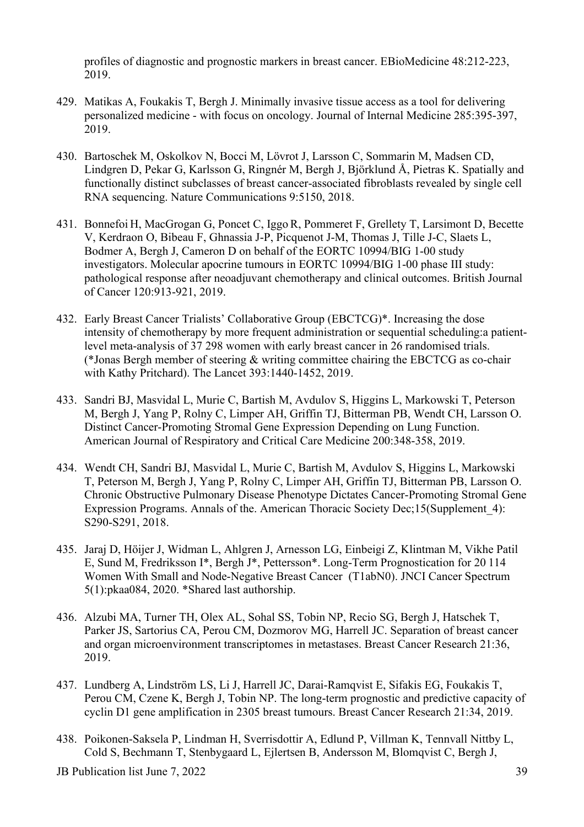profiles of diagnostic and prognostic markers in breast cancer. EBioMedicine 48:212-223, 2019.

- 429. Matikas A, Foukakis T, Bergh J. Minimally invasive tissue access as a tool for delivering personalized medicine - with focus on oncology. Journal of Internal Medicine 285:395-397, 2019.
- 430. Bartoschek M, Oskolkov N, Bocci M, Lövrot J, Larsson C, Sommarin M, Madsen CD, Lindgren D, Pekar G, Karlsson G, Ringnér M, Bergh J, Björklund Å, Pietras K. Spatially and functionally distinct subclasses of breast cancer-associated fibroblasts revealed by single cell RNA sequencing. Nature Communications 9:5150, 2018.
- 431. Bonnefoi H, MacGrogan G, Poncet C, Iggo R, Pommeret F, Grellety T, Larsimont D, Becette V, Kerdraon O, Bibeau F, Ghnassia J-P, Picquenot J-M, Thomas J, Tille J-C, Slaets L, Bodmer A, Bergh J, Cameron D on behalf of the EORTC 10994/BIG 1-00 study investigators. Molecular apocrine tumours in EORTC 10994/BIG 1-00 phase III study: pathological response after neoadjuvant chemotherapy and clinical outcomes. British Journal of Cancer 120:913-921, 2019.
- 432. Early Breast Cancer Trialists' Collaborative Group (EBCTCG)\*. Increasing the dose intensity of chemotherapy by more frequent administration or sequential scheduling:a patientlevel meta-analysis of 37 298 women with early breast cancer in 26 randomised trials. (\*Jonas Bergh member of steering & writing committee chairing the EBCTCG as co-chair with Kathy Pritchard). The Lancet 393:1440-1452, 2019.
- 433. Sandri BJ, Masvidal L, Murie C, Bartish M, Avdulov S, Higgins L, Markowski T, Peterson M, Bergh J, Yang P, Rolny C, Limper AH, Griffin TJ, Bitterman PB, Wendt CH, Larsson O. Distinct Cancer-Promoting Stromal Gene Expression Depending on Lung Function. American Journal of Respiratory and Critical Care Medicine 200:348-358, 2019.
- 434. Wendt CH, Sandri BJ, Masvidal L, Murie C, Bartish M, Avdulov S, Higgins L, Markowski T, Peterson M, Bergh J, Yang P, Rolny C, Limper AH, Griffin TJ, Bitterman PB, Larsson O. Chronic Obstructive Pulmonary Disease Phenotype Dictates Cancer-Promoting Stromal Gene Expression Programs. Annals of the. American Thoracic Society Dec;15(Supplement\_4): S290-S291, 2018.
- 435. Jaraj D, Höijer J, Widman L, Ahlgren J, Arnesson LG, Einbeigi Z, Klintman M, Vikhe Patil E, Sund M, Fredriksson I\*, Bergh J\*, Pettersson\*. Long-Term Prognostication for 20 114 Women With Small and Node-Negative Breast Cancer (T1abN0). JNCI Cancer Spectrum 5(1):pkaa084, 2020. \*Shared last authorship.
- 436. Alzubi MA, Turner TH, Olex AL, Sohal SS, Tobin NP, Recio SG, Bergh J, Hatschek T, Parker JS, Sartorius CA, Perou CM, Dozmorov MG, Harrell JC. Separation of breast cancer and organ microenvironment transcriptomes in metastases. Breast Cancer Research 21:36, 2019.
- 437. Lundberg A, Lindström LS, Li J, Harrell JC, Darai-Ramqvist E, Sifakis EG, Foukakis T, Perou CM, Czene K, Bergh J, Tobin NP. The long-term prognostic and predictive capacity of cyclin D1 gene amplification in 2305 breast tumours. Breast Cancer Research 21:34, 2019.
- 438. Poikonen-Saksela P, Lindman H, Sverrisdottir A, Edlund P, Villman K, Tennvall Nittby L, Cold S, Bechmann T, Stenbygaard L, Ejlertsen B, Andersson M, Blomqvist C, Bergh J,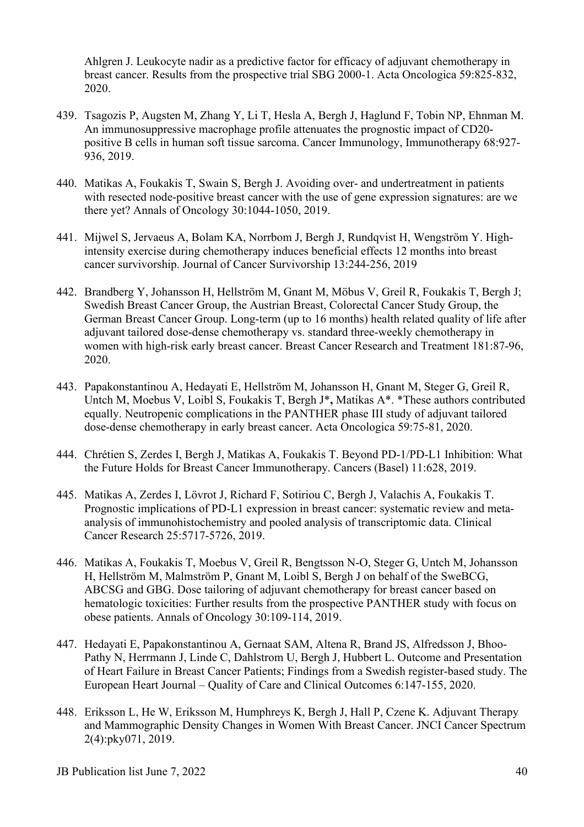Ahlgren J. Leukocyte nadir as a predictive factor for efficacy of adjuvant chemotherapy in breast cancer. Results from the prospective trial SBG 2000-1. Acta Oncologica 59:825-832, 2020.

- 439. Tsagozis P, Augsten M, Zhang Y, Li T, Hesla A, Bergh J, Haglund F, Tobin NP, Ehnman M. An immunosuppressive macrophage profile attenuates the prognostic impact of CD20 positive B cells in human soft tissue sarcoma. Cancer Immunology, Immunotherapy 68:927- 936, 2019.
- 440. Matikas A, Foukakis T, Swain S, Bergh J. Avoiding over- and undertreatment in patients with resected node-positive breast cancer with the use of gene expression signatures: are we there yet? Annals of Oncology 30:1044-1050, 2019.
- 441. Mijwel S, Jervaeus A, Bolam KA, Norrbom J, Bergh J, Rundqvist H, Wengström Y. Highintensity exercise during chemotherapy induces beneficial effects 12 months into breast cancer survivorship. Journal of Cancer Survivorship 13:244-256, 2019
- 442. Brandberg Y, Johansson H, Hellström M, Gnant M, Möbus V, Greil R, Foukakis T, Bergh J; Swedish Breast Cancer Group, the Austrian Breast, Colorectal Cancer Study Group, the German Breast Cancer Group. Long-term (up to 16 months) health related quality of life after adjuvant tailored dose-dense chemotherapy vs. standard three-weekly chemotherapy in women with high-risk early breast cancer. Breast Cancer Research and Treatment 181:87-96, 2020.
- 443. Papakonstantinou A, Hedayati E, Hellström M, Johansson H, Gnant M, Steger G, Greil R, Untch M, Moebus V, Loibl S, Foukakis T, Bergh J\***,** Matikas A\*. \*These authors contributed equally. Neutropenic complications in the PANTHER phase III study of adjuvant tailored dose-dense chemotherapy in early breast cancer. Acta Oncologica 59:75-81, 2020.
- 444. Chrétien S, Zerdes I, Bergh J, Matikas A, Foukakis T. Beyond PD-1/PD-L1 Inhibition: What the Future Holds for Breast Cancer Immunotherapy. Cancers (Basel) 11:628, 2019.
- 445. Matikas A, Zerdes I, Lövrot J, Richard F, Sotiriou C, Bergh J, Valachis A, Foukakis T. Prognostic implications of PD-L1 expression in breast cancer: systematic review and metaanalysis of immunohistochemistry and pooled analysis of transcriptomic data. Clinical Cancer Research 25:5717-5726, 2019.
- 446. Matikas A, Foukakis T, Moebus V, Greil R, Bengtsson N-O, Steger G, Untch M, Johansson H, Hellström M, Malmström P, Gnant M, Loibl S, Bergh J on behalf of the SweBCG, ABCSG and GBG. Dose tailoring of adjuvant chemotherapy for breast cancer based on hematologic toxicities: Further results from the prospective PANTHER study with focus on obese patients. Annals of Oncology 30:109-114, 2019.
- 447. Hedayati E, Papakonstantinou A, Gernaat SAM, Altena R, Brand JS, Alfredsson J, Bhoo-Pathy N, Herrmann J, Linde C, Dahlstrom U, Bergh J, Hubbert L. Outcome and Presentation of Heart Failure in Breast Cancer Patients; Findings from a Swedish register-based study. The European Heart Journal – Quality of Care and Clinical Outcomes 6:147-155, 2020.
- 448. Eriksson L, He W, Eriksson M, Humphreys K, Bergh J, Hall P, Czene K. Adjuvant Therapy and Mammographic Density Changes in Women With Breast Cancer. JNCI Cancer Spectrum 2(4):pky071, 2019.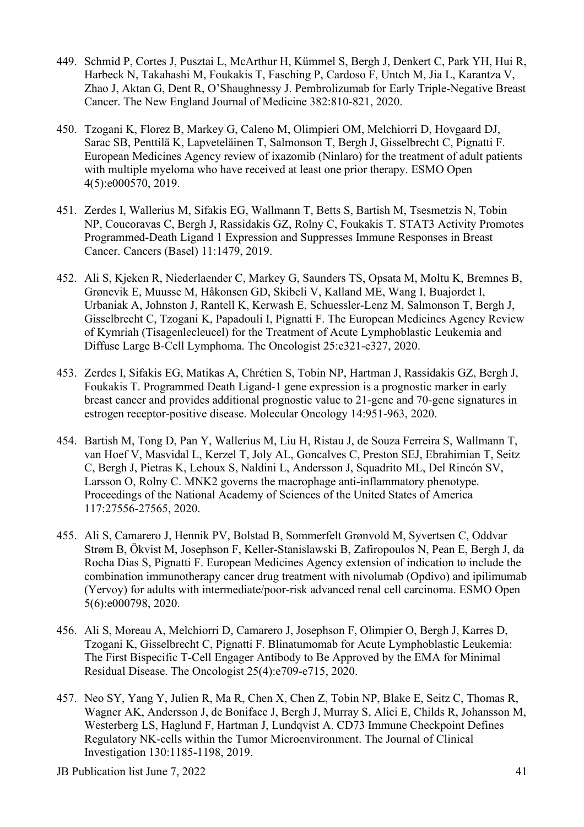- 449. Schmid P, Cortes J, Pusztai L, McArthur H, Kümmel S, Bergh J, Denkert C, Park YH, Hui R, Harbeck N, Takahashi M, Foukakis T, Fasching P, Cardoso F, Untch M, Jia L, Karantza V, Zhao J, Aktan G, Dent R, O'Shaughnessy J. Pembrolizumab for Early Triple-Negative Breast Cancer. The New England Journal of Medicine 382:810-821, 2020.
- 450. Tzogani K, Florez B, Markey G, Caleno M, Olimpieri OM, Melchiorri D, Hovgaard DJ, Sarac SB, Penttilä K, Lapveteläinen T, Salmonson T, Bergh J, Gisselbrecht C, Pignatti F. European Medicines Agency review of ixazomib (Ninlaro) for the treatment of adult patients with multiple myeloma who have received at least one prior therapy. ESMO Open 4(5):e000570, 2019.
- 451. Zerdes I, Wallerius M, Sifakis EG, Wallmann T, Betts S, Bartish M, Tsesmetzis N, Tobin NP, Coucoravas C, Bergh J, Rassidakis GZ, Rolny C, Foukakis T. STAT3 Activity Promotes Programmed-Death Ligand 1 Expression and Suppresses Immune Responses in Breast Cancer. Cancers (Basel) 11:1479, 2019.
- 452. Ali S, Kjeken R, Niederlaender C, Markey G, Saunders TS, Opsata M, Moltu K, Bremnes B, Grønevik E, Muusse M, Håkonsen GD, Skibeli V, Kalland ME, Wang I, Buajordet I, Urbaniak A, Johnston J, Rantell K, Kerwash E, Schuessler-Lenz M, Salmonson T, Bergh J, Gisselbrecht C, Tzogani K, Papadouli I, Pignatti F. The European Medicines Agency Review of Kymriah (Tisagenlecleucel) for the Treatment of Acute Lymphoblastic Leukemia and Diffuse Large B-Cell Lymphoma. The Oncologist 25:e321-e327, 2020.
- 453. Zerdes I, Sifakis EG, Matikas A, Chrétien S, Tobin NP, Hartman J, Rassidakis GZ, Bergh J, Foukakis T. Programmed Death Ligand-1 gene expression is a prognostic marker in early breast cancer and provides additional prognostic value to 21-gene and 70-gene signatures in estrogen receptor-positive disease. Molecular Oncology 14:951-963, 2020.
- 454. Bartish M, Tong D, Pan Y, Wallerius M, Liu H, Ristau J, de Souza Ferreira S, Wallmann T, van Hoef V, Masvidal L, Kerzel T, Joly AL, Goncalves C, Preston SEJ, Ebrahimian T, Seitz C, Bergh J, Pietras K, Lehoux S, Naldini L, Andersson J, Squadrito ML, Del Rincón SV, Larsson O, Rolny C. MNK2 governs the macrophage anti-inflammatory phenotype. Proceedings of the National Academy of Sciences of the United States of America 117:27556-27565, 2020.
- 455. Ali S, Camarero J, Hennik PV, Bolstad B, Sommerfelt Grønvold M, Syvertsen C, Oddvar Strøm B, Ökvist M, Josephson F, Keller-Stanislawski B, Zafiropoulos N, Pean E, Bergh J, da Rocha Dias S, Pignatti F. European Medicines Agency extension of indication to include the combination immunotherapy cancer drug treatment with nivolumab (Opdivo) and ipilimumab (Yervoy) for adults with intermediate/poor-risk advanced renal cell carcinoma. ESMO Open 5(6):e000798, 2020.
- 456. Ali S, Moreau A, Melchiorri D, Camarero J, Josephson F, Olimpier O, Bergh J, Karres D, Tzogani K, Gisselbrecht C, Pignatti F. Blinatumomab for Acute Lymphoblastic Leukemia: The First Bispecific T-Cell Engager Antibody to Be Approved by the EMA for Minimal Residual Disease. The Oncologist 25(4):e709-e715, 2020.
- 457. Neo SY, Yang Y, Julien R, Ma R, Chen X, Chen Z, Tobin NP, Blake E, Seitz C, Thomas R, Wagner AK, Andersson J, de Boniface J, Bergh J, Murray S, Alici E, Childs R, Johansson M, Westerberg LS, Haglund F, Hartman J, Lundqvist A. CD73 Immune Checkpoint Defines Regulatory NK-cells within the Tumor Microenvironment. The Journal of Clinical Investigation 130:1185-1198, 2019.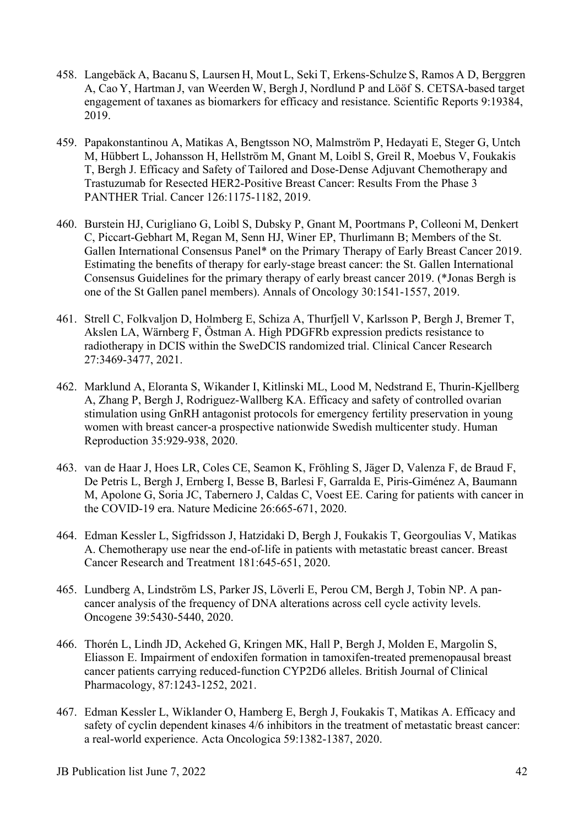- 458. Langebäck A, Bacanu S, Laursen H, Mout L, Seki T, Erkens-Schulze S, Ramos A D, Berggren A, Cao Y, Hartman J, van Weerden W, Bergh J, Nordlund P and Lööf S. CETSA-based target engagement of taxanes as biomarkers for efficacy and resistance. Scientific Reports 9:19384, 2019.
- 459. Papakonstantinou A, Matikas A, Bengtsson NO, Malmström P, Hedayati E, Steger G, Untch M, Hübbert L, Johansson H, Hellström M, Gnant M, Loibl S, Greil R, Moebus V, Foukakis T, Bergh J. Efficacy and Safety of Tailored and Dose-Dense Adjuvant Chemotherapy and Trastuzumab for Resected HER2-Positive Breast Cancer: Results From the Phase 3 PANTHER Trial. Cancer 126:1175-1182, 2019.
- 460. Burstein HJ, Curigliano G, Loibl S, Dubsky P, Gnant M, Poortmans P, Colleoni M, Denkert C, Piccart-Gebhart M, Regan M, Senn HJ, Winer EP, Thurlimann B; Members of the St. Gallen International Consensus Panel\* on the Primary Therapy of Early Breast Cancer 2019. Estimating the benefits of therapy for early-stage breast cancer: the St. Gallen International Consensus Guidelines for the primary therapy of early breast cancer 2019. (\*Jonas Bergh is one of the St Gallen panel members). Annals of Oncology 30:1541-1557, 2019.
- 461. Strell C, Folkvaljon D, Holmberg E, Schiza A, Thurfjell V, Karlsson P, Bergh J, Bremer T, Akslen LA, Wärnberg F, Östman A. High PDGFRb expression predicts resistance to radiotherapy in DCIS within the SweDCIS randomized trial. Clinical Cancer Research 27:3469-3477, 2021.
- 462. Marklund A, Eloranta S, Wikander I, Kitlinski ML, Lood M, Nedstrand E, Thurin-Kjellberg A, Zhang P, Bergh J, Rodriguez-Wallberg KA. Efficacy and safety of controlled ovarian stimulation using GnRH antagonist protocols for emergency fertility preservation in young women with breast cancer-a prospective nationwide Swedish multicenter study. Human Reproduction 35:929-938, 2020.
- 463. van de Haar J, Hoes LR, Coles CE, Seamon K, Fröhling S, Jäger D, Valenza F, de Braud F, De Petris L, Bergh J, Ernberg I, Besse B, Barlesi F, Garralda E, Piris-Giménez A, Baumann M, Apolone G, Soria JC, Tabernero J, Caldas C, Voest EE. Caring for patients with cancer in the COVID-19 era. Nature Medicine 26:665-671, 2020.
- 464. Edman Kessler L, Sigfridsson J, Hatzidaki D, Bergh J, Foukakis T, Georgoulias V, Matikas A. Chemotherapy use near the end-of-life in patients with metastatic breast cancer. Breast Cancer Research and Treatment 181:645-651, 2020.
- 465. Lundberg A, Lindström LS, Parker JS, Löverli E, Perou CM, Bergh J, Tobin NP. A pancancer analysis of the frequency of DNA alterations across cell cycle activity levels. Oncogene 39:5430-5440, 2020.
- 466. Thorén L, Lindh JD, Ackehed G, Kringen MK, Hall P, Bergh J, Molden E, Margolin S, Eliasson E. Impairment of endoxifen formation in tamoxifen-treated premenopausal breast cancer patients carrying reduced-function CYP2D6 alleles. British Journal of Clinical Pharmacology, 87:1243-1252, 2021.
- 467. Edman Kessler L, Wiklander O, Hamberg E, Bergh J, Foukakis T, Matikas A. Efficacy and safety of cyclin dependent kinases 4/6 inhibitors in the treatment of metastatic breast cancer: a real-world experience. Acta Oncologica 59:1382-1387, 2020.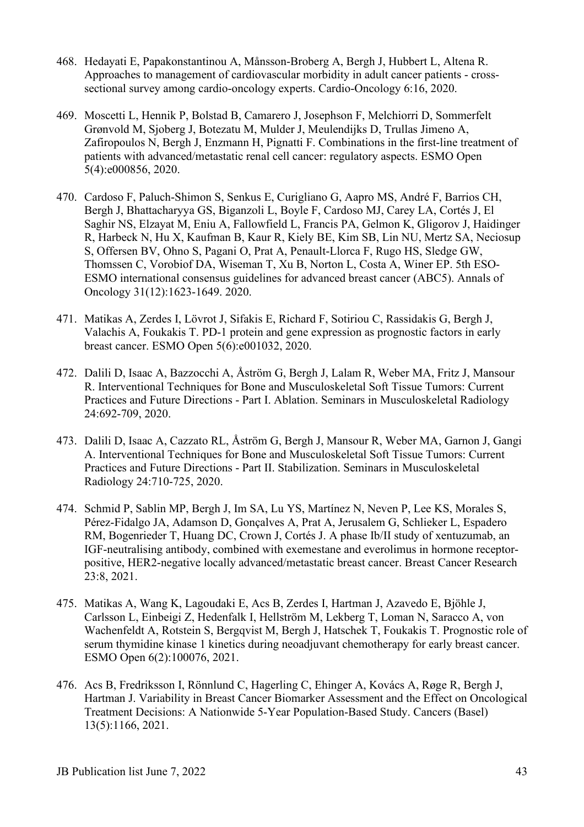- 468. Hedayati E, Papakonstantinou A, Månsson-Broberg A, Bergh J, Hubbert L, Altena R. Approaches to management of cardiovascular morbidity in adult cancer patients - crosssectional survey among cardio-oncology experts. Cardio-Oncology 6:16, 2020.
- 469. Moscetti L, Hennik P, Bolstad B, Camarero J, Josephson F, Melchiorri D, Sommerfelt Grønvold M, Sjoberg J, Botezatu M, Mulder J, Meulendijks D, Trullas Jimeno A, Zafiropoulos N, Bergh J, Enzmann H, Pignatti F. Combinations in the first-line treatment of patients with advanced/metastatic renal cell cancer: regulatory aspects. ESMO Open 5(4):e000856, 2020.
- 470. Cardoso F, Paluch-Shimon S, Senkus E, Curigliano G, Aapro MS, André F, Barrios CH, Bergh J, Bhattacharyya GS, Biganzoli L, Boyle F, Cardoso MJ, Carey LA, Cortés J, El Saghir NS, Elzayat M, Eniu A, Fallowfield L, Francis PA, Gelmon K, Gligorov J, Haidinger R, Harbeck N, Hu X, Kaufman B, Kaur R, Kiely BE, Kim SB, Lin NU, Mertz SA, Neciosup S, Offersen BV, Ohno S, Pagani O, Prat A, Penault-Llorca F, Rugo HS, Sledge GW, Thomssen C, Vorobiof DA, Wiseman T, Xu B, Norton L, Costa A, Winer EP. 5th ESO-ESMO international consensus guidelines for advanced breast cancer (ABC5). Annals of Oncology 31(12):1623-1649. 2020.
- 471. Matikas A, Zerdes I, Lövrot J, Sifakis E, Richard F, Sotiriou C, Rassidakis G, Bergh J, Valachis A, Foukakis T. PD-1 protein and gene expression as prognostic factors in early breast cancer. ESMO Open 5(6):e001032, 2020.
- 472. Dalili D, Isaac A, Bazzocchi A, Åström G, Bergh J, Lalam R, Weber MA, Fritz J, Mansour R. Interventional Techniques for Bone and Musculoskeletal Soft Tissue Tumors: Current Practices and Future Directions - Part I. Ablation. Seminars in Musculoskeletal Radiology 24:692-709, 2020.
- 473. Dalili D, Isaac A, Cazzato RL, Åström G, Bergh J, Mansour R, Weber MA, Garnon J, Gangi A. Interventional Techniques for Bone and Musculoskeletal Soft Tissue Tumors: Current Practices and Future Directions - Part II. Stabilization. Seminars in Musculoskeletal Radiology 24:710-725, 2020.
- 474. Schmid P, Sablin MP, Bergh J, Im SA, Lu YS, Martínez N, Neven P, Lee KS, Morales S, Pérez-Fidalgo JA, Adamson D, Gonçalves A, Prat A, Jerusalem G, Schlieker L, Espadero RM, Bogenrieder T, Huang DC, Crown J, Cortés J. A phase Ib/II study of xentuzumab, an IGF-neutralising antibody, combined with exemestane and everolimus in hormone receptorpositive, HER2-negative locally advanced/metastatic breast cancer. Breast Cancer Research 23:8, 2021.
- 475. Matikas A, Wang K, Lagoudaki E, Acs B, Zerdes I, Hartman J, Azavedo E, Bjöhle J, Carlsson L, Einbeigi Z, Hedenfalk I, Hellström M, Lekberg T, Loman N, Saracco A, von Wachenfeldt A, Rotstein S, Bergqvist M, Bergh J, Hatschek T, Foukakis T. Prognostic role of serum thymidine kinase 1 kinetics during neoadjuvant chemotherapy for early breast cancer. ESMO Open 6(2):100076, 2021.
- 476. Acs B, Fredriksson I, Rönnlund C, Hagerling C, Ehinger A, Kovács A, Røge R, Bergh J, Hartman J. Variability in Breast Cancer Biomarker Assessment and the Effect on Oncological Treatment Decisions: A Nationwide 5-Year Population-Based Study. Cancers (Basel) 13(5):1166, 2021.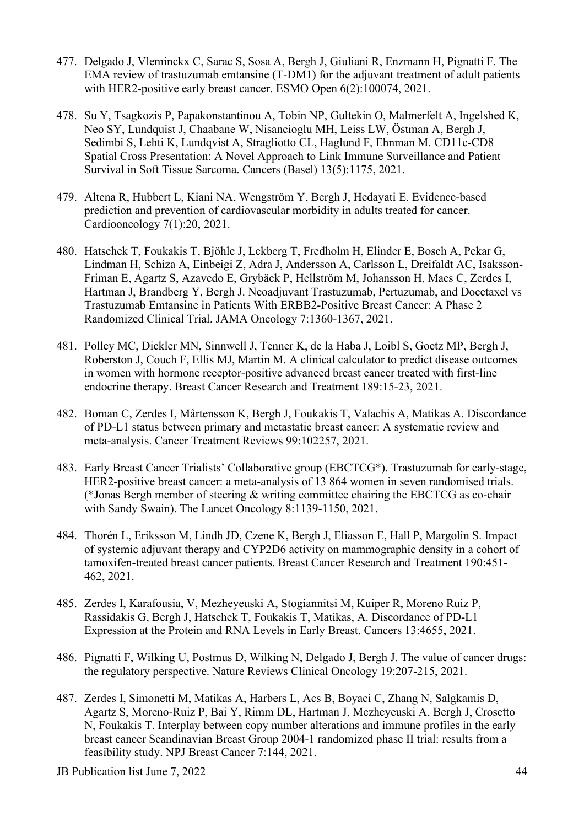- 477. Delgado J, Vleminckx C, Sarac S, Sosa A, Bergh J, Giuliani R, Enzmann H, Pignatti F. The EMA review of trastuzumab emtansine (T-DM1) for the adjuvant treatment of adult patients with HER2-positive early breast cancer. ESMO Open 6(2):100074, 2021.
- 478. Su Y, Tsagkozis P, Papakonstantinou A, Tobin NP, Gultekin O, Malmerfelt A, Ingelshed K, Neo SY, Lundquist J, Chaabane W, Nisancioglu MH, Leiss LW, Östman A, Bergh J, Sedimbi S, Lehti K, Lundqvist A, Stragliotto CL, Haglund F, Ehnman M. CD11c-CD8 Spatial Cross Presentation: A Novel Approach to Link Immune Surveillance and Patient Survival in Soft Tissue Sarcoma. Cancers (Basel) 13(5):1175, 2021.
- 479. Altena R, Hubbert L, Kiani NA, Wengström Y, Bergh J, Hedayati E. Evidence-based prediction and prevention of cardiovascular morbidity in adults treated for cancer. Cardiooncology 7(1):20, 2021.
- 480. Hatschek T, Foukakis T, Bjöhle J, Lekberg T, Fredholm H, Elinder E, Bosch A, Pekar G, Lindman H, Schiza A, Einbeigi Z, Adra J, Andersson A, Carlsson L, Dreifaldt AC, Isaksson-Friman E, Agartz S, Azavedo E, Grybäck P, Hellström M, Johansson H, Maes C, Zerdes I, Hartman J, Brandberg Y, Bergh J. Neoadjuvant Trastuzumab, Pertuzumab, and Docetaxel vs Trastuzumab Emtansine in Patients With ERBB2-Positive Breast Cancer: A Phase 2 Randomized Clinical Trial. JAMA Oncology 7:1360-1367, 2021.
- 481. Polley MC, Dickler MN, Sinnwell J, Tenner K, de la Haba J, Loibl S, Goetz MP, Bergh J, Roberston J, Couch F, Ellis MJ, Martin M. A clinical calculator to predict disease outcomes in women with hormone receptor-positive advanced breast cancer treated with first-line endocrine therapy. Breast Cancer Research and Treatment 189:15-23, 2021.
- 482. Boman C, Zerdes I, Mårtensson K, Bergh J, Foukakis T, Valachis A, Matikas A. Discordance of PD-L1 status between primary and metastatic breast cancer: A systematic review and meta-analysis. Cancer Treatment Reviews 99:102257, 2021.
- 483. Early Breast Cancer Trialists' Collaborative group (EBCTCG\*). Trastuzumab for early-stage, HER2-positive breast cancer: a meta-analysis of 13 864 women in seven randomised trials. (\*Jonas Bergh member of steering & writing committee chairing the EBCTCG as co-chair with Sandy Swain). The Lancet Oncology 8:1139-1150, 2021.
- 484. Thorén L, Eriksson M, Lindh JD, Czene K, Bergh J, Eliasson E, Hall P, Margolin S. Impact of systemic adjuvant therapy and CYP2D6 activity on mammographic density in a cohort of tamoxifen-treated breast cancer patients. Breast Cancer Research and Treatment 190:451- 462, 2021.
- 485. Zerdes I, Karafousia, V, Mezheyeuski A, Stogiannitsi M, Kuiper R, Moreno Ruiz P, Rassidakis G, Bergh J, Hatschek T, Foukakis T, Matikas, A. Discordance of PD-L1 Expression at the Protein and RNA Levels in Early Breast. Cancers 13:4655, 2021.
- 486. Pignatti F, Wilking U, Postmus D, Wilking N, Delgado J, Bergh J. The value of cancer drugs: the regulatory perspective. Nature Reviews Clinical Oncology 19:207-215, 2021.
- 487. Zerdes I, Simonetti M, Matikas A, Harbers L, Acs B, Boyaci C, Zhang N, Salgkamis D, Agartz S, Moreno-Ruiz P, Bai Y, Rimm DL, Hartman J, Mezheyeuski A, Bergh J, Crosetto N, Foukakis T. Interplay between copy number alterations and immune profiles in the early breast cancer Scandinavian Breast Group 2004-1 randomized phase II trial: results from a feasibility study. NPJ Breast Cancer 7:144, 2021.